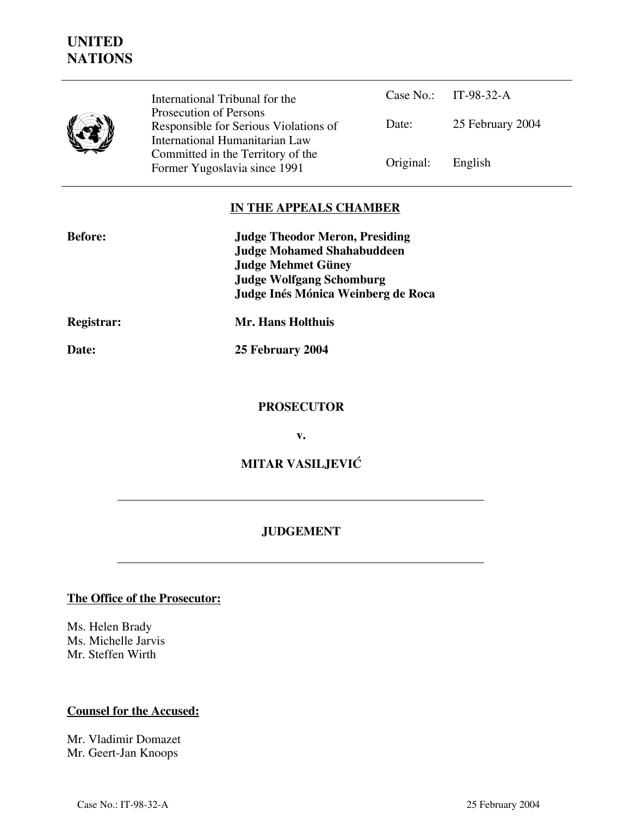# **UNITED NATIONS**



International Tribunal for the Prosecution of Persons Responsible for Serious Violations of International Humanitarian Law Committed in the Territory of the Former Yugoslavia since 1991 **Original:** English

Case No.: IT-98-32-A Date: 25 February 2004

### **IN THE APPEALS CHAMBER**

| <b>Before:</b>    | <b>Judge Theodor Meron, Presiding</b><br><b>Judge Mohamed Shahabuddeen</b> |
|-------------------|----------------------------------------------------------------------------|
|                   | <b>Judge Mehmet Güney</b>                                                  |
|                   | <b>Judge Wolfgang Schomburg</b>                                            |
|                   | Judge Inés Mónica Weinberg de Roca                                         |
| <b>Registrar:</b> | Mr. Hans Holthuis                                                          |
| Date:             | 25 February 2004                                                           |

#### **PROSECUTOR**

**v.**

### **MITAR VASILJEVIĆ**

#### **JUDGEMENT**

#### **The Office of the Prosecutor:**

Ms. Helen Brady Ms. Michelle Jarvis Mr. Steffen Wirth

#### **Counsel for the Accused:**

Mr. Vladimir Domazet Mr. Geert-Jan Knoops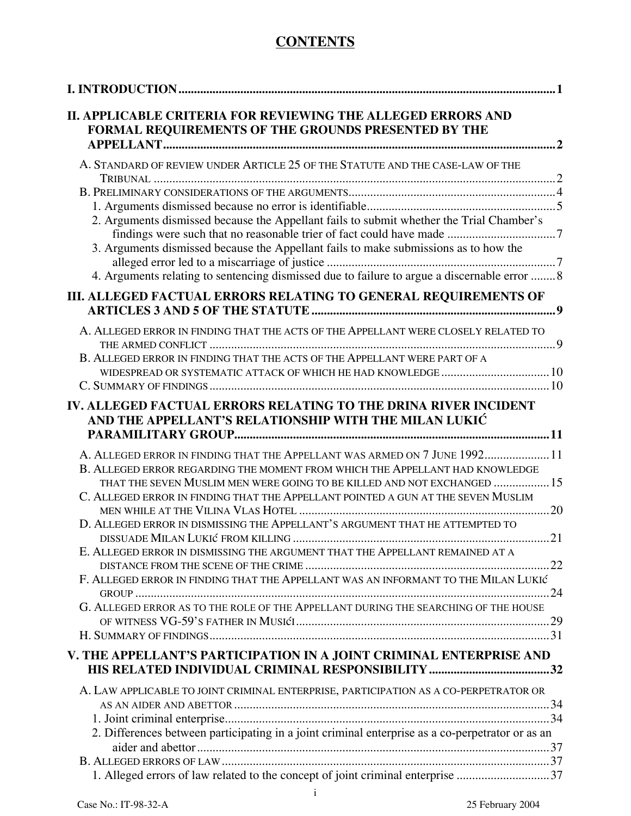# **CONTENTS**

| II. APPLICABLE CRITERIA FOR REVIEWING THE ALLEGED ERRORS AND<br>FORMAL REQUIREMENTS OF THE GROUNDS PRESENTED BY THE                                         |  |
|-------------------------------------------------------------------------------------------------------------------------------------------------------------|--|
| A. STANDARD OF REVIEW UNDER ARTICLE 25 OF THE STATUTE AND THE CASE-LAW OF THE                                                                               |  |
|                                                                                                                                                             |  |
|                                                                                                                                                             |  |
| 2. Arguments dismissed because the Appellant fails to submit whether the Trial Chamber's                                                                    |  |
|                                                                                                                                                             |  |
| 3. Arguments dismissed because the Appellant fails to make submissions as to how the                                                                        |  |
| 4. Arguments relating to sentencing dismissed due to failure to argue a discernable error  8                                                                |  |
|                                                                                                                                                             |  |
| III. ALLEGED FACTUAL ERRORS RELATING TO GENERAL REQUIREMENTS OF                                                                                             |  |
| A. ALLEGED ERROR IN FINDING THAT THE ACTS OF THE APPELLANT WERE CLOSELY RELATED TO                                                                          |  |
| B. ALLEGED ERROR IN FINDING THAT THE ACTS OF THE APPELLANT WERE PART OF A                                                                                   |  |
|                                                                                                                                                             |  |
|                                                                                                                                                             |  |
| IV. ALLEGED FACTUAL ERRORS RELATING TO THE DRINA RIVER INCIDENT<br>AND THE APPELLANT'S RELATIONSHIP WITH THE MILAN LUKIĆ                                    |  |
| A. ALLEGED ERROR IN FINDING THAT THE APPELLANT WAS ARMED ON 7 JUNE 1992 11                                                                                  |  |
| B. ALLEGED ERROR REGARDING THE MOMENT FROM WHICH THE APPELLANT HAD KNOWLEDGE                                                                                |  |
| THAT THE SEVEN MUSLIM MEN WERE GOING TO BE KILLED AND NOT EXCHANGED  15<br>C. ALLEGED ERROR IN FINDING THAT THE APPELLANT POINTED A GUN AT THE SEVEN MUSLIM |  |
|                                                                                                                                                             |  |
| D. ALLEGED ERROR IN DISMISSING THE APPELLANT'S ARGUMENT THAT HE ATTEMPTED TO                                                                                |  |
|                                                                                                                                                             |  |
| E. ALLEGED ERROR IN DISMISSING THE ARGUMENT THAT THE APPELLANT REMAINED AT A                                                                                |  |
| F. ALLEGED ERROR IN FINDING THAT THE APPELLANT WAS AN INFORMANT TO THE MILAN LUKIĆ                                                                          |  |
| G. ALLEGED ERROR AS TO THE ROLE OF THE APPELLANT DURING THE SEARCHING OF THE HOUSE                                                                          |  |
|                                                                                                                                                             |  |
|                                                                                                                                                             |  |
| V. THE APPELLANT'S PARTICIPATION IN A JOINT CRIMINAL ENTERPRISE AND                                                                                         |  |
| A. LAW APPLICABLE TO JOINT CRIMINAL ENTERPRISE, PARTICIPATION AS A CO-PERPETRATOR OR                                                                        |  |
|                                                                                                                                                             |  |
| 2. Differences between participating in a joint criminal enterprise as a co-perpetrator or as an                                                            |  |
|                                                                                                                                                             |  |
|                                                                                                                                                             |  |
| 1. Alleged errors of law related to the concept of joint criminal enterprise 37                                                                             |  |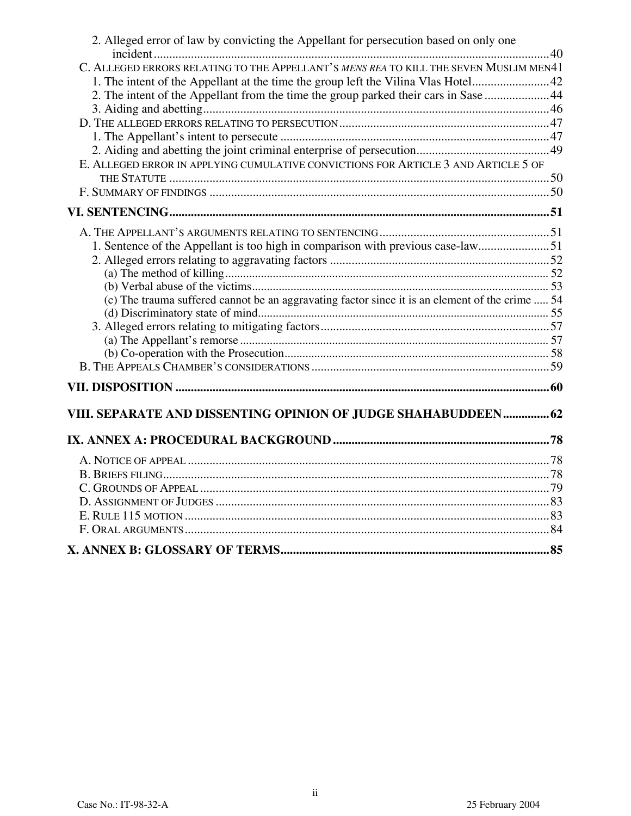| 2. Alleged error of law by convicting the Appellant for persecution based on only one           |  |
|-------------------------------------------------------------------------------------------------|--|
|                                                                                                 |  |
| C. ALLEGED ERRORS RELATING TO THE APPELLANT'S MENS REA TO KILL THE SEVEN MUSLIM MEN41           |  |
| 1. The intent of the Appellant at the time the group left the Vilina Vlas Hotel42               |  |
| 2. The intent of the Appellant from the time the group parked their cars in Sase  44            |  |
|                                                                                                 |  |
|                                                                                                 |  |
|                                                                                                 |  |
| E. ALLEGED ERROR IN APPLYING CUMULATIVE CONVICTIONS FOR ARTICLE 3 AND ARTICLE 5 OF              |  |
|                                                                                                 |  |
|                                                                                                 |  |
|                                                                                                 |  |
|                                                                                                 |  |
|                                                                                                 |  |
| 1. Sentence of the Appellant is too high in comparison with previous case-law51                 |  |
|                                                                                                 |  |
|                                                                                                 |  |
| (c) The trauma suffered cannot be an aggravating factor since it is an element of the crime  54 |  |
|                                                                                                 |  |
|                                                                                                 |  |
|                                                                                                 |  |
|                                                                                                 |  |
|                                                                                                 |  |
|                                                                                                 |  |
| VIII. SEPARATE AND DISSENTING OPINION OF JUDGE SHAHABUDDEEN 62                                  |  |
|                                                                                                 |  |
|                                                                                                 |  |
|                                                                                                 |  |
|                                                                                                 |  |
|                                                                                                 |  |
|                                                                                                 |  |
|                                                                                                 |  |
|                                                                                                 |  |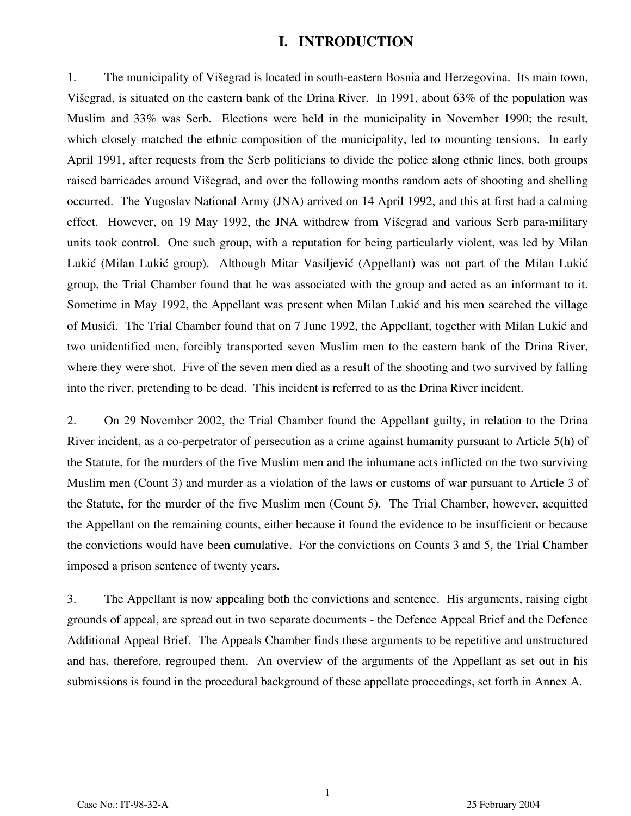### **I. INTRODUCTION**

1. The municipality of Visegrad is located in south-eastern Bosnia and Herzegovina. Its main town, Višegrad, is situated on the eastern bank of the Drina River. In 1991, about 63% of the population was Muslim and 33% was Serb. Elections were held in the municipality in November 1990; the result, which closely matched the ethnic composition of the municipality, led to mounting tensions. In early April 1991, after requests from the Serb politicians to divide the police along ethnic lines, both groups raised barricades around Višegrad, and over the following months random acts of shooting and shelling occurred. The Yugoslav National Army (JNA) arrived on 14 April 1992, and this at first had a calming effect. However, on 19 May 1992, the JNA withdrew from Visegrad and various Serb para-military units took control. One such group, with a reputation for being particularly violent, was led by Milan Lukić (Milan Lukić group). Although Mitar Vasiljević (Appellant) was not part of the Milan Lukić group, the Trial Chamber found that he was associated with the group and acted as an informant to it. Sometime in May 1992, the Appellant was present when Milan Lukić and his men searched the village of Musići. The Trial Chamber found that on 7 June 1992, the Appellant, together with Milan Lukić and two unidentified men, forcibly transported seven Muslim men to the eastern bank of the Drina River, where they were shot. Five of the seven men died as a result of the shooting and two survived by falling into the river, pretending to be dead. This incident is referred to as the Drina River incident.

2. On 29 November 2002, the Trial Chamber found the Appellant guilty, in relation to the Drina River incident, as a co-perpetrator of persecution as a crime against humanity pursuant to Article 5(h) of the Statute, for the murders of the five Muslim men and the inhumane acts inflicted on the two surviving Muslim men (Count 3) and murder as a violation of the laws or customs of war pursuant to Article 3 of the Statute, for the murder of the five Muslim men (Count 5). The Trial Chamber, however, acquitted the Appellant on the remaining counts, either because it found the evidence to be insufficient or because the convictions would have been cumulative. For the convictions on Counts 3 and 5, the Trial Chamber imposed a prison sentence of twenty years.

3. The Appellant is now appealing both the convictions and sentence. His arguments, raising eight grounds of appeal, are spread out in two separate documents - the Defence Appeal Brief and the Defence Additional Appeal Brief. The Appeals Chamber finds these arguments to be repetitive and unstructured and has, therefore, regrouped them. An overview of the arguments of the Appellant as set out in his submissions is found in the procedural background of these appellate proceedings, set forth in Annex A.

1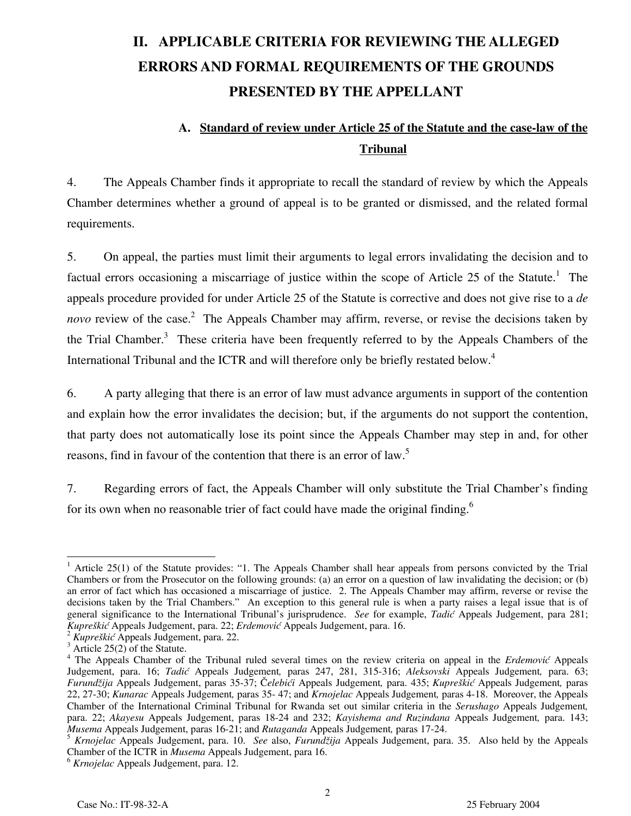# **II. APPLICABLE CRITERIA FOR REVIEWING THE ALLEGED ERRORS AND FORMAL REQUIREMENTS OF THE GROUNDS PRESENTED BY THE APPELLANT**

## **A. Standard of review under Article 25 of the Statute and the case-law of the Tribunal**

4. The Appeals Chamber finds it appropriate to recall the standard of review by which the Appeals Chamber determines whether a ground of appeal is to be granted or dismissed, and the related formal requirements.

5. On appeal, the parties must limit their arguments to legal errors invalidating the decision and to factual errors occasioning a miscarriage of justice within the scope of Article 25 of the Statute.<sup>1</sup> The appeals procedure provided for under Article 25 of the Statute is corrective and does not give rise to a *de* novo review of the case.<sup>2</sup> The Appeals Chamber may affirm, reverse, or revise the decisions taken by the Trial Chamber.<sup>3</sup> These criteria have been frequently referred to by the Appeals Chambers of the International Tribunal and the ICTR and will therefore only be briefly restated below.<sup>4</sup>

6. A party alleging that there is an error of law must advance arguments in support of the contention and explain how the error invalidates the decision; but, if the arguments do not support the contention, that party does not automatically lose its point since the Appeals Chamber may step in and, for other reasons, find in favour of the contention that there is an error of law.<sup>5</sup>

7. Regarding errors of fact, the Appeals Chamber will only substitute the Trial Chamber's finding for its own when no reasonable trier of fact could have made the original finding.<sup>6</sup>

 $\frac{1}{1}$  $1$  Article 25(1) of the Statute provides: "1. The Appeals Chamber shall hear appeals from persons convicted by the Trial Chambers or from the Prosecutor on the following grounds: (a) an error on a question of law invalidating the decision; or (b) an error of fact which has occasioned a miscarriage of justice. 2. The Appeals Chamber may affirm, reverse or revise the decisions taken by the Trial Chambers." An exception to this general rule is when a party raises a legal issue that is of general significance to the International Tribunal's jurisprudence. *See* for example, *Tadić* Appeals Judgement, para 281; *Kupreškić* Appeals Judgement, para. 22; *Erdemović* Appeals Judgement, para. 16. <sup>2</sup> *Kupreškić* Appeals Judgement, para. 22.

 $3$  Article 25(2) of the Statute.

<sup>&</sup>lt;sup>4</sup> The Appeals Chamber of the Tribunal ruled several times on the review criteria on appeal in the *Erdemović* Appeals Judgement, para. 16; *Tadi}* Appeals Judgement*,* paras 247, 281, 315-316; *Aleksovski* Appeals Judgement*,* para. 63; *Furund`ija* Appeals Judgement, paras 35-37; ^*elebi}i* Appeals Judgement*,* para. 435; *Kupre{ki}* Appeals Judgement*,* paras 22, 27-30; *Kunarac* Appeals Judgement*,* paras 35- 47; and *Krnojelac* Appeals Judgement*,* paras 4-18. Moreover, the Appeals Chamber of the International Criminal Tribunal for Rwanda set out similar criteria in the *Serushago* Appeals Judgement*,* para. 22; *Akayesu* Appeals Judgement, paras 18-24 and 232; *Kayishema and Ruzindana* Appeals Judgement*,* para. 143; *Musema* Appeals Judgement, paras 16-21; and *Rutaganda* Appeals Judgement*,* paras 17-24.

<sup>5</sup> *Krnojelac* Appeals Judgement, para. 10. *See* also, *Furund`ija* Appeals Judgement, para. 35. Also held by the Appeals Chamber of the ICTR in *Musema* Appeals Judgement, para 16.

<sup>6</sup> *Krnojelac* Appeals Judgement, para. 12.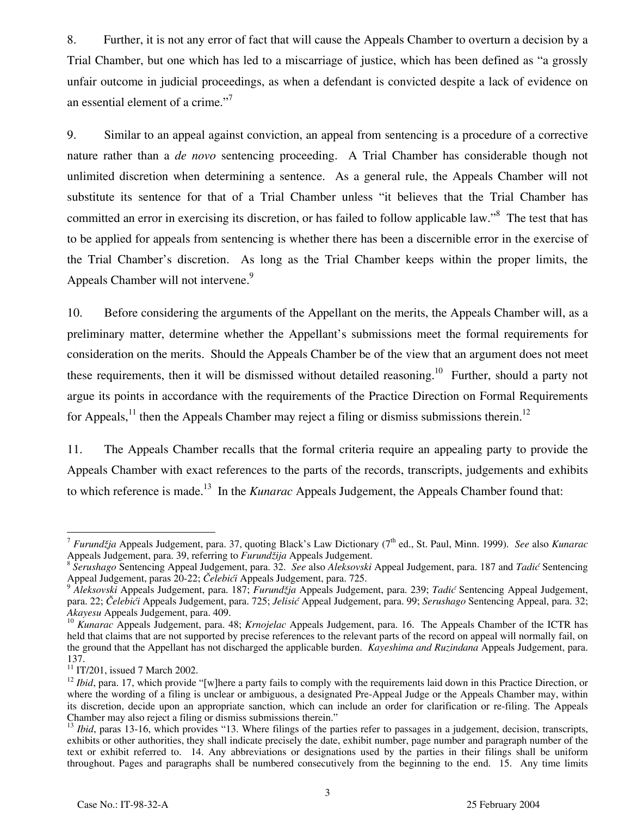8. Further, it is not any error of fact that will cause the Appeals Chamber to overturn a decision by a Trial Chamber, but one which has led to a miscarriage of justice, which has been defined as "a grossly unfair outcome in judicial proceedings, as when a defendant is convicted despite a lack of evidence on an essential element of a crime."<sup>7</sup>

9. Similar to an appeal against conviction, an appeal from sentencing is a procedure of a corrective nature rather than a *de novo* sentencing proceeding. A Trial Chamber has considerable though not unlimited discretion when determining a sentence. As a general rule, the Appeals Chamber will not substitute its sentence for that of a Trial Chamber unless "it believes that the Trial Chamber has committed an error in exercising its discretion, or has failed to follow applicable law."<sup>8</sup> The test that has to be applied for appeals from sentencing is whether there has been a discernible error in the exercise of the Trial Chamber's discretion. As long as the Trial Chamber keeps within the proper limits, the Appeals Chamber will not intervene.<sup>9</sup>

10. Before considering the arguments of the Appellant on the merits, the Appeals Chamber will, as a preliminary matter, determine whether the Appellant's submissions meet the formal requirements for consideration on the merits. Should the Appeals Chamber be of the view that an argument does not meet these requirements, then it will be dismissed without detailed reasoning.<sup>10</sup> Further, should a party not argue its points in accordance with the requirements of the Practice Direction on Formal Requirements for Appeals,<sup>11</sup> then the Appeals Chamber may reject a filing or dismiss submissions therein.<sup>12</sup>

11. The Appeals Chamber recalls that the formal criteria require an appealing party to provide the Appeals Chamber with exact references to the parts of the records, transcripts, judgements and exhibits to which reference is made.13 In the *Kunarac* Appeals Judgement, the Appeals Chamber found that:

<sup>-</sup><sup>7</sup> *Furund`ja* Appeals Judgement, para. 37, quoting Black's Law Dictionary (7th ed., St. Paul, Minn. 1999). *See* also *Kunarac* Appeals Judgement, para. 39, referring to *Furundžija* Appeals Judgement.<br><sup>8</sup> Serushago Sentencing Appeal Judgement, para. 32. See also Aleksovski Appeal Judgement, para. 187 and Tadić Sentencing

Appeal Judgement, paras 20-22; *Čelebići* Appeals Judgement, para. 725.

<sup>&</sup>lt;sup>9</sup> Aleksovski Appeals Judgement, para. 187; *Furundžja* Appeals Judgement, para. 239; *Tadić* Sentencing Appeal Judgement, para. 22; *^elebi}i* Appeals Judgement, para. 725; *Jelisi}* Appeal Judgement, para. 99; *Serushago* Sentencing Appeal, para. 32; *Akayesu* Appeals Judgement, para. 409.<br><sup>10</sup> *Kunarac* Appeals Judgement, para. 48; *Krnojelac* Appeals Judgement, para. 16. The Appeals Chamber of the ICTR has

held that claims that are not supported by precise references to the relevant parts of the record on appeal will normally fail, on the ground that the Appellant has not discharged the applicable burden. *Kayeshima and Ruzindana* Appeals Judgement, para. 137.

 $11$  IT/201, issued 7 March 2002.

<sup>&</sup>lt;sup>12</sup> *Ibid*, para. 17, which provide "[w]here a party fails to comply with the requirements laid down in this Practice Direction, or where the wording of a filing is unclear or ambiguous, a designated Pre-Appeal Judge or the Appeals Chamber may, within its discretion, decide upon an appropriate sanction, which can include an order for clarification or re-filing. The Appeals Chamber may also reject a filing or dismiss submissions therein."

<sup>&</sup>lt;sup>13</sup> *Ibid*, paras 13-16, which provides "13. Where filings of the parties refer to passages in a judgement, decision, transcripts, exhibits or other authorities, they shall indicate precisely the date, exhibit number, page number and paragraph number of the text or exhibit referred to. 14. Any abbreviations or designations used by the parties in their filings shall be uniform throughout. Pages and paragraphs shall be numbered consecutively from the beginning to the end. 15. Any time limits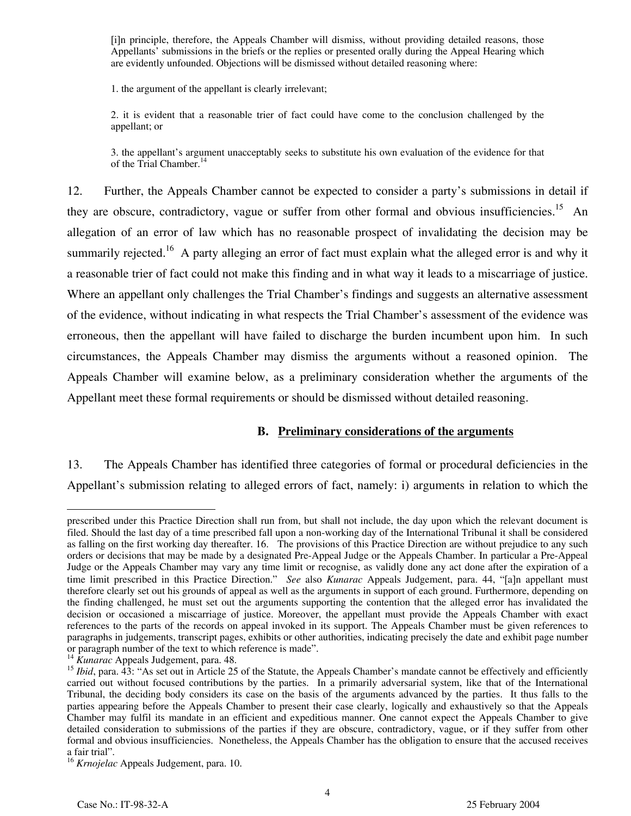[i]n principle, therefore, the Appeals Chamber will dismiss, without providing detailed reasons, those Appellants' submissions in the briefs or the replies or presented orally during the Appeal Hearing which are evidently unfounded. Objections will be dismissed without detailed reasoning where:

1. the argument of the appellant is clearly irrelevant;

2. it is evident that a reasonable trier of fact could have come to the conclusion challenged by the appellant; or

3. the appellant's argument unacceptably seeks to substitute his own evaluation of the evidence for that of the Trial Chamber.<sup>14</sup>

12. Further, the Appeals Chamber cannot be expected to consider a party's submissions in detail if they are obscure, contradictory, vague or suffer from other formal and obvious insufficiencies.<sup>15</sup> An allegation of an error of law which has no reasonable prospect of invalidating the decision may be summarily rejected.<sup>16</sup> A party alleging an error of fact must explain what the alleged error is and why it a reasonable trier of fact could not make this finding and in what way it leads to a miscarriage of justice. Where an appellant only challenges the Trial Chamber's findings and suggests an alternative assessment of the evidence, without indicating in what respects the Trial Chamber's assessment of the evidence was erroneous, then the appellant will have failed to discharge the burden incumbent upon him. In such circumstances, the Appeals Chamber may dismiss the arguments without a reasoned opinion. The Appeals Chamber will examine below, as a preliminary consideration whether the arguments of the Appellant meet these formal requirements or should be dismissed without detailed reasoning.

#### **B. Preliminary considerations of the arguments**

13. The Appeals Chamber has identified three categories of formal or procedural deficiencies in the Appellant's submission relating to alleged errors of fact, namely: i) arguments in relation to which the

prescribed under this Practice Direction shall run from, but shall not include, the day upon which the relevant document is filed. Should the last day of a time prescribed fall upon a non-working day of the International Tribunal it shall be considered as falling on the first working day thereafter. 16. The provisions of this Practice Direction are without prejudice to any such orders or decisions that may be made by a designated Pre-Appeal Judge or the Appeals Chamber. In particular a Pre-Appeal Judge or the Appeals Chamber may vary any time limit or recognise, as validly done any act done after the expiration of a time limit prescribed in this Practice Direction." *See* also *Kunarac* Appeals Judgement, para. 44, "[a]n appellant must therefore clearly set out his grounds of appeal as well as the arguments in support of each ground. Furthermore, depending on the finding challenged, he must set out the arguments supporting the contention that the alleged error has invalidated the decision or occasioned a miscarriage of justice. Moreover, the appellant must provide the Appeals Chamber with exact references to the parts of the records on appeal invoked in its support. The Appeals Chamber must be given references to paragraphs in judgements, transcript pages, exhibits or other authorities, indicating precisely the date and exhibit page number or paragraph number of the text to which reference is made".

<sup>14</sup> *Kunarac* Appeals Judgement, para. 48.

<sup>&</sup>lt;sup>15</sup> *Ibid*, para. 43: "As set out in Article 25 of the Statute, the Appeals Chamber's mandate cannot be effectively and efficiently carried out without focused contributions by the parties. In a primarily adversarial system, like that of the International Tribunal, the deciding body considers its case on the basis of the arguments advanced by the parties. It thus falls to the parties appearing before the Appeals Chamber to present their case clearly, logically and exhaustively so that the Appeals Chamber may fulfil its mandate in an efficient and expeditious manner. One cannot expect the Appeals Chamber to give detailed consideration to submissions of the parties if they are obscure, contradictory, vague, or if they suffer from other formal and obvious insufficiencies. Nonetheless, the Appeals Chamber has the obligation to ensure that the accused receives a fair trial".

<sup>16</sup> *Krnojelac* Appeals Judgement, para. 10.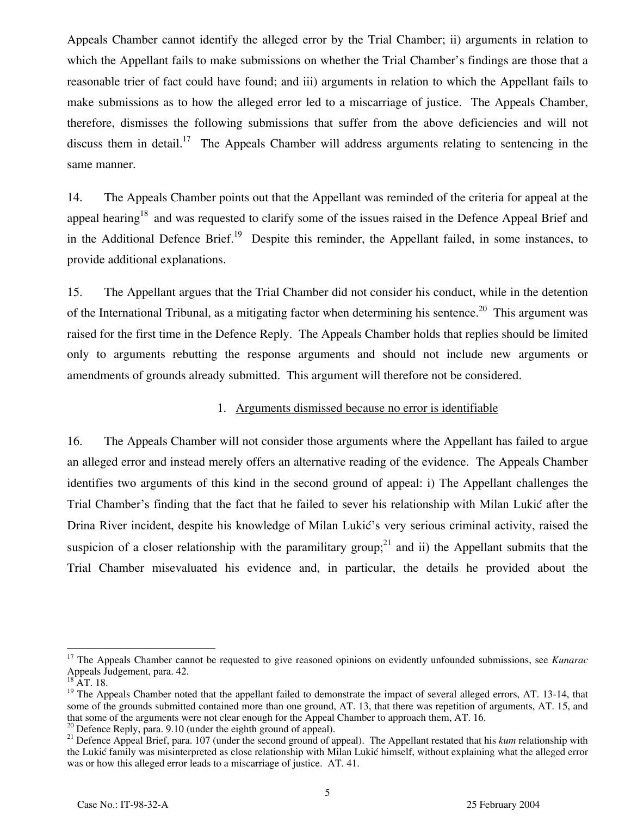Appeals Chamber cannot identify the alleged error by the Trial Chamber; ii) arguments in relation to which the Appellant fails to make submissions on whether the Trial Chamber's findings are those that a reasonable trier of fact could have found; and iii) arguments in relation to which the Appellant fails to make submissions as to how the alleged error led to a miscarriage of justice. The Appeals Chamber, therefore, dismisses the following submissions that suffer from the above deficiencies and will not discuss them in detail.<sup>17</sup> The Appeals Chamber will address arguments relating to sentencing in the same manner.

14. The Appeals Chamber points out that the Appellant was reminded of the criteria for appeal at the appeal hearing<sup>18</sup> and was requested to clarify some of the issues raised in the Defence Appeal Brief and in the Additional Defence Brief.<sup>19</sup> Despite this reminder, the Appellant failed, in some instances, to provide additional explanations.

15. The Appellant argues that the Trial Chamber did not consider his conduct, while in the detention of the International Tribunal, as a mitigating factor when determining his sentence.<sup>20</sup> This argument was raised for the first time in the Defence Reply. The Appeals Chamber holds that replies should be limited only to arguments rebutting the response arguments and should not include new arguments or amendments of grounds already submitted. This argument will therefore not be considered.

### 1. Arguments dismissed because no error is identifiable

16. The Appeals Chamber will not consider those arguments where the Appellant has failed to argue an alleged error and instead merely offers an alternative reading of the evidence. The Appeals Chamber identifies two arguments of this kind in the second ground of appeal: i) The Appellant challenges the Trial Chamber's finding that the fact that he failed to sever his relationship with Milan Lukić after the Drina River incident, despite his knowledge of Milan Lukić's very serious criminal activity, raised the suspicion of a closer relationship with the paramilitary group;  $21$  and ii) the Appellant submits that the Trial Chamber misevaluated his evidence and, in particular, the details he provided about the

 $\frac{1}{1}$ 

<sup>&</sup>lt;sup>17</sup> The Appeals Chamber cannot be requested to give reasoned opinions on evidently unfounded submissions, see *Kunarac* Appeals Judgement, para. 42.

 $AT. 18.$ 

<sup>&</sup>lt;sup>19</sup> The Appeals Chamber noted that the appellant failed to demonstrate the impact of several alleged errors, AT. 13-14, that some of the grounds submitted contained more than one ground, AT. 13, that there was repetition of arguments, AT. 15, and that some of the arguments were not clear enough for the Appeal Chamber to approach them, AT. 16.

 $20$  Defence Reply, para. 9.10 (under the eighth ground of appeal).

<sup>&</sup>lt;sup>21</sup> Defence Appeal Brief, para. 107 (under the second ground of appeal). The Appellant restated that his *kum* relationship with the Lukić family was misinterpreted as close relationship with Milan Lukić himself, without explaining what the alleged error was or how this alleged error leads to a miscarriage of justice. AT. 41.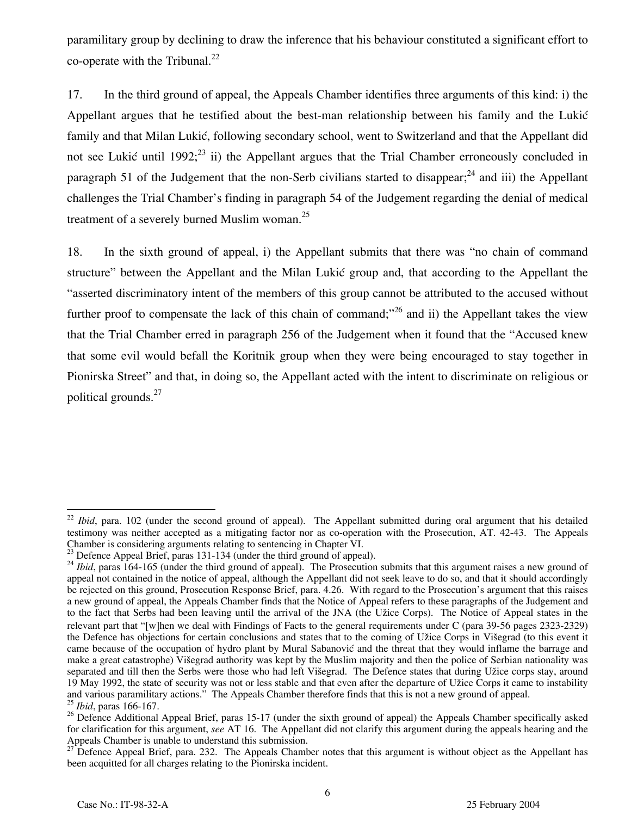paramilitary group by declining to draw the inference that his behaviour constituted a significant effort to co-operate with the Tribunal.<sup>22</sup>

17. In the third ground of appeal, the Appeals Chamber identifies three arguments of this kind: i) the Appellant argues that he testified about the best-man relationship between his family and the Lukić family and that Milan Lukić, following secondary school, went to Switzerland and that the Appellant did not see Lukić until 1992;<sup>23</sup> ii) the Appellant argues that the Trial Chamber erroneously concluded in paragraph 51 of the Judgement that the non-Serb civilians started to disappear;<sup>24</sup> and iii) the Appellant challenges the Trial Chamber's finding in paragraph 54 of the Judgement regarding the denial of medical treatment of a severely burned Muslim woman.<sup>25</sup>

18. In the sixth ground of appeal, i) the Appellant submits that there was "no chain of command structure" between the Appellant and the Milan Lukić group and, that according to the Appellant the "asserted discriminatory intent of the members of this group cannot be attributed to the accused without further proof to compensate the lack of this chain of command;<sup> $26$ </sup> and ii) the Appellant takes the view that the Trial Chamber erred in paragraph 256 of the Judgement when it found that the "Accused knew that some evil would befall the Koritnik group when they were being encouraged to stay together in Pionirska Street" and that, in doing so, the Appellant acted with the intent to discriminate on religious or political grounds.<sup>27</sup>

<sup>&</sup>lt;sup>22</sup> *Ibid*, para. 102 (under the second ground of appeal). The Appellant submitted during oral argument that his detailed testimony was neither accepted as a mitigating factor nor as co-operation with the Prosecution, AT. 42-43. The Appeals Chamber is considering arguments relating to sentencing in Chapter VI.

<sup>&</sup>lt;sup>23</sup> Defence Appeal Brief, paras 131-134 (under the third ground of appeal).

<sup>&</sup>lt;sup>24</sup> *Ibid*, paras 164-165 (under the third ground of appeal). The Prosecution submits that this argument raises a new ground of appeal not contained in the notice of appeal, although the Appellant did not seek leave to do so, and that it should accordingly be rejected on this ground, Prosecution Response Brief, para. 4.26. With regard to the Prosecution's argument that this raises a new ground of appeal, the Appeals Chamber finds that the Notice of Appeal refers to these paragraphs of the Judgement and to the fact that Serbs had been leaving until the arrival of the JNA (the Užice Corps). The Notice of Appeal states in the relevant part that "[w]hen we deal with Findings of Facts to the general requirements under C (para 39-56 pages 2323-2329) the Defence has objections for certain conclusions and states that to the coming of Užice Corps in Višegrad (to this event it came because of the occupation of hydro plant by Mural Sabanović and the threat that they would inflame the barrage and make a great catastrophe) Višegrad authority was kept by the Muslim majority and then the police of Serbian nationality was separated and till then the Serbs were those who had left Visegrad. The Defence states that during Užice corps stay, around 19 May 1992, the state of security was not or less stable and that even after the departure of U`ice Corps it came to instability and various paramilitary actions." The Appeals Chamber therefore finds that this is not a new ground of appeal. <sup>25</sup> *Ibid*, paras 166-167.

<sup>&</sup>lt;sup>26</sup> Defence Additional Appeal Brief, paras 15-17 (under the sixth ground of appeal) the Appeals Chamber specifically asked for clarification for this argument, *see* AT 16. The Appellant did not clarify this argument during the appeals hearing and the Appeals Chamber is unable to understand this submission.

Defence Appeal Brief, para. 232. The Appeals Chamber notes that this argument is without object as the Appellant has been acquitted for all charges relating to the Pionirska incident.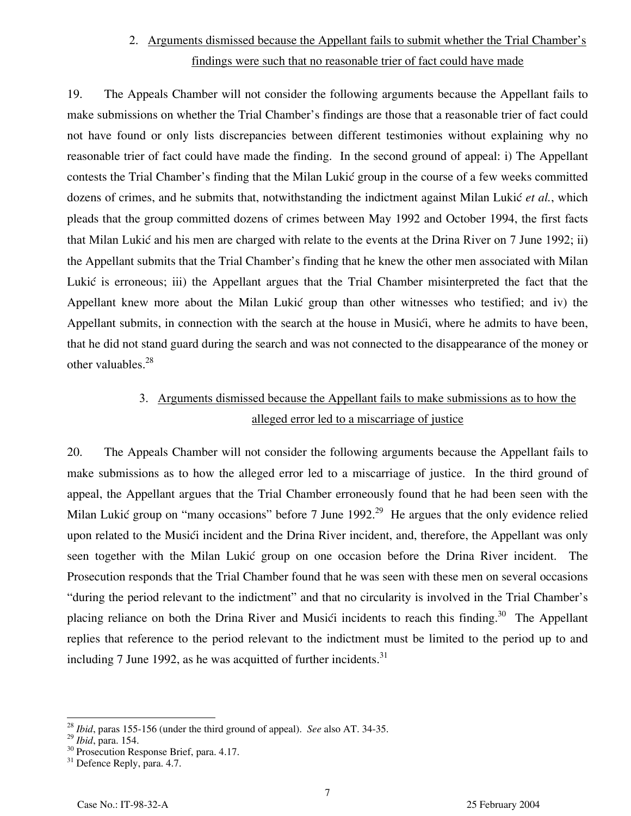## 2. Arguments dismissed because the Appellant fails to submit whether the Trial Chamber's findings were such that no reasonable trier of fact could have made

19. The Appeals Chamber will not consider the following arguments because the Appellant fails to make submissions on whether the Trial Chamber's findings are those that a reasonable trier of fact could not have found or only lists discrepancies between different testimonies without explaining why no reasonable trier of fact could have made the finding. In the second ground of appeal: i) The Appellant contests the Trial Chamber's finding that the Milan Lukić group in the course of a few weeks committed dozens of crimes, and he submits that, notwithstanding the indictment against Milan Lukić et al., which pleads that the group committed dozens of crimes between May 1992 and October 1994, the first facts that Milan Lukić and his men are charged with relate to the events at the Drina River on 7 June 1992; ii) the Appellant submits that the Trial Chamber's finding that he knew the other men associated with Milan Lukić is erroneous; iii) the Appellant argues that the Trial Chamber misinterpreted the fact that the Appellant knew more about the Milan Lukić group than other witnesses who testified; and iv) the Appellant submits, in connection with the search at the house in Musici, where he admits to have been, that he did not stand guard during the search and was not connected to the disappearance of the money or other valuables. $^{28}$ 

# 3. Arguments dismissed because the Appellant fails to make submissions as to how the alleged error led to a miscarriage of justice

20. The Appeals Chamber will not consider the following arguments because the Appellant fails to make submissions as to how the alleged error led to a miscarriage of justice. In the third ground of appeal, the Appellant argues that the Trial Chamber erroneously found that he had been seen with the Milan Lukić group on "many occasions" before 7 June 1992.<sup>29</sup> He argues that the only evidence relied upon related to the Musici incident and the Drina River incident, and, therefore, the Appellant was only seen together with the Milan Lukić group on one occasion before the Drina River incident. The Prosecution responds that the Trial Chamber found that he was seen with these men on several occasions "during the period relevant to the indictment" and that no circularity is involved in the Trial Chamber's placing reliance on both the Drina River and Musici incidents to reach this finding.<sup>30</sup> The Appellant replies that reference to the period relevant to the indictment must be limited to the period up to and including 7 June 1992, as he was acquitted of further incidents.<sup>31</sup>

<sup>28</sup> *Ibid*, paras 155-156 (under the third ground of appeal). *See* also AT. 34-35.

<sup>29</sup> *Ibid*, para. 154. 30 Prosecution Response Brief, para. 4.17.

 $31$  Defence Reply, para. 4.7.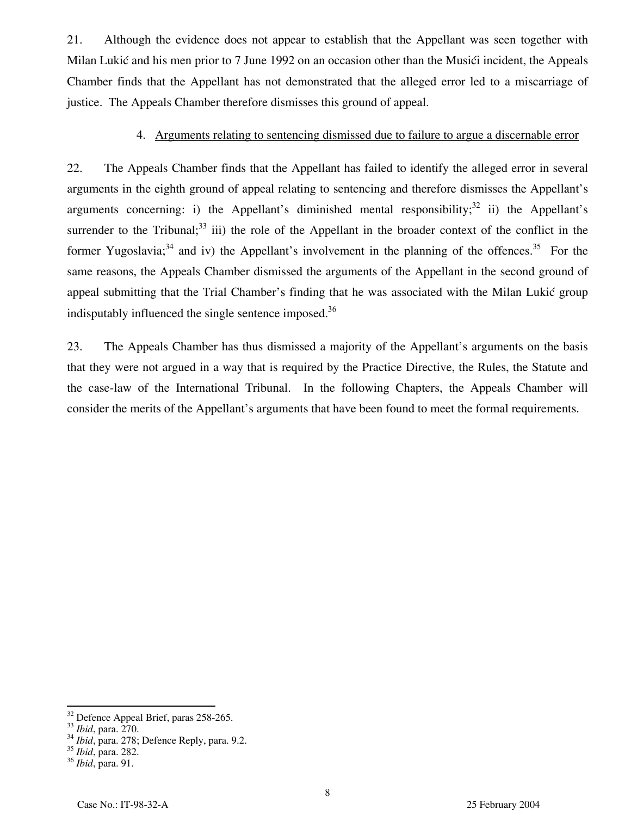21. Although the evidence does not appear to establish that the Appellant was seen together with Milan Lukić and his men prior to 7 June 1992 on an occasion other than the Musići incident, the Appeals Chamber finds that the Appellant has not demonstrated that the alleged error led to a miscarriage of justice. The Appeals Chamber therefore dismisses this ground of appeal.

#### 4. Arguments relating to sentencing dismissed due to failure to argue a discernable error

22. The Appeals Chamber finds that the Appellant has failed to identify the alleged error in several arguments in the eighth ground of appeal relating to sentencing and therefore dismisses the Appellant's arguments concerning: i) the Appellant's diminished mental responsibility;<sup>32</sup> ii) the Appellant's surrender to the Tribunal; $33$  iii) the role of the Appellant in the broader context of the conflict in the former Yugoslavia;<sup>34</sup> and iv) the Appellant's involvement in the planning of the offences.<sup>35</sup> For the same reasons, the Appeals Chamber dismissed the arguments of the Appellant in the second ground of appeal submitting that the Trial Chamber's finding that he was associated with the Milan Lukić group indisputably influenced the single sentence imposed.<sup>36</sup>

23. The Appeals Chamber has thus dismissed a majority of the Appellant's arguments on the basis that they were not argued in a way that is required by the Practice Directive, the Rules, the Statute and the case-law of the International Tribunal. In the following Chapters, the Appeals Chamber will consider the merits of the Appellant's arguments that have been found to meet the formal requirements.

<sup>&</sup>lt;u>.</u> <sup>32</sup> Defence Appeal Brief, paras 258-265.

<sup>33</sup> *Ibid*, para. 270. <sup>34</sup> *Ibid*, para. 278; Defence Reply, para. 9.2.

<sup>35</sup> *Ibid*, para. 282.

<sup>36</sup> *Ibid*, para. 91.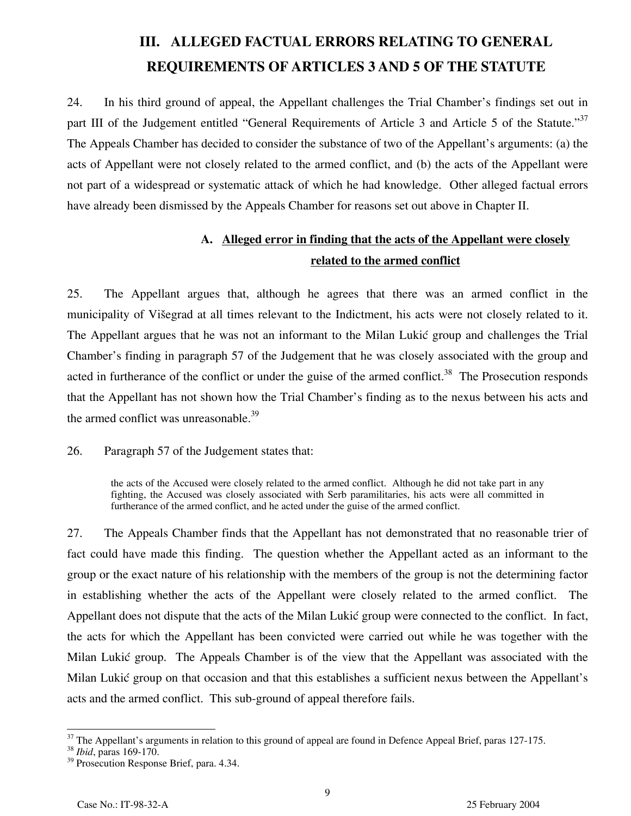# **III. ALLEGED FACTUAL ERRORS RELATING TO GENERAL REQUIREMENTS OF ARTICLES 3 AND 5 OF THE STATUTE**

24. In his third ground of appeal, the Appellant challenges the Trial Chamber's findings set out in part III of the Judgement entitled "General Requirements of Article 3 and Article 5 of the Statute."<sup>37</sup> The Appeals Chamber has decided to consider the substance of two of the Appellant's arguments: (a) the acts of Appellant were not closely related to the armed conflict, and (b) the acts of the Appellant were not part of a widespread or systematic attack of which he had knowledge. Other alleged factual errors have already been dismissed by the Appeals Chamber for reasons set out above in Chapter II.

## **A. Alleged error in finding that the acts of the Appellant were closely related to the armed conflict**

25. The Appellant argues that, although he agrees that there was an armed conflict in the municipality of Vi<sub>s</sub>egrad at all times relevant to the Indictment, his acts were not closely related to it. The Appellant argues that he was not an informant to the Milan Lukić group and challenges the Trial Chamber's finding in paragraph 57 of the Judgement that he was closely associated with the group and acted in furtherance of the conflict or under the guise of the armed conflict.<sup>38</sup> The Prosecution responds that the Appellant has not shown how the Trial Chamber's finding as to the nexus between his acts and the armed conflict was unreasonable. $39$ 

26. Paragraph 57 of the Judgement states that:

the acts of the Accused were closely related to the armed conflict. Although he did not take part in any fighting, the Accused was closely associated with Serb paramilitaries, his acts were all committed in furtherance of the armed conflict, and he acted under the guise of the armed conflict.

27. The Appeals Chamber finds that the Appellant has not demonstrated that no reasonable trier of fact could have made this finding. The question whether the Appellant acted as an informant to the group or the exact nature of his relationship with the members of the group is not the determining factor in establishing whether the acts of the Appellant were closely related to the armed conflict. The Appellant does not dispute that the acts of the Milan Lukić group were connected to the conflict. In fact, the acts for which the Appellant has been convicted were carried out while he was together with the Milan Lukić group. The Appeals Chamber is of the view that the Appellant was associated with the Milan Lukić group on that occasion and that this establishes a sufficient nexus between the Appellant's acts and the armed conflict. This sub-ground of appeal therefore fails.

 $\frac{37}{10}$  The Appellant's arguments in relation to this ground of appeal are found in Defence Appeal Brief, paras 127-175.

<sup>38</sup> *Ibid*, paras 169-170.

<sup>&</sup>lt;sup>39</sup> Prosecution Response Brief, para. 4.34.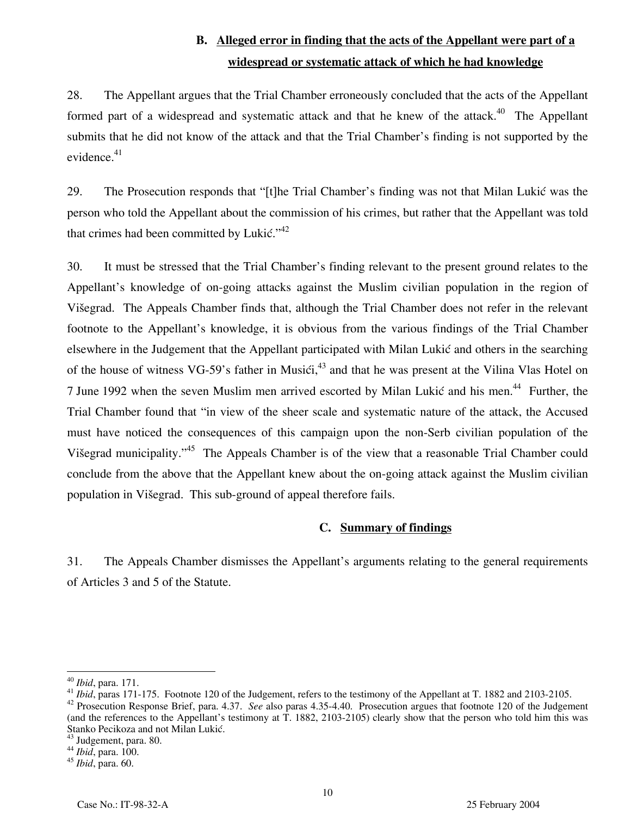# **B. Alleged error in finding that the acts of the Appellant were part of a widespread or systematic attack of which he had knowledge**

28. The Appellant argues that the Trial Chamber erroneously concluded that the acts of the Appellant formed part of a widespread and systematic attack and that he knew of the attack.<sup>40</sup> The Appellant submits that he did not know of the attack and that the Trial Chamber's finding is not supported by the evidence.<sup>41</sup>

29. The Prosecution responds that "[t]he Trial Chamber's finding was not that Milan Lukić was the person who told the Appellant about the commission of his crimes, but rather that the Appellant was told that crimes had been committed by Lukić." $42$ 

30. It must be stressed that the Trial Chamber's finding relevant to the present ground relates to the Appellant's knowledge of on-going attacks against the Muslim civilian population in the region of Višegrad. The Appeals Chamber finds that, although the Trial Chamber does not refer in the relevant footnote to the Appellant's knowledge, it is obvious from the various findings of the Trial Chamber elsewhere in the Judgement that the Appellant participated with Milan Lukić and others in the searching of the house of witness VG-59's father in Musici,<sup>43</sup> and that he was present at the Vilina Vlas Hotel on 7 June 1992 when the seven Muslim men arrived escorted by Milan Lukić and his men.<sup>44</sup> Further, the Trial Chamber found that "in view of the sheer scale and systematic nature of the attack, the Accused must have noticed the consequences of this campaign upon the non-Serb civilian population of the Višegrad municipality."<sup>45</sup> The Appeals Chamber is of the view that a reasonable Trial Chamber could conclude from the above that the Appellant knew about the on-going attack against the Muslim civilian population in Vi<sub>s</sub>egrad. This sub-ground of appeal therefore fails.

#### **C. Summary of findings**

31. The Appeals Chamber dismisses the Appellant's arguments relating to the general requirements of Articles 3 and 5 of the Statute.

(and the references to the Appellant's testimony at T. 1882, 2103-2105) clearly show that the person who told him this was Stanko Pecikoza and not Milan Lukić.

 $40$  *Ibid*, para. 171.

*Al Ibid*, paras 171-175. Footnote 120 of the Judgement, refers to the testimony of the Appellant at T. 1882 and 2103-2105.<br><sup>42</sup> Prosecution Response Brief, para. 4.37. *See* also paras 4.35-4.40. Prosecution argues that f

<sup>&</sup>lt;sup>43</sup> Judgement, para. 80.

<sup>44</sup> *Ibid*, para. 100.

<sup>45</sup> *Ibid*, para. 60.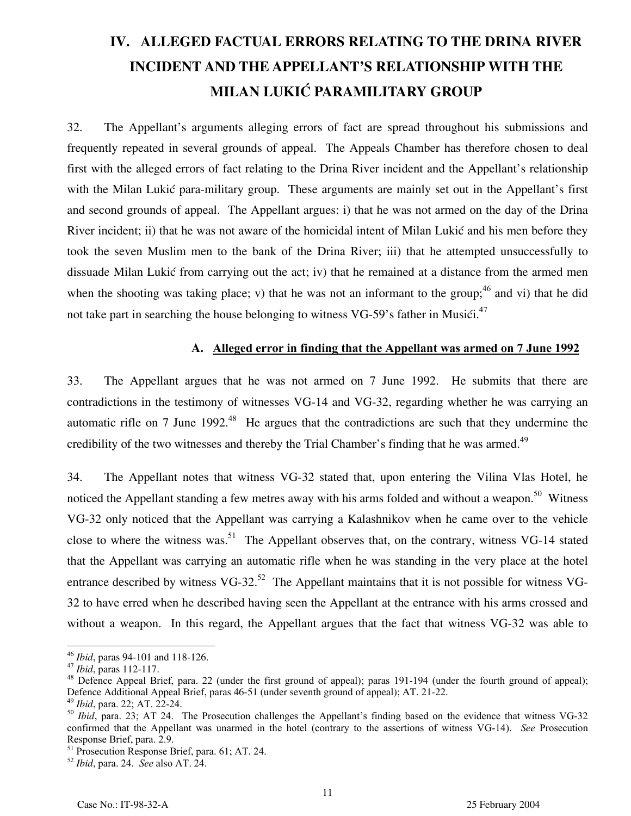# **IV. ALLEGED FACTUAL ERRORS RELATING TO THE DRINA RIVER INCIDENT AND THE APPELLANT'S RELATIONSHIP WITH THE MILAN LUKIĆ PARAMILITARY GROUP**

32. The Appellant's arguments alleging errors of fact are spread throughout his submissions and frequently repeated in several grounds of appeal. The Appeals Chamber has therefore chosen to deal first with the alleged errors of fact relating to the Drina River incident and the Appellant's relationship with the Milan Lukić para-military group. These arguments are mainly set out in the Appellant's first and second grounds of appeal. The Appellant argues: i) that he was not armed on the day of the Drina River incident; ii) that he was not aware of the homicidal intent of Milan Lukić and his men before they took the seven Muslim men to the bank of the Drina River; iii) that he attempted unsuccessfully to dissuade Milan Lukić from carrying out the act; iv) that he remained at a distance from the armed men when the shooting was taking place; v) that he was not an informant to the group;  $^{46}$  and vi) that he did not take part in searching the house belonging to witness VG-59's father in Musici.<sup>47</sup>

#### **A. Alleged error in finding that the Appellant was armed on 7 June 1992**

33. The Appellant argues that he was not armed on 7 June 1992. He submits that there are contradictions in the testimony of witnesses VG-14 and VG-32, regarding whether he was carrying an automatic rifle on 7 June 1992.<sup>48</sup> He argues that the contradictions are such that they undermine the credibility of the two witnesses and thereby the Trial Chamber's finding that he was armed.<sup>49</sup>

34. The Appellant notes that witness VG-32 stated that, upon entering the Vilina Vlas Hotel, he noticed the Appellant standing a few metres away with his arms folded and without a weapon.<sup>50</sup> Witness VG-32 only noticed that the Appellant was carrying a Kalashnikov when he came over to the vehicle close to where the witness was.<sup>51</sup> The Appellant observes that, on the contrary, witness VG-14 stated that the Appellant was carrying an automatic rifle when he was standing in the very place at the hotel entrance described by witness  $VG$ -32.<sup>52</sup> The Appellant maintains that it is not possible for witness VG-32 to have erred when he described having seen the Appellant at the entrance with his arms crossed and without a weapon. In this regard, the Appellant argues that the fact that witness VG-32 was able to

 $46$  *Ibid*, paras 94-101 and 118-126.

<sup>&</sup>lt;sup>47</sup> *Ibid*, paras 112-117.<br><sup>48</sup> Defence Appeal Brief, para. 22 (under the first ground of appeal); paras 191-194 (under the fourth ground of appeal);<br>Defence Additional Appeal Brief, paras 46-51 (under seventh ground of a

<sup>&</sup>lt;sup>49</sup> *Ibid*, para. 22; AT.  $22-24$ .<br><sup>50</sup> *Ibid*, para. 23; AT 24. The Prosecution challenges the Appellant's finding based on the evidence that witness VG-32 confirmed that the Appellant was unarmed in the hotel (contrary to the assertions of witness VG-14). *See* Prosecution Response Brief, para. 2.9.

<sup>51</sup> Prosecution Response Brief, para. 61; AT. 24.

<sup>52</sup> *Ibid*, para. 24. *See* also AT. 24.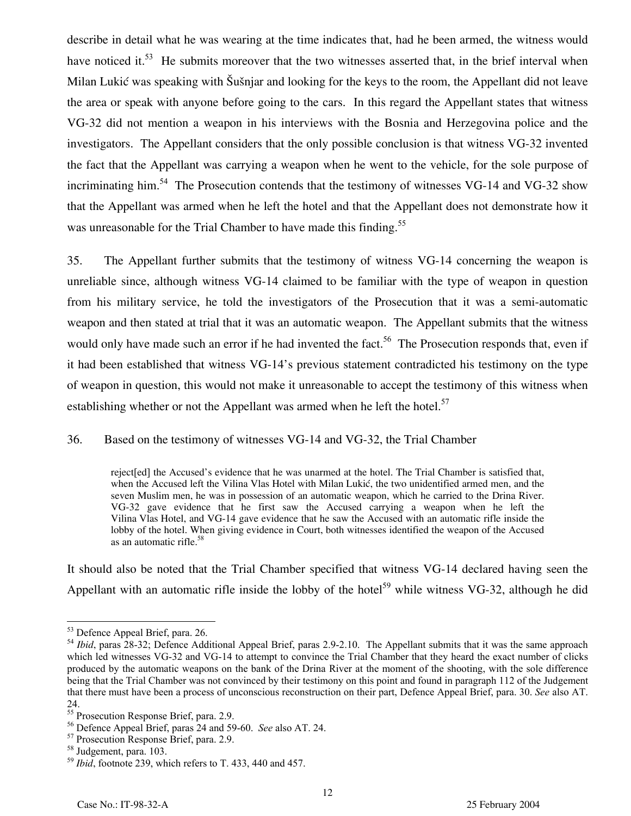describe in detail what he was wearing at the time indicates that, had he been armed, the witness would have noticed it.<sup>53</sup> He submits moreover that the two witnesses asserted that, in the brief interval when Milan Lukić was speaking with Sušnjar and looking for the keys to the room, the Appellant did not leave the area or speak with anyone before going to the cars. In this regard the Appellant states that witness VG-32 did not mention a weapon in his interviews with the Bosnia and Herzegovina police and the investigators. The Appellant considers that the only possible conclusion is that witness VG-32 invented the fact that the Appellant was carrying a weapon when he went to the vehicle, for the sole purpose of incriminating him.<sup>54</sup> The Prosecution contends that the testimony of witnesses VG-14 and VG-32 show that the Appellant was armed when he left the hotel and that the Appellant does not demonstrate how it was unreasonable for the Trial Chamber to have made this finding.<sup>55</sup>

35. The Appellant further submits that the testimony of witness VG-14 concerning the weapon is unreliable since, although witness VG-14 claimed to be familiar with the type of weapon in question from his military service, he told the investigators of the Prosecution that it was a semi-automatic weapon and then stated at trial that it was an automatic weapon. The Appellant submits that the witness would only have made such an error if he had invented the fact.<sup>56</sup> The Prosecution responds that, even if it had been established that witness VG-14's previous statement contradicted his testimony on the type of weapon in question, this would not make it unreasonable to accept the testimony of this witness when establishing whether or not the Appellant was armed when he left the hotel.<sup>57</sup>

36. Based on the testimony of witnesses VG-14 and VG-32, the Trial Chamber

reject[ed] the Accused's evidence that he was unarmed at the hotel. The Trial Chamber is satisfied that, when the Accused left the Vilina Vlas Hotel with Milan Lukić, the two unidentified armed men, and the seven Muslim men, he was in possession of an automatic weapon, which he carried to the Drina River. VG-32 gave evidence that he first saw the Accused carrying a weapon when he left the Vilina Vlas Hotel, and VG-14 gave evidence that he saw the Accused with an automatic rifle inside the lobby of the hotel. When giving evidence in Court, both witnesses identified the weapon of the Accused as an automatic rifle.<sup>58</sup>

It should also be noted that the Trial Chamber specified that witness VG-14 declared having seen the Appellant with an automatic rifle inside the lobby of the hotel<sup>59</sup> while witness VG-32, although he did

<sup>53</sup> Defence Appeal Brief, para. 26.

<sup>&</sup>lt;sup>54</sup> *Ibid*, paras 28-32; Defence Additional Appeal Brief, paras 2.9-2.10. The Appellant submits that it was the same approach which led witnesses VG-32 and VG-14 to attempt to convince the Trial Chamber that they heard the exact number of clicks produced by the automatic weapons on the bank of the Drina River at the moment of the shooting, with the sole difference being that the Trial Chamber was not convinced by their testimony on this point and found in paragraph 112 of the Judgement that there must have been a process of unconscious reconstruction on their part, Defence Appeal Brief, para. 30. *See* also AT. 24.

<sup>&</sup>lt;sup>55</sup> Prosecution Response Brief, para. 2.9.

<sup>56</sup> Defence Appeal Brief, paras 24 and 59-60. *See* also AT. 24. 57 Prosecution Response Brief, para. 2.9.

<sup>58</sup> Judgement, para. 103.

<sup>59</sup> *Ibid*, footnote 239, which refers to T. 433, 440 and 457.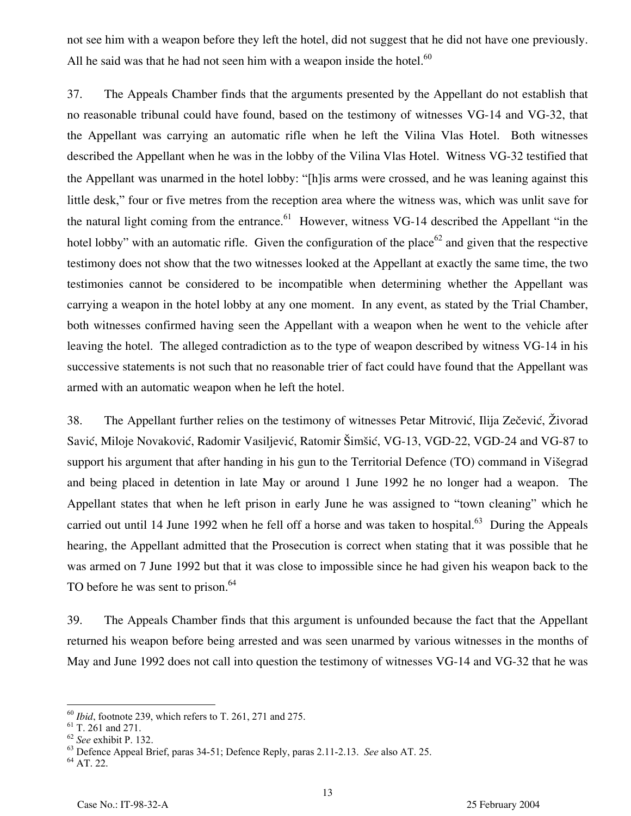not see him with a weapon before they left the hotel, did not suggest that he did not have one previously. All he said was that he had not seen him with a weapon inside the hotel. $60$ 

37. The Appeals Chamber finds that the arguments presented by the Appellant do not establish that no reasonable tribunal could have found, based on the testimony of witnesses VG-14 and VG-32, that the Appellant was carrying an automatic rifle when he left the Vilina Vlas Hotel.Both witnesses described the Appellant when he was in the lobby of the Vilina Vlas Hotel. Witness VG-32 testified that the Appellant was unarmed in the hotel lobby: "[h]is arms were crossed, and he was leaning against this little desk," four or five metres from the reception area where the witness was, which was unlit save for the natural light coming from the entrance.<sup>61</sup> However, witness VG-14 described the Appellant "in the hotel lobby" with an automatic rifle. Given the configuration of the place<sup>62</sup> and given that the respective testimony does not show that the two witnesses looked at the Appellant at exactly the same time, the two testimonies cannot be considered to be incompatible when determining whether the Appellant was carrying a weapon in the hotel lobby at any one moment. In any event, as stated by the Trial Chamber, both witnesses confirmed having seen the Appellant with a weapon when he went to the vehicle after leaving the hotel. The alleged contradiction as to the type of weapon described by witness VG-14 in his successive statements is not such that no reasonable trier of fact could have found that the Appellant was armed with an automatic weapon when he left the hotel.

38. The Appellant further relies on the testimony of witnesses Petar Mitrović, Ilija Zečević, Živorad Savić, Miloje Novaković, Radomir Vasiljević, Ratomir Šimšić, VG-13, VGD-22, VGD-24 and VG-87 to support his argument that after handing in his gun to the Territorial Defence (TO) command in Vi $\gamma$ egrad and being placed in detention in late May or around 1 June 1992 he no longer had a weapon. The Appellant states that when he left prison in early June he was assigned to "town cleaning" which he carried out until 14 June 1992 when he fell off a horse and was taken to hospital.<sup>63</sup> During the Appeals hearing, the Appellant admitted that the Prosecution is correct when stating that it was possible that he was armed on 7 June 1992 but that it was close to impossible since he had given his weapon back to the TO before he was sent to prison.<sup>64</sup>

39. The Appeals Chamber finds that this argument is unfounded because the fact that the Appellant returned his weapon before being arrested and was seen unarmed by various witnesses in the months of May and June 1992 does not call into question the testimony of witnesses VG-14 and VG-32 that he was

<sup>-</sup><sup>60</sup> *Ibid*, footnote 239, which refers to T. 261, 271 and 275. <sup>61</sup> T. 261 and 271.

<sup>&</sup>lt;sup>61</sup> T. 261 and 271.<br><sup>62</sup> *See* exhibit P. 132.<br><sup>63</sup> Defence Appeal Brief, paras 34-51; Defence Reply, paras 2.11-2.13. *See* also AT. 25.

 $64$  AT. 22.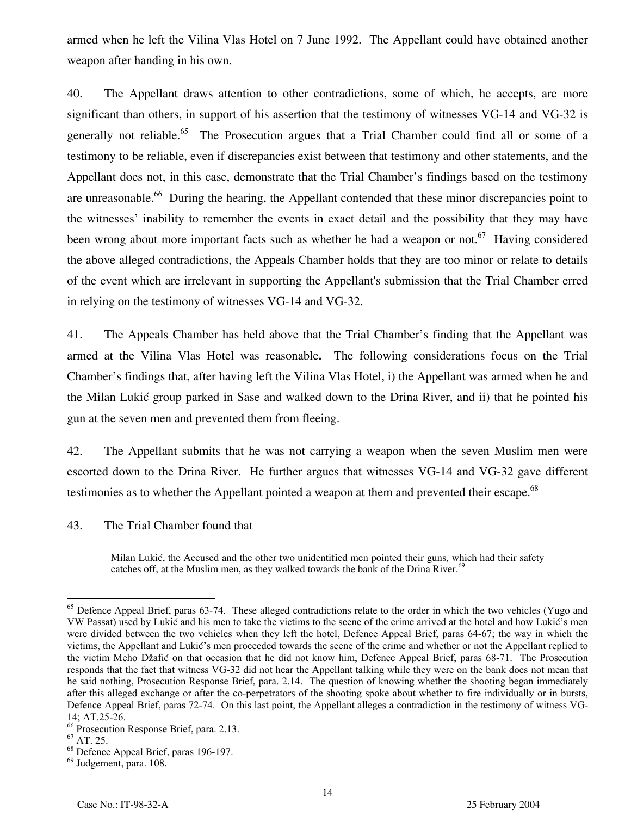armed when he left the Vilina Vlas Hotel on 7 June 1992. The Appellant could have obtained another weapon after handing in his own.

40. The Appellant draws attention to other contradictions, some of which, he accepts, are more significant than others, in support of his assertion that the testimony of witnesses VG-14 and VG-32 is generally not reliable.<sup>65</sup> The Prosecution argues that a Trial Chamber could find all or some of a testimony to be reliable, even if discrepancies exist between that testimony and other statements, and the Appellant does not, in this case, demonstrate that the Trial Chamber's findings based on the testimony are unreasonable.<sup>66</sup> During the hearing, the Appellant contended that these minor discrepancies point to the witnesses' inability to remember the events in exact detail and the possibility that they may have been wrong about more important facts such as whether he had a weapon or not.<sup>67</sup> Having considered the above alleged contradictions, the Appeals Chamber holds that they are too minor or relate to details of the event which are irrelevant in supporting the Appellant's submission that the Trial Chamber erred in relying on the testimony of witnesses VG-14 and VG-32.

41. The Appeals Chamber has held above that the Trial Chamber's finding that the Appellant was armed at the Vilina Vlas Hotel was reasonable**.** The following considerations focus on the Trial Chamber's findings that, after having left the Vilina Vlas Hotel, i) the Appellant was armed when he and the Milan Lukić group parked in Sase and walked down to the Drina River, and ii) that he pointed his gun at the seven men and prevented them from fleeing.

42. The Appellant submits that he was not carrying a weapon when the seven Muslim men were escorted down to the Drina River. He further argues that witnesses VG-14 and VG-32 gave different testimonies as to whether the Appellant pointed a weapon at them and prevented their escape.<sup>68</sup>

#### 43. The Trial Chamber found that

Milan Lukić, the Accused and the other two unidentified men pointed their guns, which had their safety catches off, at the Muslim men, as they walked towards the bank of the Drina River.<sup>69</sup>

<sup>&</sup>lt;sup>65</sup> Defence Appeal Brief, paras 63-74. These alleged contradictions relate to the order in which the two vehicles (Yugo and VW Passat) used by Lukić and his men to take the victims to the scene of the crime arrived at the hotel and how Lukić's men were divided between the two vehicles when they left the hotel, Defence Appeal Brief, paras 64-67; the way in which the victims, the Appellant and Lukić's men proceeded towards the scene of the crime and whether or not the Appellant replied to the victim Meho Džafić on that occasion that he did not know him, Defence Appeal Brief, paras 68-71. The Prosecution responds that the fact that witness VG-32 did not hear the Appellant talking while they were on the bank does not mean that he said nothing, Prosecution Response Brief, para. 2.14. The question of knowing whether the shooting began immediately after this alleged exchange or after the co-perpetrators of the shooting spoke about whether to fire individually or in bursts, Defence Appeal Brief, paras 72-74. On this last point, the Appellant alleges a contradiction in the testimony of witness VG-14; AT.25-26.

<sup>66</sup> Prosecution Response Brief, para. 2.13.

 $67$  AT. 25.

<sup>68</sup> Defence Appeal Brief, paras 196-197.

<sup>69</sup> Judgement, para. 108.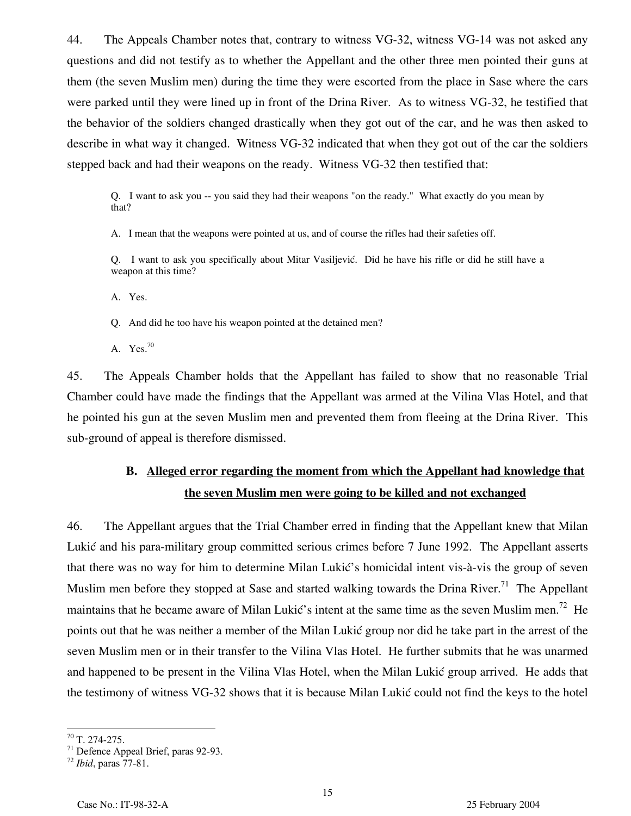44. The Appeals Chamber notes that, contrary to witness VG-32, witness VG-14 was not asked any questions and did not testify as to whether the Appellant and the other three men pointed their guns at them (the seven Muslim men) during the time they were escorted from the place in Sase where the cars were parked until they were lined up in front of the Drina River. As to witness VG-32, he testified that the behavior of the soldiers changed drastically when they got out of the car, and he was then asked to describe in what way it changed. Witness VG-32 indicated that when they got out of the car the soldiers stepped back and had their weapons on the ready. Witness VG-32 then testified that:

Q. I want to ask you -- you said they had their weapons "on the ready." What exactly do you mean by that?

A. I mean that the weapons were pointed at us, and of course the rifles had their safeties off.

Q. I want to ask you specifically about Mitar Vasiljević. Did he have his rifle or did he still have a weapon at this time?

A. Yes.

- Q. And did he too have his weapon pointed at the detained men?
- A. Yes.70

45. The Appeals Chamber holds that the Appellant has failed to show that no reasonable Trial Chamber could have made the findings that the Appellant was armed at the Vilina Vlas Hotel, and that he pointed his gun at the seven Muslim men and prevented them from fleeing at the Drina River. This sub-ground of appeal is therefore dismissed.

## **B. Alleged error regarding the moment from which the Appellant had knowledge that the seven Muslim men were going to be killed and not exchanged**

46. The Appellant argues that the Trial Chamber erred in finding that the Appellant knew that Milan Lukić and his para-military group committed serious crimes before 7 June 1992. The Appellant asserts that there was no way for him to determine Milan Lukić's homicidal intent vis-à-vis the group of seven Muslim men before they stopped at Sase and started walking towards the Drina River.<sup>71</sup> The Appellant maintains that he became aware of Milan Lukić's intent at the same time as the seven Muslim men.<sup>72</sup> He points out that he was neither a member of the Milan Lukić group nor did he take part in the arrest of the seven Muslim men or in their transfer to the Vilina Vlas Hotel. He further submits that he was unarmed and happened to be present in the Vilina Vlas Hotel, when the Milan Lukić group arrived. He adds that the testimony of witness VG-32 shows that it is because Milan Lukić could not find the keys to the hotel

 $70$  T. 274-275.

 $71$  Defence Appeal Brief, paras 92-93.

<sup>72</sup> *Ibid*, paras 77-81.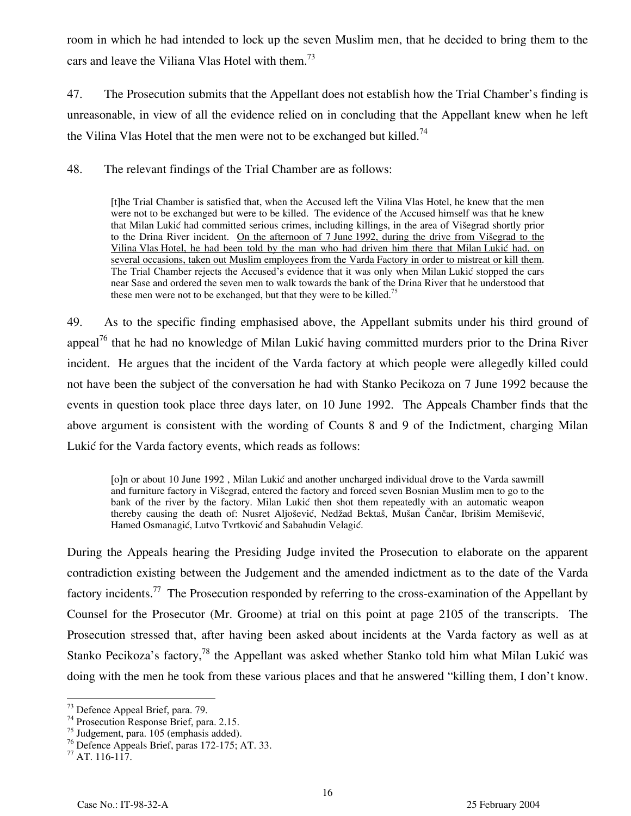room in which he had intended to lock up the seven Muslim men, that he decided to bring them to the cars and leave the Viliana Vlas Hotel with them.<sup>73</sup>

47. The Prosecution submits that the Appellant does not establish how the Trial Chamber's finding is unreasonable, in view of all the evidence relied on in concluding that the Appellant knew when he left the Vilina Vlas Hotel that the men were not to be exchanged but killed.<sup>74</sup>

48. The relevant findings of the Trial Chamber are as follows:

[t]he Trial Chamber is satisfied that, when the Accused left the Vilina Vlas Hotel, he knew that the men were not to be exchanged but were to be killed. The evidence of the Accused himself was that he knew that Milan Lukić had committed serious crimes, including killings, in the area of Višegrad shortly prior to the Drina River incident. On the afternoon of 7 June 1992, during the drive from Višegrad to the Vilina Vlas Hotel, he had been told by the man who had driven him there that Milan Lukić had, on several occasions, taken out Muslim employees from the Varda Factory in order to mistreat or kill them. The Trial Chamber rejects the Accused's evidence that it was only when Milan Lukić stopped the cars near Sase and ordered the seven men to walk towards the bank of the Drina River that he understood that these men were not to be exchanged, but that they were to be killed.<sup>75</sup>

49. As to the specific finding emphasised above, the Appellant submits under his third ground of appeal<sup>76</sup> that he had no knowledge of Milan Lukić having committed murders prior to the Drina River incident. He argues that the incident of the Varda factory at which people were allegedly killed could not have been the subject of the conversation he had with Stanko Pecikoza on 7 June 1992 because the events in question took place three days later, on 10 June 1992. The Appeals Chamber finds that the above argument is consistent with the wording of Counts 8 and 9 of the Indictment, charging Milan Lukić for the Varda factory events, which reads as follows:

[o]n or about 10 June 1992, Milan Lukić and another uncharged individual drove to the Varda sawmill and furniture factory in Višegrad, entered the factory and forced seven Bosnian Muslim men to go to the bank of the river by the factory. Milan Lukić then shot them repeatedly with an automatic weapon thereby causing the death of: Nusret Aljošević, Nedžad Bektaš, Mušan Čančar, Ibrišim Memišević, Hamed Osmanagić, Lutvo Tvrtković and Sabahudin Velagić.

During the Appeals hearing the Presiding Judge invited the Prosecution to elaborate on the apparent contradiction existing between the Judgement and the amended indictment as to the date of the Varda factory incidents.<sup>77</sup> The Prosecution responded by referring to the cross-examination of the Appellant by Counsel for the Prosecutor (Mr. Groome) at trial on this point at page 2105 of the transcripts. The Prosecution stressed that, after having been asked about incidents at the Varda factory as well as at Stanko Pecikoza's factory,<sup>78</sup> the Appellant was asked whether Stanko told him what Milan Lukić was doing with the men he took from these various places and that he answered "killing them, I don't know.

<sup>&</sup>lt;sup>73</sup> Defence Appeal Brief, para. 79.

 $^{74}$  Prosecution Response Brief, para. 2.15.<br> $^{75}$  Judgement, para. 105 (emphasis added).

 $76$  Defence Appeals Brief, paras 172-175; AT. 33.

 $77$  AT. 116-117.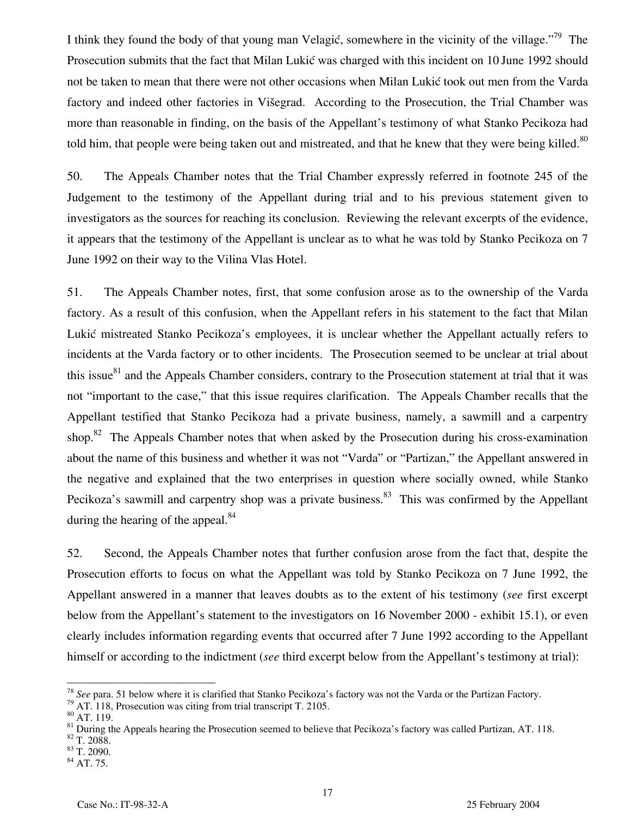I think they found the body of that young man Velagić, somewhere in the vicinity of the village."<sup>79</sup> The Prosecution submits that the fact that Milan Lukić was charged with this incident on 10 June 1992 should not be taken to mean that there were not other occasions when Milan Lukić took out men from the Varda factory and indeed other factories in Višegrad. According to the Prosecution, the Trial Chamber was more than reasonable in finding, on the basis of the Appellant's testimony of what Stanko Pecikoza had told him, that people were being taken out and mistreated, and that he knew that they were being killed.<sup>80</sup>

50. The Appeals Chamber notes that the Trial Chamber expressly referred in footnote 245 of the Judgement to the testimony of the Appellant during trial and to his previous statement given to investigators as the sources for reaching its conclusion. Reviewing the relevant excerpts of the evidence, it appears that the testimony of the Appellant is unclear as to what he was told by Stanko Pecikoza on 7 June 1992 on their way to the Vilina Vlas Hotel.

51. The Appeals Chamber notes, first, that some confusion arose as to the ownership of the Varda factory. As a result of this confusion, when the Appellant refers in his statement to the fact that Milan Lukić mistreated Stanko Pecikoza's employees, it is unclear whether the Appellant actually refers to incidents at the Varda factory or to other incidents. The Prosecution seemed to be unclear at trial about this issue<sup>81</sup> and the Appeals Chamber considers, contrary to the Prosecution statement at trial that it was not "important to the case," that this issue requires clarification. The Appeals Chamber recalls that the Appellant testified that Stanko Pecikoza had a private business, namely, a sawmill and a carpentry shop.<sup>82</sup> The Appeals Chamber notes that when asked by the Prosecution during his cross-examination about the name of this business and whether it was not "Varda" or "Partizan," the Appellant answered in the negative and explained that the two enterprises in question where socially owned, while Stanko Pecikoza's sawmill and carpentry shop was a private business.<sup>83</sup> This was confirmed by the Appellant during the hearing of the appeal.<sup>84</sup>

52. Second, the Appeals Chamber notes that further confusion arose from the fact that, despite the Prosecution efforts to focus on what the Appellant was told by Stanko Pecikoza on 7 June 1992, the Appellant answered in a manner that leaves doubts as to the extent of his testimony (*see* first excerpt below from the Appellant's statement to the investigators on 16 November 2000 - exhibit 15.1), or even clearly includes information regarding events that occurred after 7 June 1992 according to the Appellant himself or according to the indictment (*see* third excerpt below from the Appellant's testimony at trial):

<sup>78</sup> *See* para. 51 below where it is clarified that Stanko Pecikoza's factory was not the Varda or the Partizan Factory.

 $79$  AT. 118, Prosecution was citing from trial transcript T. 2105.

<sup>80</sup> AT. 119.

<sup>&</sup>lt;sup>81</sup> During the Appeals hearing the Prosecution seemed to believe that Pecikoza's factory was called Partizan, AT. 118.

<sup>82</sup> T. 2088.

<sup>83</sup> T. 2090.

<sup>84</sup> AT. 75.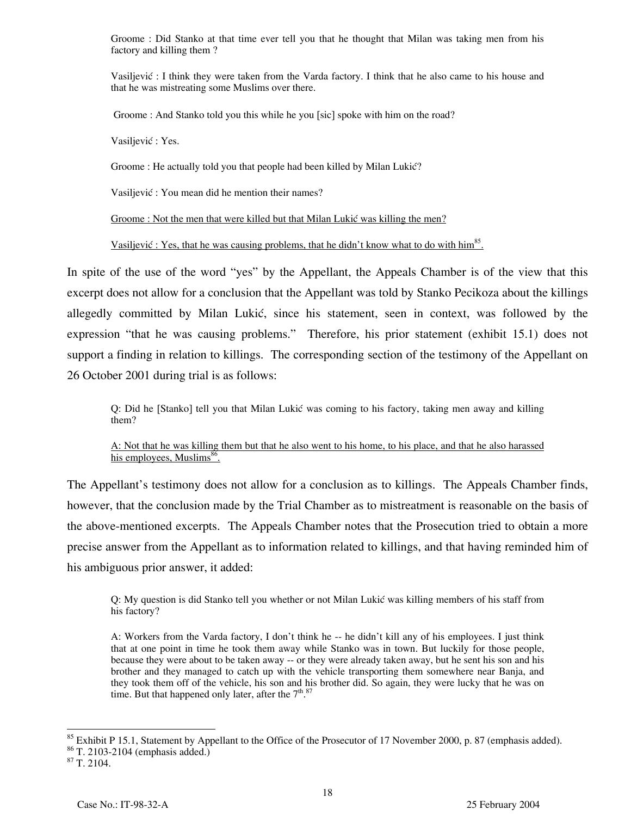Groome : Did Stanko at that time ever tell you that he thought that Milan was taking men from his factory and killing them ?

Vasiljević : I think they were taken from the Varda factory. I think that he also came to his house and that he was mistreating some Muslims over there.

Groome : And Stanko told you this while he you [sic] spoke with him on the road?

Vasiljević : Yes.

Groome : He actually told you that people had been killed by Milan Lukić?

Vasiljević : You mean did he mention their names?

Groome : Not the men that were killed but that Milan Lukić was killing the men?

Vasiljević : Yes, that he was causing problems, that he didn't know what to do with him<sup>85</sup>.

In spite of the use of the word "yes" by the Appellant, the Appeals Chamber is of the view that this excerpt does not allow for a conclusion that the Appellant was told by Stanko Pecikoza about the killings allegedly committed by Milan Lukić, since his statement, seen in context, was followed by the expression "that he was causing problems." Therefore, his prior statement (exhibit 15.1) does not support a finding in relation to killings. The corresponding section of the testimony of the Appellant on 26 October 2001 during trial is as follows:

Q: Did he [Stanko] tell you that Milan Lukić was coming to his factory, taking men away and killing them?

A: Not that he was killing them but that he also went to his home, to his place, and that he also harassed his employees, Muslims<sup>86</sup>.

The Appellant's testimony does not allow for a conclusion as to killings. The Appeals Chamber finds, however, that the conclusion made by the Trial Chamber as to mistreatment is reasonable on the basis of the above-mentioned excerpts. The Appeals Chamber notes that the Prosecution tried to obtain a more precise answer from the Appellant as to information related to killings, and that having reminded him of his ambiguous prior answer, it added:

Q: My question is did Stanko tell you whether or not Milan Lukić was killing members of his staff from his factory?

A: Workers from the Varda factory, I don't think he -- he didn't kill any of his employees. I just think that at one point in time he took them away while Stanko was in town. But luckily for those people, because they were about to be taken away -- or they were already taken away, but he sent his son and his brother and they managed to catch up with the vehicle transporting them somewhere near Banja, and they took them off of the vehicle, his son and his brother did. So again, they were lucky that he was on time. But that happened only later, after the  $7<sup>th.87</sup>$ 

 $85$  Exhibit P 15.1, Statement by Appellant to the Office of the Prosecutor of 17 November 2000, p. 87 (emphasis added).

<sup>86</sup> T. 2103-2104 (emphasis added.)

<sup>87</sup> T. 2104.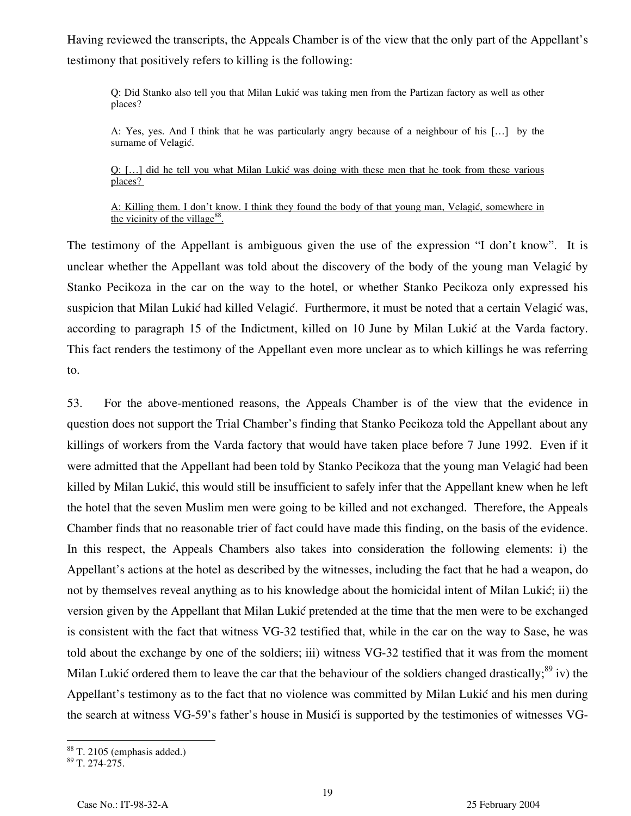Having reviewed the transcripts, the Appeals Chamber is of the view that the only part of the Appellant's testimony that positively refers to killing is the following:

Q: Did Stanko also tell you that Milan Lukić was taking men from the Partizan factory as well as other places?

A: Yes, yes. And I think that he was particularly angry because of a neighbour of his […] by the surname of Velagić.

Q: [...] did he tell you what Milan Lukić was doing with these men that he took from these various places?

A: Killing them. I don't know. I think they found the body of that young man, Velagić, somewhere in the vicinity of the village $88$ .

The testimony of the Appellant is ambiguous given the use of the expression "I don't know". It is unclear whether the Appellant was told about the discovery of the body of the young man Velagić by Stanko Pecikoza in the car on the way to the hotel, or whether Stanko Pecikoza only expressed his suspicion that Milan Lukić had killed Velagić. Furthermore, it must be noted that a certain Velagić was, according to paragraph 15 of the Indictment, killed on 10 June by Milan Lukić at the Varda factory. This fact renders the testimony of the Appellant even more unclear as to which killings he was referring to.

53. For the above-mentioned reasons, the Appeals Chamber is of the view that the evidence in question does not support the Trial Chamber's finding that Stanko Pecikoza told the Appellant about any killings of workers from the Varda factory that would have taken place before 7 June 1992. Even if it were admitted that the Appellant had been told by Stanko Pecikoza that the young man Velagić had been killed by Milan Lukić, this would still be insufficient to safely infer that the Appellant knew when he left the hotel that the seven Muslim men were going to be killed and not exchanged. Therefore, the Appeals Chamber finds that no reasonable trier of fact could have made this finding, on the basis of the evidence. In this respect, the Appeals Chambers also takes into consideration the following elements: i) the Appellant's actions at the hotel as described by the witnesses, including the fact that he had a weapon, do not by themselves reveal anything as to his knowledge about the homicidal intent of Milan Lukić; ii) the version given by the Appellant that Milan Lukić pretended at the time that the men were to be exchanged is consistent with the fact that witness VG-32 testified that, while in the car on the way to Sase, he was told about the exchange by one of the soldiers; iii) witness VG-32 testified that it was from the moment Milan Lukić ordered them to leave the car that the behaviour of the soldiers changed drastically;<sup>89</sup> iv) the Appellant's testimony as to the fact that no violence was committed by Milan Lukić and his men during the search at witness VG-59's father's house in Musići is supported by the testimonies of witnesses VG-

<sup>88</sup> T. 2105 (emphasis added.)

<sup>89</sup> T. 274-275.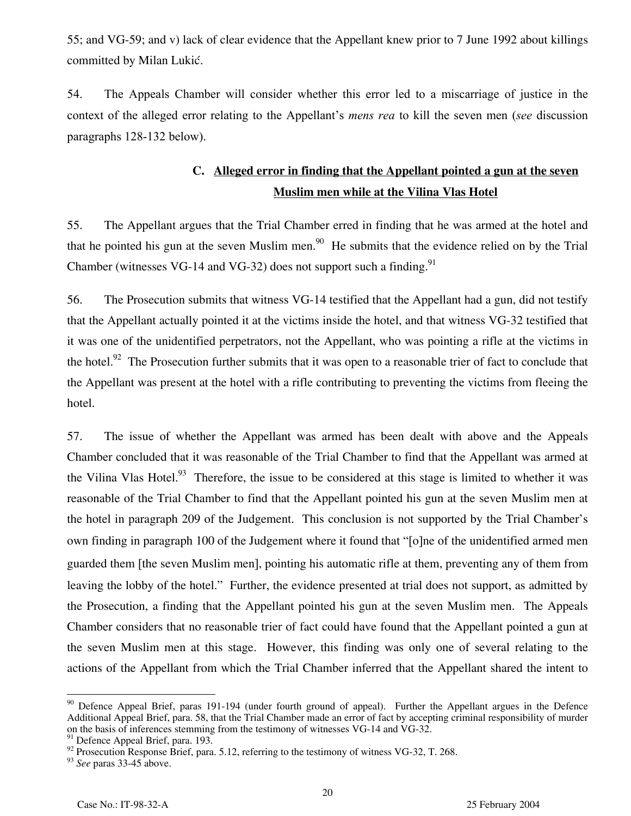55; and VG-59; and v) lack of clear evidence that the Appellant knew prior to 7 June 1992 about killings committed by Milan Lukić.

54. The Appeals Chamber will consider whether this error led to a miscarriage of justice in the context of the alleged error relating to the Appellant's *mens rea* to kill the seven men (*see* discussion paragraphs 128-132 below).

## **C. Alleged error in finding that the Appellant pointed a gun at the seven Muslim men while at the Vilina Vlas Hotel**

55. The Appellant argues that the Trial Chamber erred in finding that he was armed at the hotel and that he pointed his gun at the seven Muslim men.<sup>90</sup> He submits that the evidence relied on by the Trial Chamber (witnesses VG-14 and VG-32) does not support such a finding.<sup>91</sup>

56. The Prosecution submits that witness VG-14 testified that the Appellant had a gun, did not testify that the Appellant actually pointed it at the victims inside the hotel, and that witness VG-32 testified that it was one of the unidentified perpetrators, not the Appellant, who was pointing a rifle at the victims in the hotel.<sup>92</sup> The Prosecution further submits that it was open to a reasonable trier of fact to conclude that the Appellant was present at the hotel with a rifle contributing to preventing the victims from fleeing the hotel.

57. The issue of whether the Appellant was armed has been dealt with above and the Appeals Chamber concluded that it was reasonable of the Trial Chamber to find that the Appellant was armed at the Vilina Vlas Hotel. $93$  Therefore, the issue to be considered at this stage is limited to whether it was reasonable of the Trial Chamber to find that the Appellant pointed his gun at the seven Muslim men at the hotel in paragraph 209 of the Judgement. This conclusion is not supported by the Trial Chamber's own finding in paragraph 100 of the Judgement where it found that "[o]ne of the unidentified armed men guarded them [the seven Muslim men], pointing his automatic rifle at them, preventing any of them from leaving the lobby of the hotel." Further, the evidence presented at trial does not support, as admitted by the Prosecution, a finding that the Appellant pointed his gun at the seven Muslim men. The Appeals Chamber considers that no reasonable trier of fact could have found that the Appellant pointed a gun at the seven Muslim men at this stage. However, this finding was only one of several relating to the actions of the Appellant from which the Trial Chamber inferred that the Appellant shared the intent to

<sup>&</sup>lt;sup>90</sup> Defence Appeal Brief, paras 191-194 (under fourth ground of appeal). Further the Appellant argues in the Defence Additional Appeal Brief, para. 58, that the Trial Chamber made an error of fact by accepting criminal responsibility of murder on the basis of inferences stemming from the testimony of witnesses VG-14 and VG-32.

<sup>&</sup>lt;sup>91</sup> Defence Appeal Brief, para. 193.

<sup>&</sup>lt;sup>92</sup> Prosecution Response Brief, para. 5.12, referring to the testimony of witness VG-32, T. 268.

<sup>93</sup> *See* paras 33-45 above.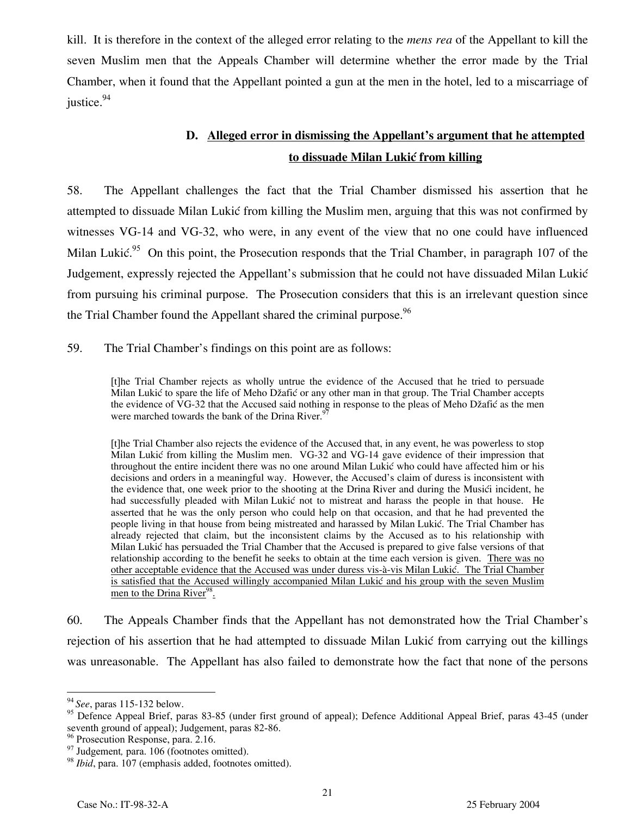kill. It is therefore in the context of the alleged error relating to the *mens rea* of the Appellant to kill the seven Muslim men that the Appeals Chamber will determine whether the error made by the Trial Chamber, when it found that the Appellant pointed a gun at the men in the hotel, led to a miscarriage of justice.<sup>94</sup>

## **D. Alleged error in dismissing the Appellant's argument that he attempted to dissuade Milan Luki} from killing**

58. The Appellant challenges the fact that the Trial Chamber dismissed his assertion that he attempted to dissuade Milan Lukić from killing the Muslim men, arguing that this was not confirmed by witnesses VG-14 and VG-32, who were, in any event of the view that no one could have influenced Milan Lukić.<sup>95</sup> On this point, the Prosecution responds that the Trial Chamber, in paragraph 107 of the Judgement, expressly rejected the Appellant's submission that he could not have dissuaded Milan Lukić from pursuing his criminal purpose. The Prosecution considers that this is an irrelevant question since the Trial Chamber found the Appellant shared the criminal purpose.  $96$ 

59. The Trial Chamber's findings on this point are as follows:

[t]he Trial Chamber rejects as wholly untrue the evidence of the Accused that he tried to persuade Milan Lukić to spare the life of Meho Džafić or any other man in that group. The Trial Chamber accepts the evidence of VG-32 that the Accused said nothing in response to the pleas of Meho Džafić as the men were marched towards the bank of the Drina River.<sup>9</sup>

[t]he Trial Chamber also rejects the evidence of the Accused that, in any event, he was powerless to stop Milan Lukić from killing the Muslim men. VG-32 and VG-14 gave evidence of their impression that throughout the entire incident there was no one around Milan Lukić who could have affected him or his decisions and orders in a meaningful way. However, the Accused's claim of duress is inconsistent with the evidence that, one week prior to the shooting at the Drina River and during the Musići incident, he had successfully pleaded with Milan Lukić not to mistreat and harass the people in that house. He asserted that he was the only person who could help on that occasion, and that he had prevented the people living in that house from being mistreated and harassed by Milan Lukić. The Trial Chamber has already rejected that claim, but the inconsistent claims by the Accused as to his relationship with Milan Lukić has persuaded the Trial Chamber that the Accused is prepared to give false versions of that relationship according to the benefit he seeks to obtain at the time each version is given. There was no other acceptable evidence that the Accused was under duress vis-à-vis Milan Lukić. The Trial Chamber is satisfied that the Accused willingly accompanied Milan Lukić and his group with the seven Muslim men to the Drina River<sup>98</sup>.

60. The Appeals Chamber finds that the Appellant has not demonstrated how the Trial Chamber's rejection of his assertion that he had attempted to dissuade Milan Lukić from carrying out the killings was unreasonable. The Appellant has also failed to demonstrate how the fact that none of the persons

 $94$  See, paras 115-132 below.

<sup>&</sup>lt;sup>95</sup> Defence Appeal Brief, paras 83-85 (under first ground of appeal); Defence Additional Appeal Brief, paras 43-45 (under seventh ground of appeal); Judgement, paras 82-86.<br><sup>96</sup> Prosecution Response, para. 2.16.<br><sup>97</sup> Judgement, para. 106 (footnotes omitted).

<sup>&</sup>lt;sup>98</sup> Ibid, para. 107 (emphasis added, footnotes omitted).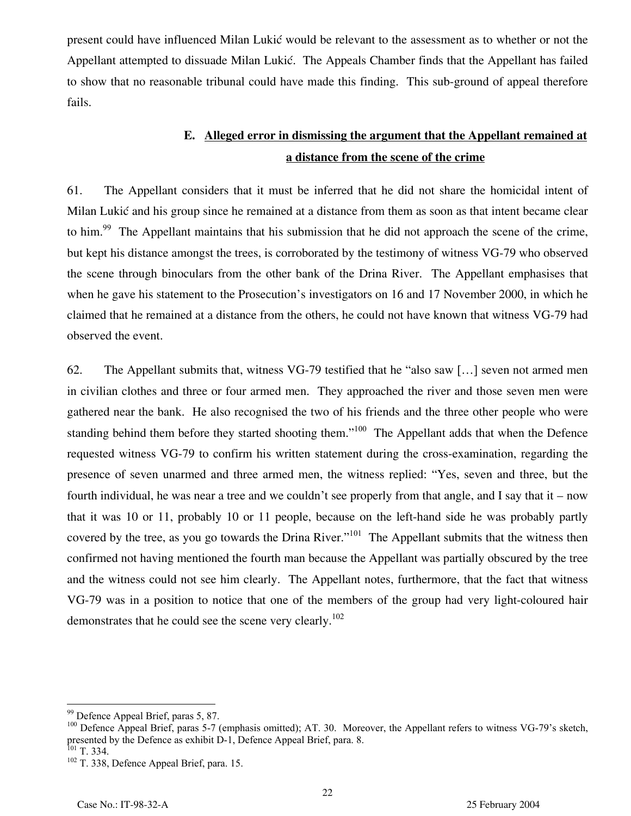present could have influenced Milan Lukić would be relevant to the assessment as to whether or not the Appellant attempted to dissuade Milan Lukić. The Appeals Chamber finds that the Appellant has failed to show that no reasonable tribunal could have made this finding. This sub-ground of appeal therefore fails.

## **E. Alleged error in dismissing the argument that the Appellant remained at a distance from the scene of the crime**

61. The Appellant considers that it must be inferred that he did not share the homicidal intent of Milan Lukić and his group since he remained at a distance from them as soon as that intent became clear to him.<sup>99</sup> The Appellant maintains that his submission that he did not approach the scene of the crime, but kept his distance amongst the trees, is corroborated by the testimony of witness VG-79 who observed the scene through binoculars from the other bank of the Drina River. The Appellant emphasises that when he gave his statement to the Prosecution's investigators on 16 and 17 November 2000, in which he claimed that he remained at a distance from the others, he could not have known that witness VG-79 had observed the event.

62. The Appellant submits that, witness VG-79 testified that he "also saw […] seven not armed men in civilian clothes and three or four armed men. They approached the river and those seven men were gathered near the bank. He also recognised the two of his friends and the three other people who were standing behind them before they started shooting them."<sup>100</sup> The Appellant adds that when the Defence requested witness VG-79 to confirm his written statement during the cross-examination, regarding the presence of seven unarmed and three armed men, the witness replied: "Yes, seven and three, but the fourth individual, he was near a tree and we couldn't see properly from that angle, and I say that it – now that it was 10 or 11, probably 10 or 11 people, because on the left-hand side he was probably partly covered by the tree, as you go towards the Drina River."<sup>101</sup> The Appellant submits that the witness then confirmed not having mentioned the fourth man because the Appellant was partially obscured by the tree and the witness could not see him clearly. The Appellant notes, furthermore, that the fact that witness VG-79 was in a position to notice that one of the members of the group had very light-coloured hair demonstrates that he could see the scene very clearly.<sup>102</sup>

<sup>&</sup>lt;sup>99</sup> Defence Appeal Brief, paras 5, 87.

<sup>&</sup>lt;sup>100</sup> Defence Appeal Brief, paras 5-7 (emphasis omitted); AT. 30. Moreover, the Appellant refers to witness VG-79's sketch, presented by the Defence as exhibit D-1, Defence Appeal Brief, para. 8.<br><sup>101</sup> T. 334.

 $102$  T. 338, Defence Appeal Brief, para. 15.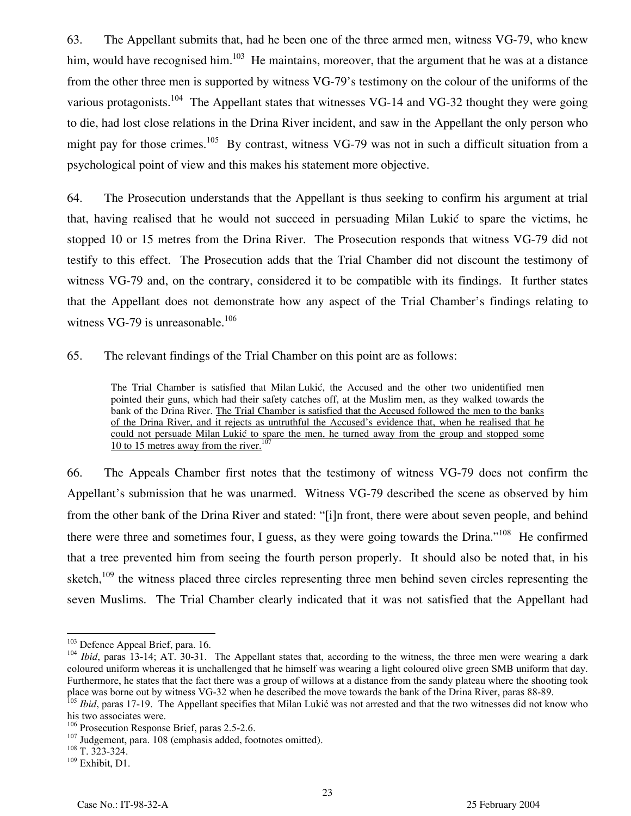63. The Appellant submits that, had he been one of the three armed men, witness VG-79, who knew him, would have recognised him.<sup>103</sup> He maintains, moreover, that the argument that he was at a distance from the other three men is supported by witness VG-79's testimony on the colour of the uniforms of the various protagonists.<sup>104</sup> The Appellant states that witnesses VG-14 and VG-32 thought they were going to die, had lost close relations in the Drina River incident, and saw in the Appellant the only person who might pay for those crimes.<sup>105</sup> By contrast, witness VG-79 was not in such a difficult situation from a psychological point of view and this makes his statement more objective.

64. The Prosecution understands that the Appellant is thus seeking to confirm his argument at trial that, having realised that he would not succeed in persuading Milan Lukić to spare the victims, he stopped 10 or 15 metres from the Drina River. The Prosecution responds that witness VG-79 did not testify to this effect. The Prosecution adds that the Trial Chamber did not discount the testimony of witness VG-79 and, on the contrary, considered it to be compatible with its findings. It further states that the Appellant does not demonstrate how any aspect of the Trial Chamber's findings relating to witness VG-79 is unreasonable. $106$ 

65. The relevant findings of the Trial Chamber on this point are as follows:

The Trial Chamber is satisfied that Milan Lukić, the Accused and the other two unidentified men pointed their guns, which had their safety catches off, at the Muslim men, as they walked towards the bank of the Drina River. The Trial Chamber is satisfied that the Accused followed the men to the banks of the Drina River, and it rejects as untruthful the Accused's evidence that, when he realised that he could not persuade Milan Lukić to spare the men, he turned away from the group and stopped some 10 to 15 metres away from the river.<sup>1</sup>

66. The Appeals Chamber first notes that the testimony of witness VG-79 does not confirm the Appellant's submission that he was unarmed. Witness VG-79 described the scene as observed by him from the other bank of the Drina River and stated: "[i]n front, there were about seven people, and behind there were three and sometimes four, I guess, as they were going towards the Drina."<sup>108</sup> He confirmed that a tree prevented him from seeing the fourth person properly. It should also be noted that, in his sketch,<sup>109</sup> the witness placed three circles representing three men behind seven circles representing the seven Muslims. The Trial Chamber clearly indicated that it was not satisfied that the Appellant had

<sup>&</sup>lt;sup>103</sup> Defence Appeal Brief, para. 16.

<sup>&</sup>lt;sup>104</sup> Ibid, paras 13-14; AT. 30-31. The Appellant states that, according to the witness, the three men were wearing a dark coloured uniform whereas it is unchallenged that he himself was wearing a light coloured olive green SMB uniform that day. Furthermore, he states that the fact there was a group of willows at a distance from the sandy plateau where the shooting took

place was borne out by witness VG-32 when he described the move towards the bank of the Drina River, paras 88-89.<br><sup>105</sup> *Ibid*, paras 17-19. The Appellant specifies that Milan Lukić was not arrested and that the two witnes his two associates were.<br><sup>106</sup> Prosecution Response Brief, paras 2.5-2.6.

<sup>&</sup>lt;sup>107</sup> Judgement, para. 108 (emphasis added, footnotes omitted).  $108$  T. 323-324.  $109$  Exhibit, D1.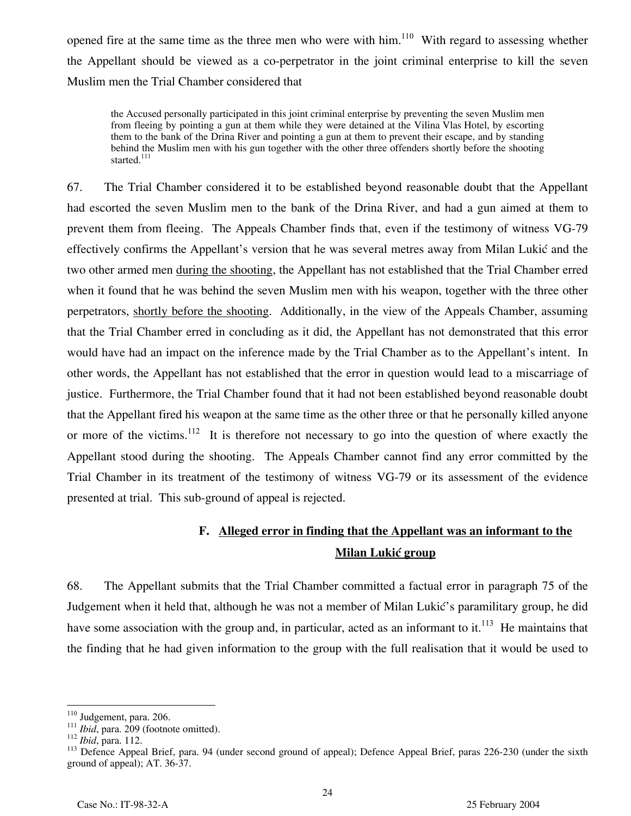opened fire at the same time as the three men who were with him.<sup>110</sup> With regard to assessing whether the Appellant should be viewed as a co-perpetrator in the joint criminal enterprise to kill the seven Muslim men the Trial Chamber considered that

the Accused personally participated in this joint criminal enterprise by preventing the seven Muslim men from fleeing by pointing a gun at them while they were detained at the Vilina Vlas Hotel, by escorting them to the bank of the Drina River and pointing a gun at them to prevent their escape, and by standing behind the Muslim men with his gun together with the other three offenders shortly before the shooting started.<sup>111</sup>

67. The Trial Chamber considered it to be established beyond reasonable doubt that the Appellant had escorted the seven Muslim men to the bank of the Drina River, and had a gun aimed at them to prevent them from fleeing. The Appeals Chamber finds that, even if the testimony of witness VG-79 effectively confirms the Appellant's version that he was several metres away from Milan Lukić and the two other armed men during the shooting, the Appellant has not established that the Trial Chamber erred when it found that he was behind the seven Muslim men with his weapon, together with the three other perpetrators, shortly before the shooting. Additionally, in the view of the Appeals Chamber, assuming that the Trial Chamber erred in concluding as it did, the Appellant has not demonstrated that this error would have had an impact on the inference made by the Trial Chamber as to the Appellant's intent. In other words, the Appellant has not established that the error in question would lead to a miscarriage of justice. Furthermore, the Trial Chamber found that it had not been established beyond reasonable doubt that the Appellant fired his weapon at the same time as the other three or that he personally killed anyone or more of the victims.<sup>112</sup> It is therefore not necessary to go into the question of where exactly the Appellant stood during the shooting. The Appeals Chamber cannot find any error committed by the Trial Chamber in its treatment of the testimony of witness VG-79 or its assessment of the evidence presented at trial. This sub-ground of appeal is rejected.

### **F. Alleged error in finding that the Appellant was an informant to the Milan Luki} group**

68. The Appellant submits that the Trial Chamber committed a factual error in paragraph 75 of the Judgement when it held that, although he was not a member of Milan Lukić's paramilitary group, he did have some association with the group and, in particular, acted as an informant to it.<sup>113</sup> He maintains that the finding that he had given information to the group with the full realisation that it would be used to

 $110$  Judgement, para. 206.

<sup>&</sup>lt;sup>111</sup> *Ibid*, para. 209 (footnote omitted).<br><sup>112</sup> *Ibid*, para. 112.<br><sup>113</sup> Defence Appeal Brief, para. 94 (under second ground of appeal); Defence Appeal Brief, paras 226-230 (under the sixth ground of appeal); AT. 36-37.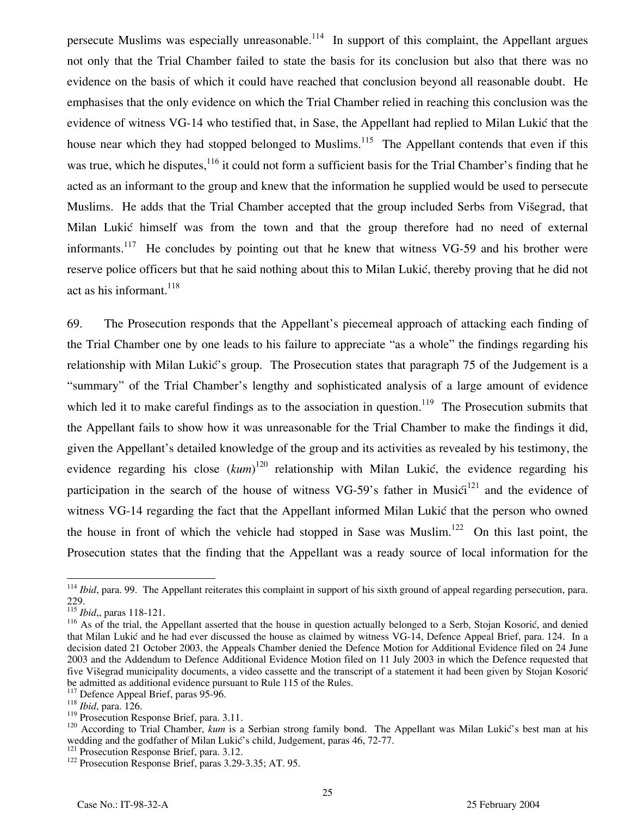persecute Muslims was especially unreasonable.<sup>114</sup> In support of this complaint, the Appellant argues not only that the Trial Chamber failed to state the basis for its conclusion but also that there was no evidence on the basis of which it could have reached that conclusion beyond all reasonable doubt. He emphasises that the only evidence on which the Trial Chamber relied in reaching this conclusion was the evidence of witness VG-14 who testified that, in Sase, the Appellant had replied to Milan Lukić that the house near which they had stopped belonged to Muslims.<sup>115</sup> The Appellant contends that even if this was true, which he disputes,  $116$  it could not form a sufficient basis for the Trial Chamber's finding that he acted as an informant to the group and knew that the information he supplied would be used to persecute Muslims. He adds that the Trial Chamber accepted that the group included Serbs from Visegrad, that Milan Lukić himself was from the town and that the group therefore had no need of external informants.<sup>117</sup> He concludes by pointing out that he knew that witness VG-59 and his brother were reserve police officers but that he said nothing about this to Milan Lukić, thereby proving that he did not act as his informant.<sup>118</sup>

69. The Prosecution responds that the Appellant's piecemeal approach of attacking each finding of the Trial Chamber one by one leads to his failure to appreciate "as a whole" the findings regarding his relationship with Milan Lukić's group. The Prosecution states that paragraph 75 of the Judgement is a "summary" of the Trial Chamber's lengthy and sophisticated analysis of a large amount of evidence which led it to make careful findings as to the association in question.<sup>119</sup> The Prosecution submits that the Appellant fails to show how it was unreasonable for the Trial Chamber to make the findings it did, given the Appellant's detailed knowledge of the group and its activities as revealed by his testimony, the evidence regarding his close (kum)<sup>120</sup> relationship with Milan Lukić, the evidence regarding his participation in the search of the house of witness VG-59's father in Musici<sup>121</sup> and the evidence of witness VG-14 regarding the fact that the Appellant informed Milan Lukić that the person who owned the house in front of which the vehicle had stopped in Sase was Muslim.<sup>122</sup> On this last point, the Prosecution states that the finding that the Appellant was a ready source of local information for the

<sup>&</sup>lt;sup>114</sup> *Ibid*, para. 99. The Appellant reiterates this complaint in support of his sixth ground of appeal regarding persecution, para. 229.

<sup>115</sup> *Ibid*,, paras 118-121.

<sup>&</sup>lt;sup>116</sup> As of the trial, the Appellant asserted that the house in question actually belonged to a Serb, Stojan Kosorić, and denied that Milan Lukić and he had ever discussed the house as claimed by witness VG-14, Defence Appeal Brief, para. 124. In a decision dated 21 October 2003, the Appeals Chamber denied the Defence Motion for Additional Evidence filed on 24 June 2003 and the Addendum to Defence Additional Evidence Motion filed on 11 July 2003 in which the Defence requested that five Višegrad municipality documents, a video cassette and the transcript of a statement it had been given by Stojan Kosorić be admitted as additional evidence pursuant to Rule 115 of the Rules.

<sup>&</sup>lt;sup>117</sup> Defence Appeal Brief, paras 95-96.<br><sup>118</sup> *Ibid*, para. 126.<br><sup>119</sup> Prosecution Response Brief, para. 3.11.

<sup>&</sup>lt;sup>120</sup> According to Trial Chamber, *kum* is a Serbian strong family bond. The Appellant was Milan Lukić's best man at his wedding and the godfather of Milan Lukić's child, Judgement, paras 46, 72-77.<br><sup>121</sup> Prosecution Response Brief, para. 3.12.

<sup>&</sup>lt;sup>122</sup> Prosecution Response Brief, paras 3.29-3.35; AT. 95.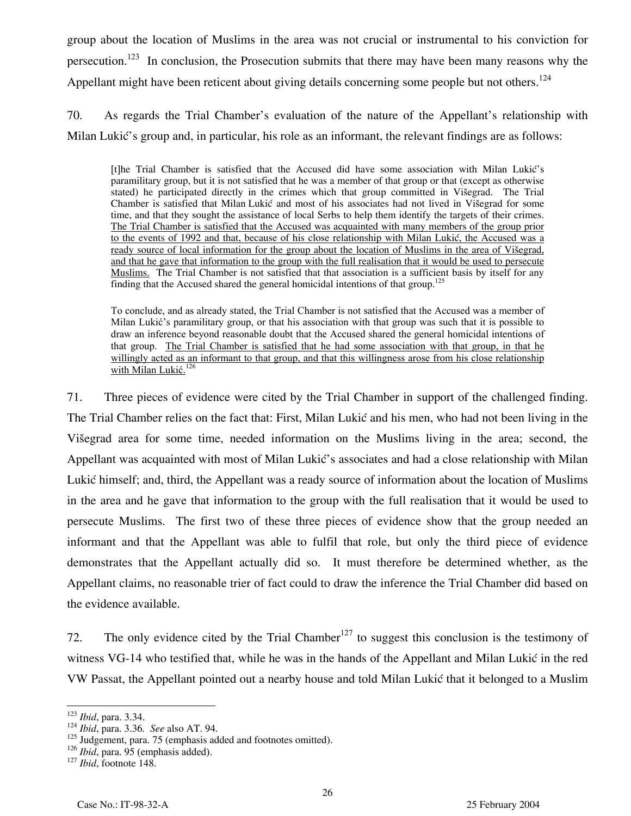group about the location of Muslims in the area was not crucial or instrumental to his conviction for persecution.<sup>123</sup> In conclusion, the Prosecution submits that there may have been many reasons why the Appellant might have been reticent about giving details concerning some people but not others.<sup>124</sup>

70. As regards the Trial Chamber's evaluation of the nature of the Appellant's relationship with Milan Lukić's group and, in particular, his role as an informant, the relevant findings are as follows:

[t]he Trial Chamber is satisfied that the Accused did have some association with Milan Lukić's paramilitary group, but it is not satisfied that he was a member of that group or that (except as otherwise stated) he participated directly in the crimes which that group committed in Višegrad. The Trial Chamber is satisfied that Milan Lukić and most of his associates had not lived in Višegrad for some time, and that they sought the assistance of local Serbs to help them identify the targets of their crimes. The Trial Chamber is satisfied that the Accused was acquainted with many members of the group prior to the events of 1992 and that, because of his close relationship with Milan Lukić, the Accused was a ready source of local information for the group about the location of Muslims in the area of Višegrad, and that he gave that information to the group with the full realisation that it would be used to persecute Muslims. The Trial Chamber is not satisfied that that association is a sufficient basis by itself for any finding that the Accused shared the general homicidal intentions of that group.<sup>125</sup>

To conclude, and as already stated, the Trial Chamber is not satisfied that the Accused was a member of Milan Lukić's paramilitary group, or that his association with that group was such that it is possible to draw an inference beyond reasonable doubt that the Accused shared the general homicidal intentions of that group. The Trial Chamber is satisfied that he had some association with that group, in that he willingly acted as an informant to that group, and that this willingness arose from his close relationship with Milan Lukić.<sup>126</sup>

71. Three pieces of evidence were cited by the Trial Chamber in support of the challenged finding. The Trial Chamber relies on the fact that: First, Milan Lukić and his men, who had not been living in the Vi{egrad area for some time, needed information on the Muslims living in the area; second, the Appellant was acquainted with most of Milan Lukić's associates and had a close relationship with Milan Lukić himself; and, third, the Appellant was a ready source of information about the location of Muslims in the area and he gave that information to the group with the full realisation that it would be used to persecute Muslims. The first two of these three pieces of evidence show that the group needed an informant and that the Appellant was able to fulfil that role, but only the third piece of evidence demonstrates that the Appellant actually did so. It must therefore be determined whether, as the Appellant claims, no reasonable trier of fact could to draw the inference the Trial Chamber did based on the evidence available.

72. The only evidence cited by the Trial Chamber<sup>127</sup> to suggest this conclusion is the testimony of witness VG-14 who testified that, while he was in the hands of the Appellant and Milan Lukić in the red VW Passat, the Appellant pointed out a nearby house and told Milan Lukić that it belonged to a Muslim

 $123$  *Ibid*, para. 3.34.

<sup>123</sup> *Ibid*, para. 3.34. <sup>124</sup> *Ibid*, para. 3.36*. See* also AT. 94.

<sup>&</sup>lt;sup>125</sup> Judgement, para. 75 (emphasis added and footnotes omitted).

<sup>126</sup> *Ibid*, para. 95 (emphasis added). <sup>127</sup> *Ibid*, footnote 148.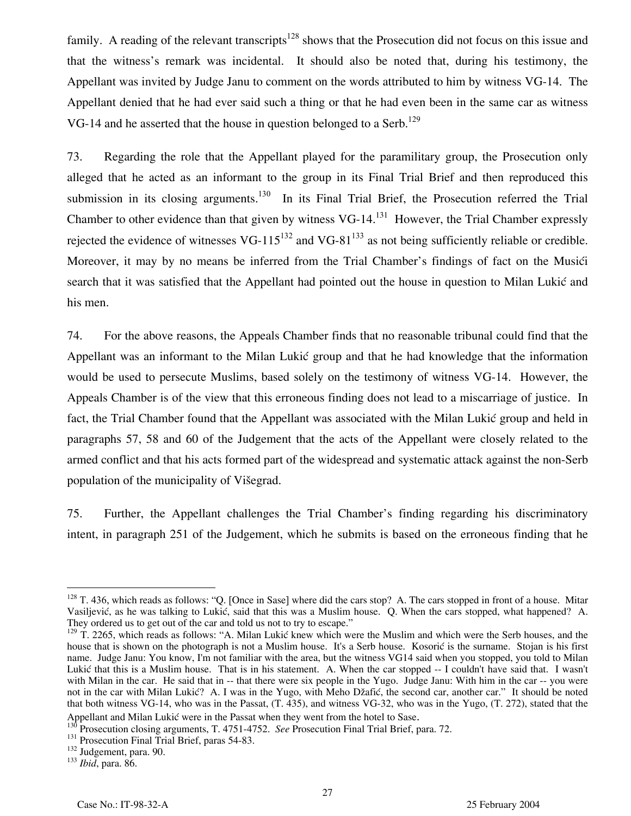family. A reading of the relevant transcripts<sup>128</sup> shows that the Prosecution did not focus on this issue and that the witness's remark was incidental. It should also be noted that, during his testimony, the Appellant was invited by Judge Janu to comment on the words attributed to him by witness VG-14. The Appellant denied that he had ever said such a thing or that he had even been in the same car as witness VG-14 and he asserted that the house in question belonged to a Serb.<sup>129</sup>

73. Regarding the role that the Appellant played for the paramilitary group, the Prosecution only alleged that he acted as an informant to the group in its Final Trial Brief and then reproduced this submission in its closing arguments.<sup>130</sup> In its Final Trial Brief, the Prosecution referred the Trial Chamber to other evidence than that given by witness VG-14.<sup>131</sup> However, the Trial Chamber expressly rejected the evidence of witnesses  $VG-115^{132}$  and  $VG-81^{133}$  as not being sufficiently reliable or credible. Moreover, it may by no means be inferred from the Trial Chamber's findings of fact on the Musici search that it was satisfied that the Appellant had pointed out the house in question to Milan Lukić and his men.

74. For the above reasons, the Appeals Chamber finds that no reasonable tribunal could find that the Appellant was an informant to the Milan Lukić group and that he had knowledge that the information would be used to persecute Muslims, based solely on the testimony of witness VG-14. However, the Appeals Chamber is of the view that this erroneous finding does not lead to a miscarriage of justice. In fact, the Trial Chamber found that the Appellant was associated with the Milan Lukić group and held in paragraphs 57, 58 and 60 of the Judgement that the acts of the Appellant were closely related to the armed conflict and that his acts formed part of the widespread and systematic attack against the non-Serb population of the municipality of Višegrad.

75. Further, the Appellant challenges the Trial Chamber's finding regarding his discriminatory intent, in paragraph 251 of the Judgement, which he submits is based on the erroneous finding that he

 $128$  T. 436, which reads as follows: "Q. [Once in Sase] where did the cars stop? A. The cars stopped in front of a house. Mitar Vasiljević, as he was talking to Lukić, said that this was a Muslim house. Q. When the cars stopped, what happened? A. They ordered us to get out of the car and told us not to try to escape."

<sup>129</sup> T. 2265, which reads as follows: "A. Milan Lukić knew which were the Muslim and which were the Serb houses, and the house that is shown on the photograph is not a Muslim house. It's a Serb house. Kosorić is the surname. Stojan is his first name. Judge Janu: You know, I'm not familiar with the area, but the witness VG14 said when you stopped, you told to Milan Lukić that this is a Muslim house. That is in his statement. A. When the car stopped -- I couldn't have said that. I wasn't with Milan in the car. He said that in -- that there were six people in the Yugo. Judge Janu: With him in the car -- you were not in the car with Milan Lukić? A. I was in the Yugo, with Meho Džafić, the second car, another car." It should be noted that both witness VG-14, who was in the Passat, (T. 435), and witness VG-32, who was in the Yugo, (T. 272), stated that the Appellant and Milan Lukić were in the Passat when they went from the hotel to Sase.<br><sup>130</sup> Prosecution closing arguments, T. 4751-4752. *See* Prosecution Final Trial Brief, para. 72.<br><sup>131</sup> Prosecution Final Trial Brief, par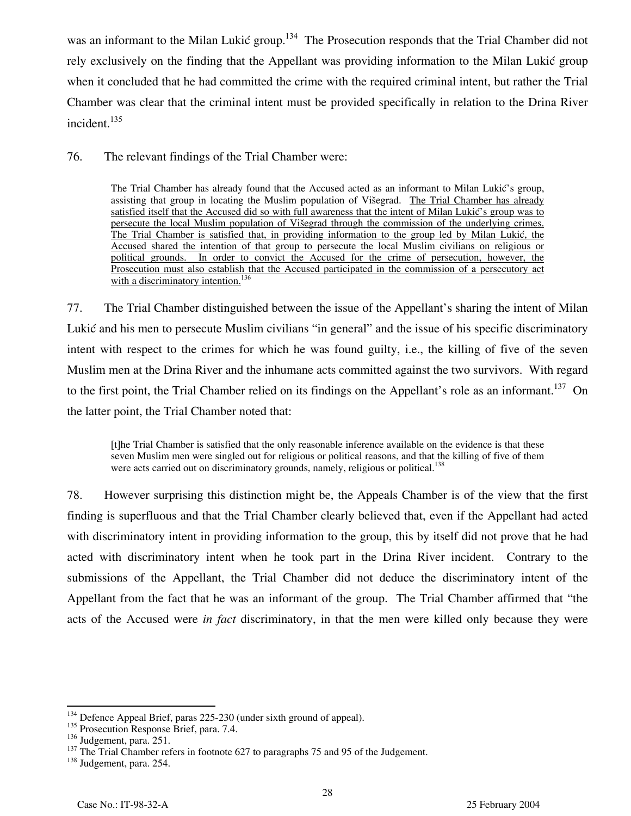was an informant to the Milan Lukić group.<sup>134</sup> The Prosecution responds that the Trial Chamber did not rely exclusively on the finding that the Appellant was providing information to the Milan Lukić group when it concluded that he had committed the crime with the required criminal intent, but rather the Trial Chamber was clear that the criminal intent must be provided specifically in relation to the Drina River incident. $135$ 

76. The relevant findings of the Trial Chamber were:

The Trial Chamber has already found that the Accused acted as an informant to Milan Lukić's group, assisting that group in locating the Muslim population of Višegrad. The Trial Chamber has already satisfied itself that the Accused did so with full awareness that the intent of Milan Lukić's group was to persecute the local Muslim population of Višegrad through the commission of the underlying crimes. The Trial Chamber is satisfied that, in providing information to the group led by Milan Lukić, the Accused shared the intention of that group to persecute the local Muslim civilians on religious or political grounds. In order to convict the Accused for the crime of persecution, however, the Prosecution must also establish that the Accused participated in the commission of a persecutory act with a discriminatory intention.<sup>136</sup>

77. The Trial Chamber distinguished between the issue of the Appellant's sharing the intent of Milan Lukić and his men to persecute Muslim civilians "in general" and the issue of his specific discriminatory intent with respect to the crimes for which he was found guilty, i.e., the killing of five of the seven Muslim men at the Drina River and the inhumane acts committed against the two survivors. With regard to the first point, the Trial Chamber relied on its findings on the Appellant's role as an informant.<sup>137</sup> On the latter point, the Trial Chamber noted that:

[t]he Trial Chamber is satisfied that the only reasonable inference available on the evidence is that these seven Muslim men were singled out for religious or political reasons, and that the killing of five of them were acts carried out on discriminatory grounds, namely, religious or political.<sup>138</sup>

78. However surprising this distinction might be, the Appeals Chamber is of the view that the first finding is superfluous and that the Trial Chamber clearly believed that, even if the Appellant had acted with discriminatory intent in providing information to the group, this by itself did not prove that he had acted with discriminatory intent when he took part in the Drina River incident. Contrary to the submissions of the Appellant, the Trial Chamber did not deduce the discriminatory intent of the Appellant from the fact that he was an informant of the group. The Trial Chamber affirmed that "the acts of the Accused were *in fact* discriminatory, in that the men were killed only because they were

<u>.</u>

<sup>&</sup>lt;sup>134</sup> Defence Appeal Brief, paras 225-230 (under sixth ground of appeal).

<sup>&</sup>lt;sup>135</sup> Prosecution Response Brief, para. 7.4.<br><sup>136</sup> Judgement, para. 251.

 $137$  The Trial Chamber refers in footnote 627 to paragraphs 75 and 95 of the Judgement.  $138$  Judgement, para. 254.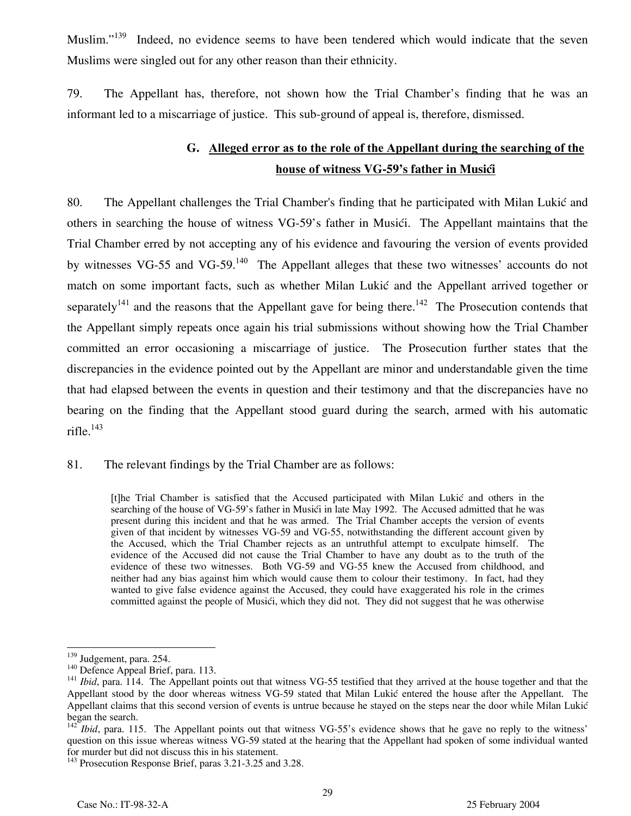Muslim."<sup>139</sup> Indeed, no evidence seems to have been tendered which would indicate that the seven Muslims were singled out for any other reason than their ethnicity.

79. The Appellant has, therefore, not shown how the Trial Chamber's finding that he was an informant led to a miscarriage of justice. This sub-ground of appeal is, therefore, dismissed.

# **G. Alleged error as to the role of the Appellant during the searching of the** house of witness VG-59's father in Musici

80. The Appellant challenges the Trial Chamber's finding that he participated with Milan Lukić and others in searching the house of witness VG-59's father in Musici. The Appellant maintains that the Trial Chamber erred by not accepting any of his evidence and favouring the version of events provided by witnesses VG-55 and VG-59.<sup>140</sup> The Appellant alleges that these two witnesses' accounts do not match on some important facts, such as whether Milan Lukić and the Appellant arrived together or separately<sup>141</sup> and the reasons that the Appellant gave for being there.<sup>142</sup> The Prosecution contends that the Appellant simply repeats once again his trial submissions without showing how the Trial Chamber committed an error occasioning a miscarriage of justice. The Prosecution further states that the discrepancies in the evidence pointed out by the Appellant are minor and understandable given the time that had elapsed between the events in question and their testimony and that the discrepancies have no bearing on the finding that the Appellant stood guard during the search, armed with his automatic rifle.<sup>143</sup>

#### 81. The relevant findings by the Trial Chamber are as follows:

[t]he Trial Chamber is satisfied that the Accused participated with Milan Lukić and others in the searching of the house of VG-59's father in Musići in late May 1992. The Accused admitted that he was present during this incident and that he was armed. The Trial Chamber accepts the version of events given of that incident by witnesses VG-59 and VG-55, notwithstanding the different account given by the Accused, which the Trial Chamber rejects as an untruthful attempt to exculpate himself. The evidence of the Accused did not cause the Trial Chamber to have any doubt as to the truth of the evidence of these two witnesses. Both VG-59 and VG-55 knew the Accused from childhood, and neither had any bias against him which would cause them to colour their testimony. In fact, had they wanted to give false evidence against the Accused, they could have exaggerated his role in the crimes committed against the people of Musići, which they did not. They did not suggest that he was otherwise

<sup>&</sup>lt;sup>139</sup> Judgement, para. 254.

<sup>&</sup>lt;sup>140</sup> Defence Appeal Brief, para. 113.<br><sup>141</sup> *Ibid*, para. 114. The Appellant points out that witness VG-55 testified that they arrived at the house together and that the Appellant stood by the door whereas witness VG-59 stated that Milan Lukić entered the house after the Appellant. The Appellant claims that this second version of events is untrue because he stayed on the steps near the door while Milan Lukić began the search.

<sup>&</sup>lt;sup>142</sup> *Ibid*, para. 115. The Appellant points out that witness VG-55's evidence shows that he gave no reply to the witness' question on this issue whereas witness VG-59 stated at the hearing that the Appellant had spoken of some individual wanted for murder but did not discuss this in his statement.

<sup>&</sup>lt;sup>143</sup> Prosecution Response Brief, paras 3.21-3.25 and 3.28.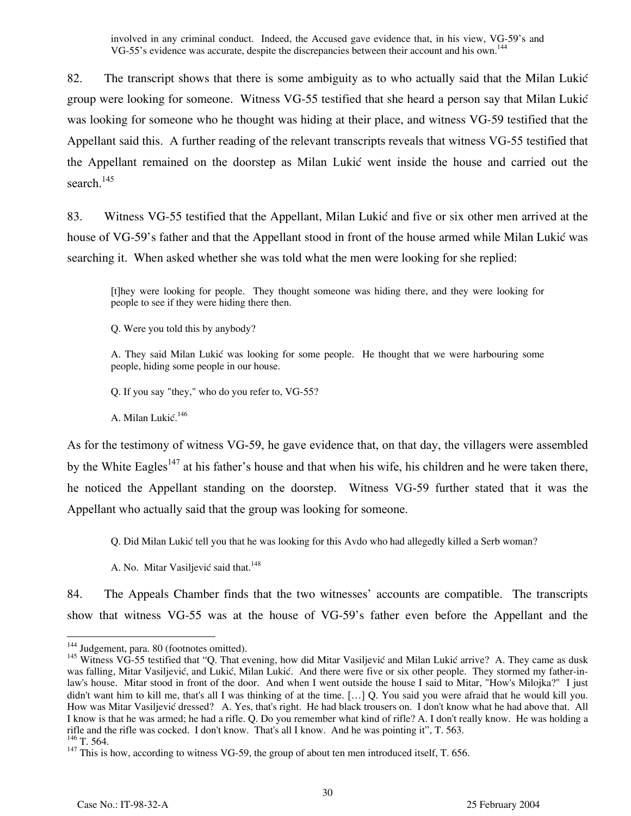involved in any criminal conduct. Indeed, the Accused gave evidence that, in his view, VG-59's and VG-55's evidence was accurate, despite the discrepancies between their account and his own.<sup>144</sup>

82. The transcript shows that there is some ambiguity as to who actually said that the Milan Lukić group were looking for someone. Witness VG-55 testified that she heard a person say that Milan Lukić was looking for someone who he thought was hiding at their place, and witness VG-59 testified that the Appellant said this. A further reading of the relevant transcripts reveals that witness VG-55 testified that the Appellant remained on the doorstep as Milan Lukić went inside the house and carried out the search.<sup>145</sup>

83. Witness VG-55 testified that the Appellant, Milan Lukić and five or six other men arrived at the house of VG-59's father and that the Appellant stood in front of the house armed while Milan Lukić was searching it. When asked whether she was told what the men were looking for she replied:

[t]hey were looking for people. They thought someone was hiding there, and they were looking for people to see if they were hiding there then.

Q. Were you told this by anybody?

A. They said Milan Lukić was looking for some people. He thought that we were harbouring some people, hiding some people in our house.

Q. If you say "they," who do you refer to, VG-55?

A. Milan Lukić.<sup>146</sup>

As for the testimony of witness VG-59, he gave evidence that, on that day, the villagers were assembled by the White Eagles<sup>147</sup> at his father's house and that when his wife, his children and he were taken there, he noticed the Appellant standing on the doorstep. Witness VG-59 further stated that it was the Appellant who actually said that the group was looking for someone.

Q. Did Milan Lukić tell you that he was looking for this Avdo who had allegedly killed a Serb woman?

A. No. Mitar Vasiljević said that.<sup>148</sup>

84. The Appeals Chamber finds that the two witnesses' accounts are compatible. The transcripts show that witness VG-55 was at the house of VG-59's father even before the Appellant and the

 $\frac{1}{1}$ <sup>144</sup> Judgement, para. 80 (footnotes omitted).

<sup>&</sup>lt;sup>145</sup> Witness VG-55 testified that "Q. That evening, how did Mitar Vasiljević and Milan Lukić arrive? A. They came as dusk was falling, Mitar Vasiljević, and Lukić, Milan Lukić. And there were five or six other people. They stormed my father-inlaw's house. Mitar stood in front of the door. And when I went outside the house I said to Mitar, "How's Milojka?" I just didn't want him to kill me, that's all I was thinking of at the time. [...] Q. You said you were afraid that he would kill you. How was Mitar Vasiljević dressed? A. Yes, that's right. He had black trousers on. I don't know what he had above that. All I know is that he was armed; he had a rifle. Q. Do you remember what kind of rifle? A. I don't really know. He was holding a rifle and the rifle was cocked. I don't know. That's all I know. And he was pointing it", T. 563.<br><sup>146</sup> T. 564.

 $147$  This is how, according to witness VG-59, the group of about ten men introduced itself, T. 656.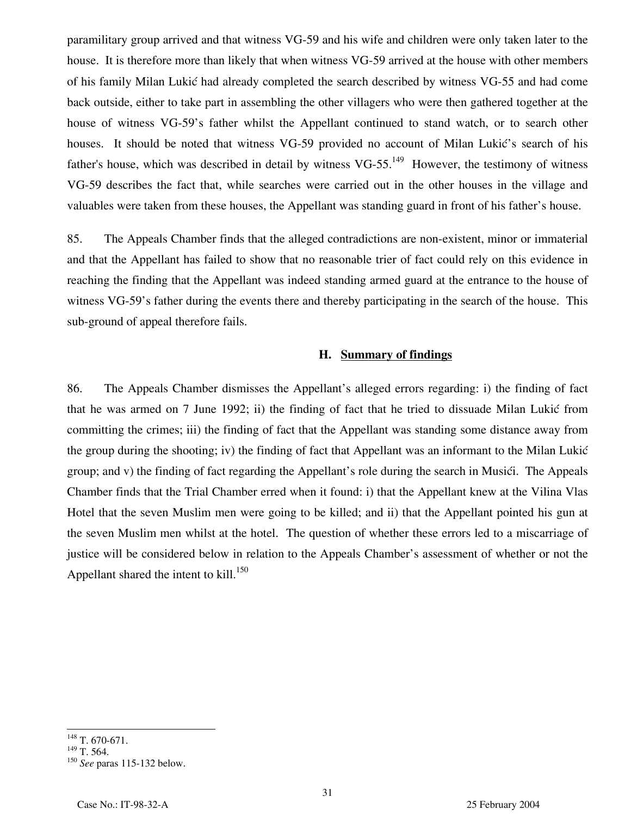paramilitary group arrived and that witness VG-59 and his wife and children were only taken later to the house. It is therefore more than likely that when witness VG-59 arrived at the house with other members of his family Milan Lukić had already completed the search described by witness VG-55 and had come back outside, either to take part in assembling the other villagers who were then gathered together at the house of witness VG-59's father whilst the Appellant continued to stand watch, or to search other houses. It should be noted that witness VG-59 provided no account of Milan Lukić's search of his father's house, which was described in detail by witness  $VG-55$ .<sup>149</sup> However, the testimony of witness VG-59 describes the fact that, while searches were carried out in the other houses in the village and valuables were taken from these houses, the Appellant was standing guard in front of his father's house.

85. The Appeals Chamber finds that the alleged contradictions are non-existent, minor or immaterial and that the Appellant has failed to show that no reasonable trier of fact could rely on this evidence in reaching the finding that the Appellant was indeed standing armed guard at the entrance to the house of witness VG-59's father during the events there and thereby participating in the search of the house. This sub-ground of appeal therefore fails.

#### **H. Summary of findings**

86. The Appeals Chamber dismisses the Appellant's alleged errors regarding: i) the finding of fact that he was armed on 7 June 1992; ii) the finding of fact that he tried to dissuade Milan Lukić from committing the crimes; iii) the finding of fact that the Appellant was standing some distance away from the group during the shooting; iv) the finding of fact that Appellant was an informant to the Milan Lukić group; and v) the finding of fact regarding the Appellant's role during the search in Musici. The Appeals Chamber finds that the Trial Chamber erred when it found: i) that the Appellant knew at the Vilina Vlas Hotel that the seven Muslim men were going to be killed; and ii) that the Appellant pointed his gun at the seven Muslim men whilst at the hotel. The question of whether these errors led to a miscarriage of justice will be considered below in relation to the Appeals Chamber's assessment of whether or not the Appellant shared the intent to kill.<sup>150</sup>

 $\frac{1}{1}$ 

 $148$  T. 670-671.

 $^{149}$  T. 564.

<sup>150</sup> *See* paras 115-132 below.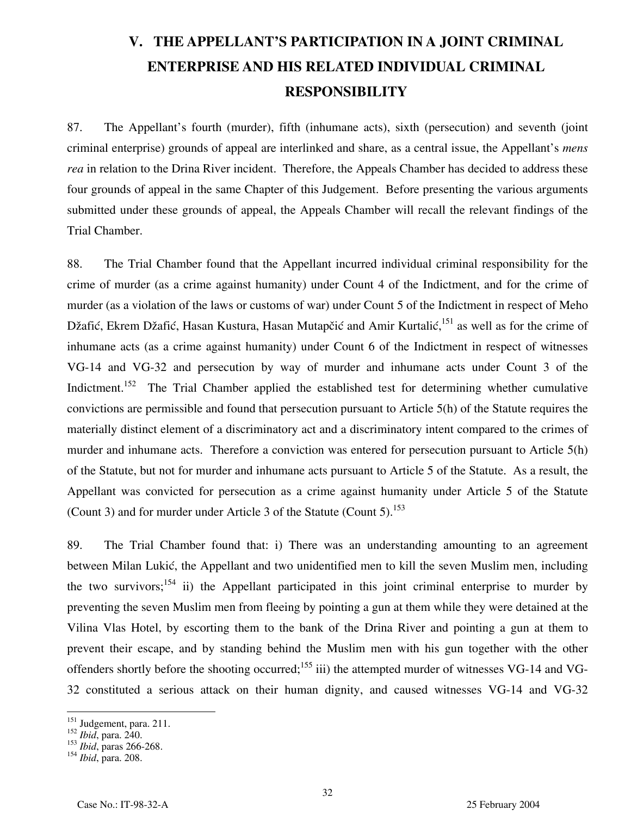# **V. THE APPELLANT'S PARTICIPATION IN A JOINT CRIMINAL ENTERPRISE AND HIS RELATED INDIVIDUAL CRIMINAL RESPONSIBILITY**

87. The Appellant's fourth (murder), fifth (inhumane acts), sixth (persecution) and seventh (joint criminal enterprise) grounds of appeal are interlinked and share, as a central issue, the Appellant's *mens rea* in relation to the Drina River incident. Therefore, the Appeals Chamber has decided to address these four grounds of appeal in the same Chapter of this Judgement. Before presenting the various arguments submitted under these grounds of appeal, the Appeals Chamber will recall the relevant findings of the Trial Chamber.

88. The Trial Chamber found that the Appellant incurred individual criminal responsibility for the crime of murder (as a crime against humanity) under Count 4 of the Indictment, and for the crime of murder (as a violation of the laws or customs of war) under Count 5 of the Indictment in respect of Meho Džafić, Ekrem Džafić, Hasan Kustura, Hasan Mutapčić and Amir Kurtalić,<sup>151</sup> as well as for the crime of inhumane acts (as a crime against humanity) under Count 6 of the Indictment in respect of witnesses VG-14 and VG-32 and persecution by way of murder and inhumane acts under Count 3 of the Indictment.<sup>152</sup> The Trial Chamber applied the established test for determining whether cumulative convictions are permissible and found that persecution pursuant to Article 5(h) of the Statute requires the materially distinct element of a discriminatory act and a discriminatory intent compared to the crimes of murder and inhumane acts. Therefore a conviction was entered for persecution pursuant to Article 5(h) of the Statute, but not for murder and inhumane acts pursuant to Article 5 of the Statute. As a result, the Appellant was convicted for persecution as a crime against humanity under Article 5 of the Statute (Count 3) and for murder under Article 3 of the Statute (Count 5).<sup>153</sup>

89. The Trial Chamber found that: i) There was an understanding amounting to an agreement between Milan Lukić, the Appellant and two unidentified men to kill the seven Muslim men, including the two survivors;<sup>154</sup> ii) the Appellant participated in this joint criminal enterprise to murder by preventing the seven Muslim men from fleeing by pointing a gun at them while they were detained at the Vilina Vlas Hotel, by escorting them to the bank of the Drina River and pointing a gun at them to prevent their escape, and by standing behind the Muslim men with his gun together with the other offenders shortly before the shooting occurred;<sup>155</sup> iii) the attempted murder of witnesses VG-14 and VG-32 constituted a serious attack on their human dignity, and caused witnesses VG-14 and VG-32

 $\frac{1}{1}$ 

<sup>&</sup>lt;sup>151</sup> Judgement, para. 211.

<sup>152</sup> *Ibid*, para. 240.

<sup>153</sup> *Ibid*, paras 266-268.

<sup>154</sup> *Ibid*, para. 208.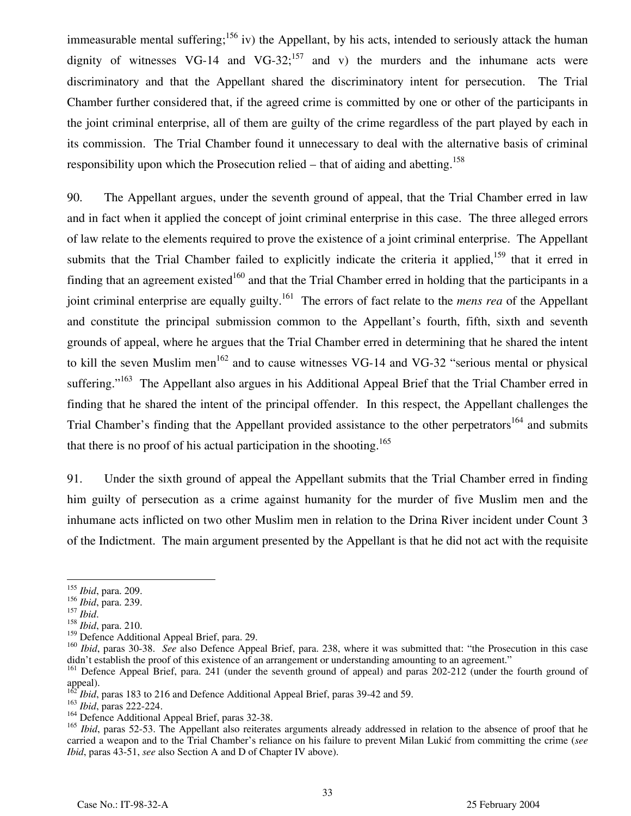immeasurable mental suffering;<sup>156</sup> iv) the Appellant, by his acts, intended to seriously attack the human dignity of witnesses VG-14 and VG-32;<sup>157</sup> and v) the murders and the inhumane acts were discriminatory and that the Appellant shared the discriminatory intent for persecution. The Trial Chamber further considered that, if the agreed crime is committed by one or other of the participants in the joint criminal enterprise, all of them are guilty of the crime regardless of the part played by each in its commission. The Trial Chamber found it unnecessary to deal with the alternative basis of criminal responsibility upon which the Prosecution relied – that of aiding and abetting.<sup>158</sup>

90. The Appellant argues, under the seventh ground of appeal, that the Trial Chamber erred in law and in fact when it applied the concept of joint criminal enterprise in this case. The three alleged errors of law relate to the elements required to prove the existence of a joint criminal enterprise. The Appellant submits that the Trial Chamber failed to explicitly indicate the criteria it applied,<sup>159</sup> that it erred in finding that an agreement existed<sup>160</sup> and that the Trial Chamber erred in holding that the participants in a joint criminal enterprise are equally guilty.<sup>161</sup> The errors of fact relate to the *mens rea* of the Appellant and constitute the principal submission common to the Appellant's fourth, fifth, sixth and seventh grounds of appeal, where he argues that the Trial Chamber erred in determining that he shared the intent to kill the seven Muslim men<sup>162</sup> and to cause witnesses VG-14 and VG-32 "serious mental or physical suffering."<sup>163</sup> The Appellant also argues in his Additional Appeal Brief that the Trial Chamber erred in finding that he shared the intent of the principal offender. In this respect, the Appellant challenges the Trial Chamber's finding that the Appellant provided assistance to the other perpetrators<sup>164</sup> and submits that there is no proof of his actual participation in the shooting.<sup>165</sup>

91. Under the sixth ground of appeal the Appellant submits that the Trial Chamber erred in finding him guilty of persecution as a crime against humanity for the murder of five Muslim men and the inhumane acts inflicted on two other Muslim men in relation to the Drina River incident under Count 3 of the Indictment. The main argument presented by the Appellant is that he did not act with the requisite

<sup>155</sup> *Ibid*, para. 209.

<sup>156</sup> *Ibid*, para. 239.<br><sup>157</sup> *Ibid*.

<sup>157</sup> *Ibid*. <sup>158</sup> *Ibid*, para. 210.

<sup>&</sup>lt;sup>159</sup> Defence Additional Appeal Brief, para. 29.

<sup>&</sup>lt;sup>160</sup> *Ibid*, paras 30-38. *See* also Defence Appeal Brief, para. 238, where it was submitted that: "the Prosecution in this case didn't establish the proof of this existence of an arrangement or understanding amounting to an agreement."

<sup>&</sup>lt;sup>161</sup> Defence Appeal Brief, para. 241 (under the seventh ground of appeal) and paras 202-212 (under the fourth ground of appeal).

*Ibid*, paras 183 to 216 and Defence Additional Appeal Brief, paras 39-42 and 59.

<sup>163</sup> *Ibid*, paras 222-224.

<sup>&</sup>lt;sup>164</sup> Defence Additional Appeal Brief, paras 32-38.

<sup>&</sup>lt;sup>165</sup> *Ibid*, paras 52-53. The Appellant also reiterates arguments already addressed in relation to the absence of proof that he carried a weapon and to the Trial Chamber's reliance on his failure to prevent Milan Lukić from committing the crime (see *Ibid*, paras 43-51, *see* also Section A and D of Chapter IV above).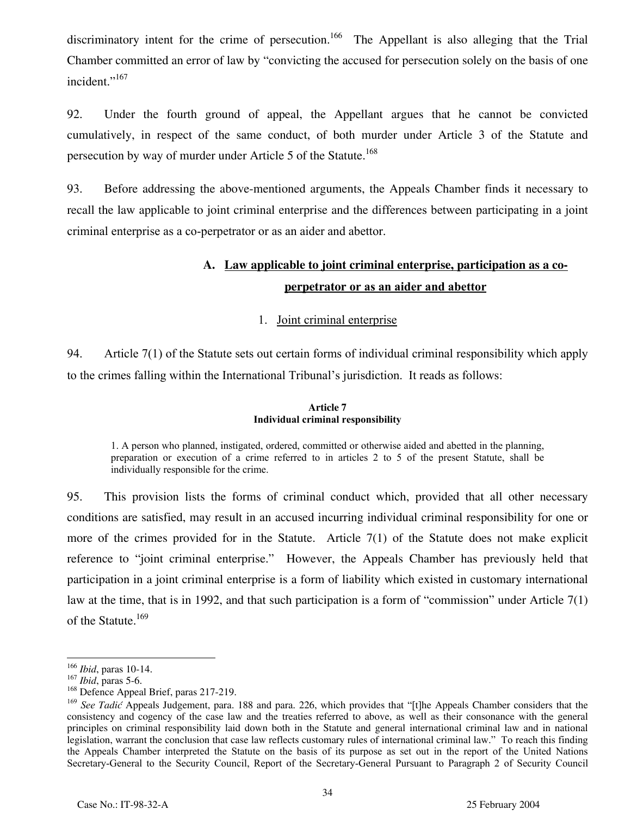discriminatory intent for the crime of persecution.<sup>166</sup> The Appellant is also alleging that the Trial Chamber committed an error of law by "convicting the accused for persecution solely on the basis of one incident."<sup>167</sup>

92. Under the fourth ground of appeal, the Appellant argues that he cannot be convicted cumulatively, in respect of the same conduct, of both murder under Article 3 of the Statute and persecution by way of murder under Article 5 of the Statute.<sup>168</sup>

93. Before addressing the above-mentioned arguments, the Appeals Chamber finds it necessary to recall the law applicable to joint criminal enterprise and the differences between participating in a joint criminal enterprise as a co-perpetrator or as an aider and abettor.

# **A. Law applicable to joint criminal enterprise, participation as a coperpetrator or as an aider and abettor**

## 1. Joint criminal enterprise

94. Article 7(1) of the Statute sets out certain forms of individual criminal responsibility which apply to the crimes falling within the International Tribunal's jurisdiction. It reads as follows:

#### **Article 7 Individual criminal responsibility**

1. A person who planned, instigated, ordered, committed or otherwise aided and abetted in the planning, preparation or execution of a crime referred to in articles 2 to 5 of the present Statute, shall be individually responsible for the crime.

95. This provision lists the forms of criminal conduct which, provided that all other necessary conditions are satisfied, may result in an accused incurring individual criminal responsibility for one or more of the crimes provided for in the Statute. Article 7(1) of the Statute does not make explicit reference to "joint criminal enterprise." However, the Appeals Chamber has previously held that participation in a joint criminal enterprise is a form of liability which existed in customary international law at the time, that is in 1992, and that such participation is a form of "commission" under Article 7(1) of the Statute.<sup>169</sup>

 $\frac{1}{1}$ 

<sup>166</sup> *Ibid*, paras 10-14.

<sup>167</sup> *Ibid*, paras 5-6.

<sup>&</sup>lt;sup>168</sup> Defence Appeal Brief, paras 217-219.

<sup>&</sup>lt;sup>169</sup> See Tadić Appeals Judgement, para. 188 and para. 226, which provides that "[t]he Appeals Chamber considers that the consistency and cogency of the case law and the treaties referred to above, as well as their consonance with the general principles on criminal responsibility laid down both in the Statute and general international criminal law and in national legislation, warrant the conclusion that case law reflects customary rules of international criminal law." To reach this finding the Appeals Chamber interpreted the Statute on the basis of its purpose as set out in the report of the United Nations Secretary-General to the Security Council, Report of the Secretary-General Pursuant to Paragraph 2 of Security Council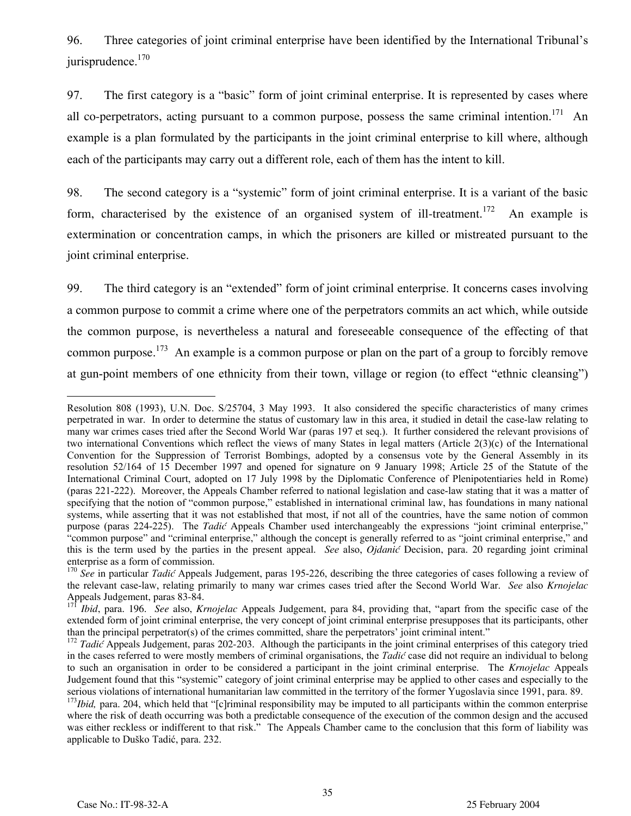96. Three categories of joint criminal enterprise have been identified by the International Tribunal's jurisprudence.<sup>170</sup>

97. The first category is a "basic" form of joint criminal enterprise. It is represented by cases where all co-perpetrators, acting pursuant to a common purpose, possess the same criminal intention.<sup>171</sup> An example is a plan formulated by the participants in the joint criminal enterprise to kill where, although each of the participants may carry out a different role, each of them has the intent to kill.

98. The second category is a "systemic" form of joint criminal enterprise. It is a variant of the basic form, characterised by the existence of an organised system of ill-treatment.<sup>172</sup> An example is extermination or concentration camps, in which the prisoners are killed or mistreated pursuant to the joint criminal enterprise.

99. The third category is an "extended" form of joint criminal enterprise. It concerns cases involving a common purpose to commit a crime where one of the perpetrators commits an act which, while outside the common purpose, is nevertheless a natural and foreseeable consequence of the effecting of that common purpose.<sup>173</sup> An example is a common purpose or plan on the part of a group to forcibly remove at gun-point members of one ethnicity from their town, village or region (to effect "ethnic cleansing")

<sup>-</sup>Resolution 808 (1993), U.N. Doc. S/25704, 3 May 1993. It also considered the specific characteristics of many crimes perpetrated in war. In order to determine the status of customary law in this area, it studied in detail the case-law relating to many war crimes cases tried after the Second World War (paras 197 et seq.). It further considered the relevant provisions of two international Conventions which reflect the views of many States in legal matters (Article 2(3)(c) of the International Convention for the Suppression of Terrorist Bombings, adopted by a consensus vote by the General Assembly in its resolution 52/164 of 15 December 1997 and opened for signature on 9 January 1998; Article 25 of the Statute of the International Criminal Court, adopted on 17 July 1998 by the Diplomatic Conference of Plenipotentiaries held in Rome) (paras 221-222). Moreover, the Appeals Chamber referred to national legislation and case-law stating that it was a matter of specifying that the notion of "common purpose," established in international criminal law, has foundations in many national systems, while asserting that it was not established that most, if not all of the countries, have the same notion of common purpose (paras 224-225). The *Tadić* Appeals Chamber used interchangeably the expressions "joint criminal enterprise," "common purpose" and "criminal enterprise," although the concept is generally referred to as "joint criminal enterprise," and this is the term used by the parties in the present appeal. *See* also, *Ojdanić* Decision, para. 20 regarding joint criminal enterprise as a form of commission.

<sup>&</sup>lt;sup>170</sup> See in particular *Tadić* Appeals Judgement, paras 195-226, describing the three categories of cases following a review of the relevant case-law, relating primarily to many war crimes cases tried after the Second World War. *See* also *Krnojelac* Appeals Judgement, paras 83-84.

<sup>171</sup> *Ibid*, para. 196. *See* also, *Krnojelac* Appeals Judgement, para 84, providing that, "apart from the specific case of the extended form of joint criminal enterprise, the very concept of joint criminal enterprise presupposes that its participants, other than the principal perpetrator(s) of the crimes committed, share the perpetrators' joint criminal intent."<br><sup>172</sup> Tadić Appeals Judgement, paras 202-203. Although the participants in the joint criminal enterprises of this

in the cases referred to were mostly members of criminal organisations, the *Tadi}* case did not require an individual to belong to such an organisation in order to be considered a participant in the joint criminal enterprise. The *Krnojelac* Appeals Judgement found that this "systemic" category of joint criminal enterprise may be applied to other cases and especially to the serious violations of international humanitarian law committed in the territory of the former Yugoslavia since 1991, para. 89.

<sup>&</sup>lt;sup>173</sup>*Ibid*, para. 204, which held that "[c]riminal responsibility may be imputed to all participants within the common enterprise where the risk of death occurring was both a predictable consequence of the execution of the common design and the accused was either reckless or indifferent to that risk." The Appeals Chamber came to the conclusion that this form of liability was applicable to Duško Tadić, para. 232.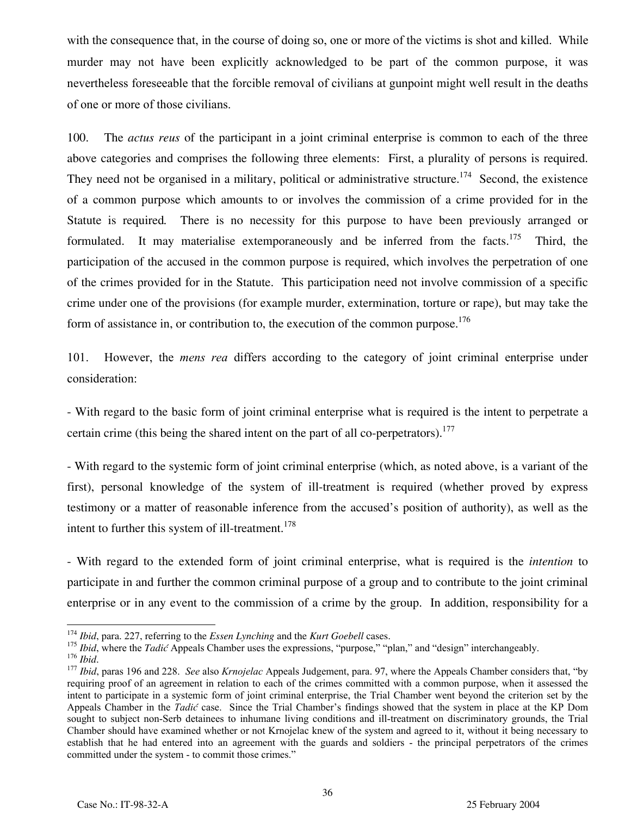with the consequence that, in the course of doing so, one or more of the victims is shot and killed. While murder may not have been explicitly acknowledged to be part of the common purpose, it was nevertheless foreseeable that the forcible removal of civilians at gunpoint might well result in the deaths of one or more of those civilians.

100. The *actus reus* of the participant in a joint criminal enterprise is common to each of the three above categories and comprises the following three elements: First, a plurality of persons is required. They need not be organised in a military, political or administrative structure.<sup>174</sup> Second, the existence of a common purpose which amounts to or involves the commission of a crime provided for in the Statute is required*.* There is no necessity for this purpose to have been previously arranged or formulated. It may materialise extemporaneously and be inferred from the facts.<sup>175</sup> Third, the participation of the accused in the common purpose is required, which involves the perpetration of one of the crimes provided for in the Statute. This participation need not involve commission of a specific crime under one of the provisions (for example murder, extermination, torture or rape), but may take the form of assistance in, or contribution to, the execution of the common purpose.<sup>176</sup>

101. However, the *mens rea* differs according to the category of joint criminal enterprise under consideration:

- With regard to the basic form of joint criminal enterprise what is required is the intent to perpetrate a certain crime (this being the shared intent on the part of all co-perpetrators).<sup>177</sup>

- With regard to the systemic form of joint criminal enterprise (which, as noted above, is a variant of the first), personal knowledge of the system of ill-treatment is required (whether proved by express testimony or a matter of reasonable inference from the accused's position of authority), as well as the intent to further this system of ill-treatment.<sup>178</sup>

- With regard to the extended form of joint criminal enterprise, what is required is the *intention* to participate in and further the common criminal purpose of a group and to contribute to the joint criminal enterprise or in any event to the commission of a crime by the group. In addition, responsibility for a

 $\frac{1}{1}$ 

<sup>174</sup> *Ibid*, para. 227, referring to the *Essen Lynching* and the *Kurt Goebell* cases.

<sup>&</sup>lt;sup>175</sup>*Ibid*, where the *Tadić* Appeals Chamber uses the expressions, "purpose," "plan," and "design" interchangeably.<br><sup>176</sup>*Ibid*.<br><sup>177</sup>*Ibid*, paras 196 and 228. *See* also *Krnojelac* Appeals Judgement, para. 97, where t

requiring proof of an agreement in relation to each of the crimes committed with a common purpose, when it assessed the intent to participate in a systemic form of joint criminal enterprise, the Trial Chamber went beyond the criterion set by the Appeals Chamber in the *Tadić* case. Since the Trial Chamber's findings showed that the system in place at the KP Dom sought to subject non-Serb detainees to inhumane living conditions and ill-treatment on discriminatory grounds, the Trial Chamber should have examined whether or not Krnojelac knew of the system and agreed to it, without it being necessary to establish that he had entered into an agreement with the guards and soldiers - the principal perpetrators of the crimes committed under the system - to commit those crimes."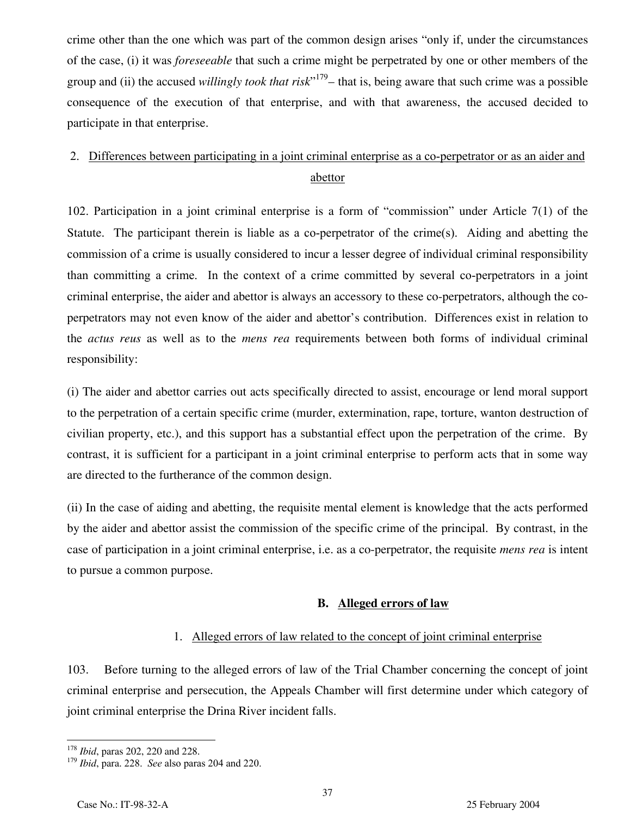crime other than the one which was part of the common design arises "only if, under the circumstances of the case, (i) it was *foreseeable* that such a crime might be perpetrated by one or other members of the group and (ii) the accused *willingly took that risk*" 179– that is, being aware that such crime was a possible consequence of the execution of that enterprise, and with that awareness, the accused decided to participate in that enterprise.

# 2. Differences between participating in a joint criminal enterprise as a co-perpetrator or as an aider and abettor

102. Participation in a joint criminal enterprise is a form of "commission" under Article 7(1) of the Statute. The participant therein is liable as a co-perpetrator of the crime(s). Aiding and abetting the commission of a crime is usually considered to incur a lesser degree of individual criminal responsibility than committing a crime. In the context of a crime committed by several co-perpetrators in a joint criminal enterprise, the aider and abettor is always an accessory to these co-perpetrators, although the coperpetrators may not even know of the aider and abettor's contribution. Differences exist in relation to the *actus reus* as well as to the *mens rea* requirements between both forms of individual criminal responsibility:

(i) The aider and abettor carries out acts specifically directed to assist, encourage or lend moral support to the perpetration of a certain specific crime (murder, extermination, rape, torture, wanton destruction of civilian property, etc.), and this support has a substantial effect upon the perpetration of the crime. By contrast, it is sufficient for a participant in a joint criminal enterprise to perform acts that in some way are directed to the furtherance of the common design.

(ii) In the case of aiding and abetting, the requisite mental element is knowledge that the acts performed by the aider and abettor assist the commission of the specific crime of the principal. By contrast, in the case of participation in a joint criminal enterprise, i.e. as a co-perpetrator, the requisite *mens rea* is intent to pursue a common purpose.

## **B. Alleged errors of law**

## 1. Alleged errors of law related to the concept of joint criminal enterprise

103. Before turning to the alleged errors of law of the Trial Chamber concerning the concept of joint criminal enterprise and persecution, the Appeals Chamber will first determine under which category of joint criminal enterprise the Drina River incident falls.

 $\frac{1}{1}$ <sup>178</sup> *Ibid*, paras 202, 220 and 228.

<sup>179</sup> *Ibid*, para. 228. *See* also paras 204 and 220.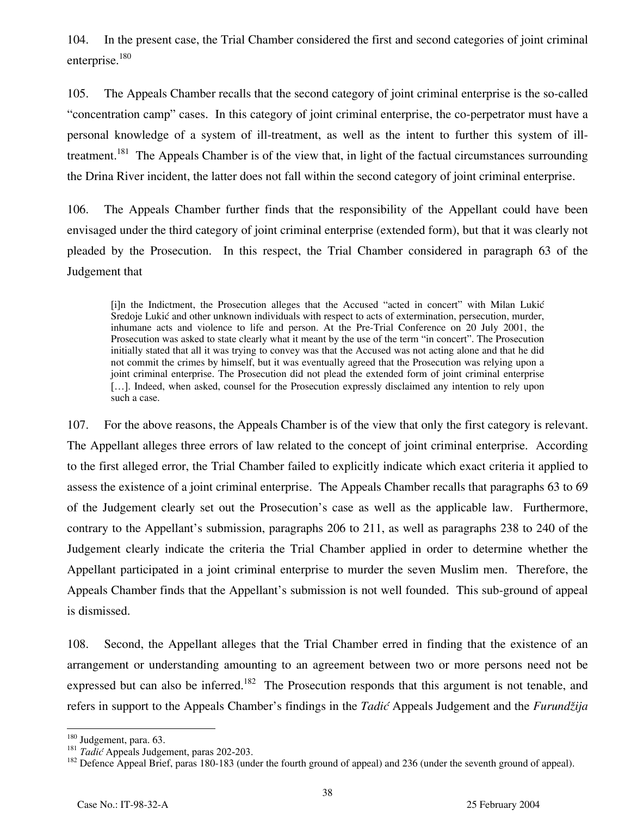104. In the present case, the Trial Chamber considered the first and second categories of joint criminal enterprise.<sup>180</sup>

105. The Appeals Chamber recalls that the second category of joint criminal enterprise is the so-called "concentration camp" cases. In this category of joint criminal enterprise, the co-perpetrator must have a personal knowledge of a system of ill-treatment, as well as the intent to further this system of illtreatment.<sup>181</sup> The Appeals Chamber is of the view that, in light of the factual circumstances surrounding the Drina River incident, the latter does not fall within the second category of joint criminal enterprise.

106. The Appeals Chamber further finds that the responsibility of the Appellant could have been envisaged under the third category of joint criminal enterprise (extended form), but that it was clearly not pleaded by the Prosecution. In this respect, the Trial Chamber considered in paragraph 63 of the Judgement that

[i]n the Indictment, the Prosecution alleges that the Accused "acted in concert" with Milan Lukić Sredoje Lukić and other unknown individuals with respect to acts of extermination, persecution, murder, inhumane acts and violence to life and person. At the Pre-Trial Conference on 20 July 2001, the Prosecution was asked to state clearly what it meant by the use of the term "in concert". The Prosecution initially stated that all it was trying to convey was that the Accused was not acting alone and that he did not commit the crimes by himself, but it was eventually agreed that the Prosecution was relying upon a joint criminal enterprise. The Prosecution did not plead the extended form of joint criminal enterprise [...]. Indeed, when asked, counsel for the Prosecution expressly disclaimed any intention to rely upon such a case.

107. For the above reasons, the Appeals Chamber is of the view that only the first category is relevant. The Appellant alleges three errors of law related to the concept of joint criminal enterprise. According to the first alleged error, the Trial Chamber failed to explicitly indicate which exact criteria it applied to assess the existence of a joint criminal enterprise. The Appeals Chamber recalls that paragraphs 63 to 69 of the Judgement clearly set out the Prosecution's case as well as the applicable law. Furthermore, contrary to the Appellant's submission, paragraphs 206 to 211, as well as paragraphs 238 to 240 of the Judgement clearly indicate the criteria the Trial Chamber applied in order to determine whether the Appellant participated in a joint criminal enterprise to murder the seven Muslim men. Therefore, the Appeals Chamber finds that the Appellant's submission is not well founded. This sub-ground of appeal is dismissed.

108. Second, the Appellant alleges that the Trial Chamber erred in finding that the existence of an arrangement or understanding amounting to an agreement between two or more persons need not be expressed but can also be inferred.<sup>182</sup> The Prosecution responds that this argument is not tenable, and refers in support to the Appeals Chamber's findings in the *Tadić* Appeals Judgement and the *Furundžija* 

 $180$  Judgement, para. 63.

<sup>&</sup>lt;sup>181</sup> *Tadić* Appeals Judgement, paras 202-203.<br><sup>181</sup> *Tadić* Appeals Judgement, paras 180-183 (under the fourth ground of appeal) and 236 (under the seventh ground of appeal).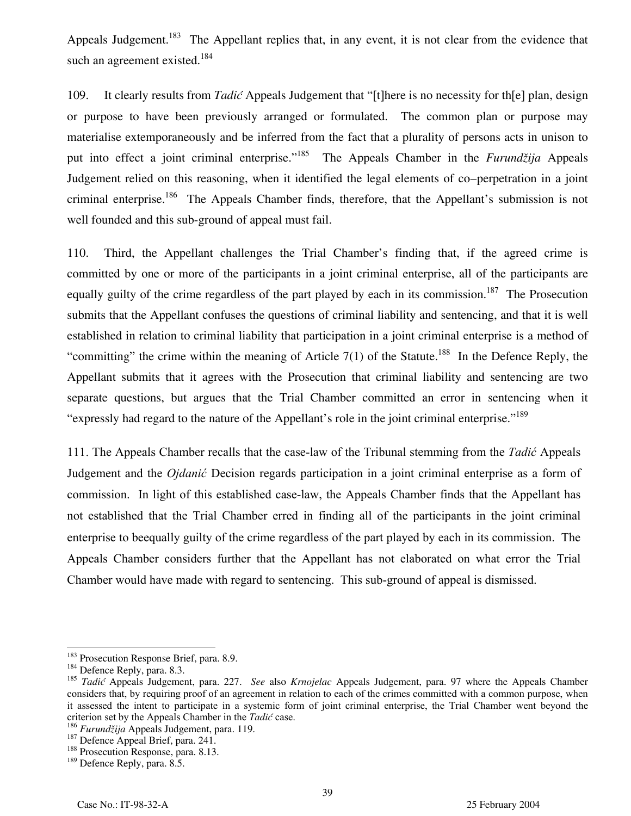Appeals Judgement.<sup>183</sup> The Appellant replies that, in any event, it is not clear from the evidence that such an agreement existed.<sup>184</sup>

109. It clearly results from *Tadić* Appeals Judgement that "[t]here is no necessity for th[e] plan, design or purpose to have been previously arranged or formulated. The common plan or purpose may materialise extemporaneously and be inferred from the fact that a plurality of persons acts in unison to put into effect a joint criminal enterprise."185 The Appeals Chamber in the *Furund`ija* Appeals Judgement relied on this reasoning, when it identified the legal elements of co–perpetration in a joint criminal enterprise.<sup>186</sup> The Appeals Chamber finds, therefore, that the Appellant's submission is not well founded and this sub-ground of appeal must fail.

110. Third, the Appellant challenges the Trial Chamber's finding that, if the agreed crime is committed by one or more of the participants in a joint criminal enterprise, all of the participants are equally guilty of the crime regardless of the part played by each in its commission.<sup>187</sup> The Prosecution submits that the Appellant confuses the questions of criminal liability and sentencing, and that it is well established in relation to criminal liability that participation in a joint criminal enterprise is a method of "committing" the crime within the meaning of Article  $7(1)$  of the Statute.<sup>188</sup> In the Defence Reply, the Appellant submits that it agrees with the Prosecution that criminal liability and sentencing are two separate questions, but argues that the Trial Chamber committed an error in sentencing when it "expressly had regard to the nature of the Appellant's role in the joint criminal enterprise."<sup>189</sup>

111. The Appeals Chamber recalls that the case-law of the Tribunal stemming from the *Tadić* Appeals Judgement and the *Ojdanić* Decision regards participation in a joint criminal enterprise as a form of commission. In light of this established case-law, the Appeals Chamber finds that the Appellant has not established that the Trial Chamber erred in finding all of the participants in the joint criminal enterprise to beequally guilty of the crime regardless of the part played by each in its commission. The Appeals Chamber considers further that the Appellant has not elaborated on what error the Trial Chamber would have made with regard to sentencing. This sub-ground of appeal is dismissed.

 $\frac{1}{1}$ 

<sup>&</sup>lt;sup>183</sup> Prosecution Response Brief, para. 8.9.<br><sup>184</sup> Defence Reply, para. 8.3.

<sup>&</sup>lt;sup>184</sup> Defence Reply, para. 8.3.<br><sup>185</sup> *Tadić* Appeals Judgement, para. 227. *See* also *Krnojelac* Appeals Judgement, para. 97 where the Appeals Chamber considers that, by requiring proof of an agreement in relation to each of the crimes committed with a common purpose, when it assessed the intent to participate in a systemic form of joint criminal enterprise, the Trial Chamber went beyond the criterion set by the Appeals Chamber in the *Tadić* case.<br><sup>186</sup> Furundžija Appeals Judgement, para. 119.

<sup>187</sup> Defence Appeal Brief, para. 241.<br><sup>188</sup> Prosecution Response, para. 8.13.

<sup>&</sup>lt;sup>189</sup> Defence Reply, para. 8.5.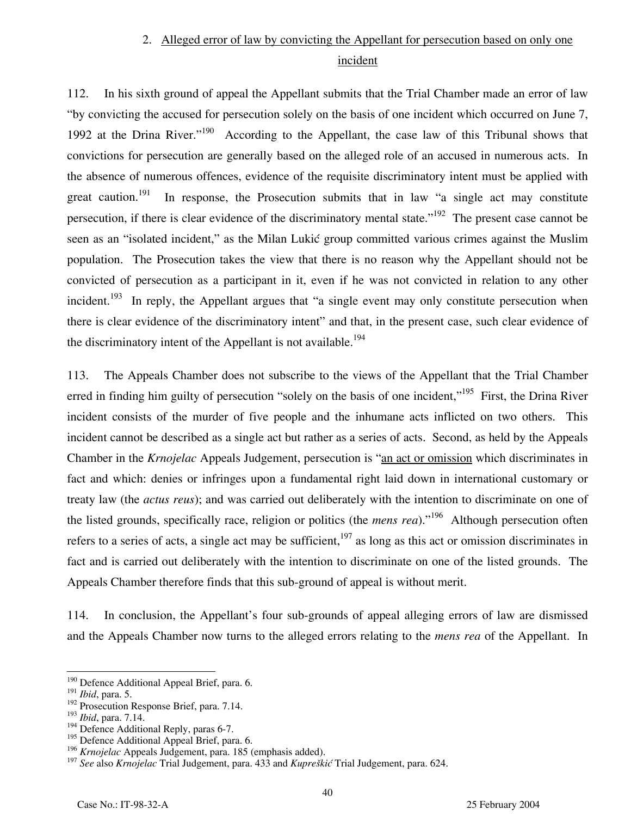# 2. Alleged error of law by convicting the Appellant for persecution based on only one incident

112. In his sixth ground of appeal the Appellant submits that the Trial Chamber made an error of law "by convicting the accused for persecution solely on the basis of one incident which occurred on June 7, 1992 at the Drina River."190 According to the Appellant, the case law of this Tribunal shows that convictions for persecution are generally based on the alleged role of an accused in numerous acts. In the absence of numerous offences, evidence of the requisite discriminatory intent must be applied with great caution.<sup>191</sup> In response, the Prosecution submits that in law "a single act may constitute persecution, if there is clear evidence of the discriminatory mental state."<sup>192</sup> The present case cannot be seen as an "isolated incident," as the Milan Lukić group committed various crimes against the Muslim population. The Prosecution takes the view that there is no reason why the Appellant should not be convicted of persecution as a participant in it, even if he was not convicted in relation to any other incident.<sup>193</sup> In reply, the Appellant argues that "a single event may only constitute persecution when there is clear evidence of the discriminatory intent" and that, in the present case, such clear evidence of the discriminatory intent of the Appellant is not available.<sup>194</sup>

113. The Appeals Chamber does not subscribe to the views of the Appellant that the Trial Chamber erred in finding him guilty of persecution "solely on the basis of one incident,"<sup>195</sup> First, the Drina River incident consists of the murder of five people and the inhumane acts inflicted on two others. This incident cannot be described as a single act but rather as a series of acts. Second, as held by the Appeals Chamber in the *Krnojelac* Appeals Judgement, persecution is "an act or omission which discriminates in fact and which: denies or infringes upon a fundamental right laid down in international customary or treaty law (the *actus reus*); and was carried out deliberately with the intention to discriminate on one of the listed grounds, specifically race, religion or politics (the *mens rea*)."196 Although persecution often refers to a series of acts, a single act may be sufficient,  $197$  as long as this act or omission discriminates in fact and is carried out deliberately with the intention to discriminate on one of the listed grounds. The Appeals Chamber therefore finds that this sub-ground of appeal is without merit.

114. In conclusion, the Appellant's four sub-grounds of appeal alleging errors of law are dismissed and the Appeals Chamber now turns to the alleged errors relating to the *mens rea* of the Appellant. In

<sup>-</sup><sup>190</sup> Defence Additional Appeal Brief, para. 6.

<sup>191</sup> *Ibid*, para. 5.

<sup>&</sup>lt;sup>192</sup> Prosecution Response Brief, para. 7.14.

<sup>193</sup> *Ibid*, para. 7.14.

<sup>&</sup>lt;sup>194</sup> Defence Additional Reply, paras 6-7.

<sup>&</sup>lt;sup>195</sup> Defence Additional Appeal Brief, para. 6.

<sup>196</sup> *Krnojelac* Appeals Judgement, para. 185 (emphasis added).

<sup>197</sup> *See* also *Krnojelac* Trial Judgement, para. 433 and *Kupreškić* Trial Judgement, para. 624.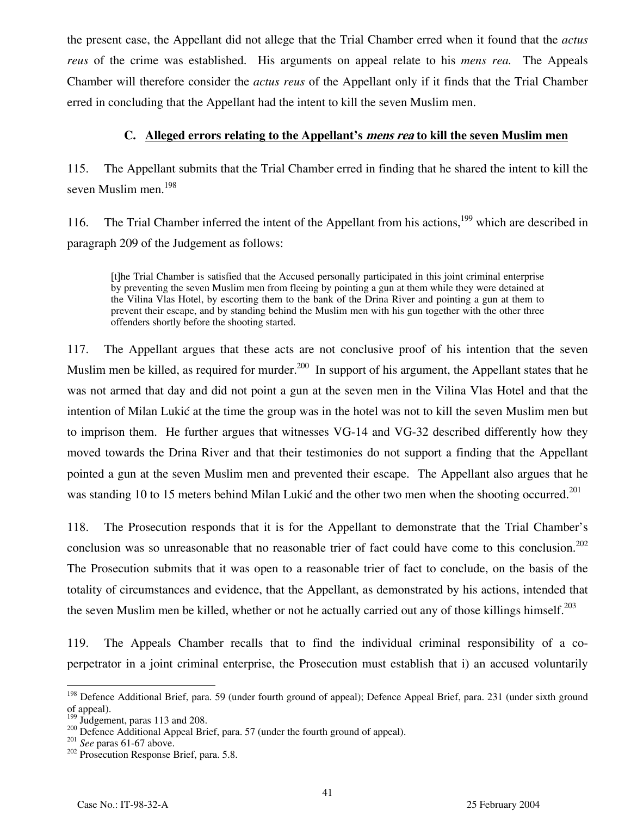the present case, the Appellant did not allege that the Trial Chamber erred when it found that the *actus reus* of the crime was established. His arguments on appeal relate to his *mens rea.* The Appeals Chamber will therefore consider the *actus reus* of the Appellant only if it finds that the Trial Chamber erred in concluding that the Appellant had the intent to kill the seven Muslim men.

## **C. Alleged errors relating to the Appellant's mens rea to kill the seven Muslim men**

115. The Appellant submits that the Trial Chamber erred in finding that he shared the intent to kill the seven Muslim men.<sup>198</sup>

116. The Trial Chamber inferred the intent of the Appellant from his actions,<sup>199</sup> which are described in paragraph 209 of the Judgement as follows:

[t]he Trial Chamber is satisfied that the Accused personally participated in this joint criminal enterprise by preventing the seven Muslim men from fleeing by pointing a gun at them while they were detained at the Vilina Vlas Hotel, by escorting them to the bank of the Drina River and pointing a gun at them to prevent their escape, and by standing behind the Muslim men with his gun together with the other three offenders shortly before the shooting started.

117. The Appellant argues that these acts are not conclusive proof of his intention that the seven Muslim men be killed, as required for murder.<sup>200</sup> In support of his argument, the Appellant states that he was not armed that day and did not point a gun at the seven men in the Vilina Vlas Hotel and that the intention of Milan Lukić at the time the group was in the hotel was not to kill the seven Muslim men but to imprison them. He further argues that witnesses VG-14 and VG-32 described differently how they moved towards the Drina River and that their testimonies do not support a finding that the Appellant pointed a gun at the seven Muslim men and prevented their escape. The Appellant also argues that he was standing 10 to 15 meters behind Milan Lukić and the other two men when the shooting occurred.<sup>201</sup>

118. The Prosecution responds that it is for the Appellant to demonstrate that the Trial Chamber's conclusion was so unreasonable that no reasonable trier of fact could have come to this conclusion.<sup>202</sup> The Prosecution submits that it was open to a reasonable trier of fact to conclude, on the basis of the totality of circumstances and evidence, that the Appellant, as demonstrated by his actions, intended that the seven Muslim men be killed, whether or not he actually carried out any of those killings himself.<sup>203</sup>

119. The Appeals Chamber recalls that to find the individual criminal responsibility of a coperpetrator in a joint criminal enterprise, the Prosecution must establish that i) an accused voluntarily

 $\frac{1}{1}$ 

<sup>&</sup>lt;sup>198</sup> Defence Additional Brief, para. 59 (under fourth ground of appeal); Defence Appeal Brief, para. 231 (under sixth ground of appeal).<br><sup>199</sup> Judgement, paras 113 and 208.

<sup>&</sup>lt;sup>200</sup> Defence Additional Appeal Brief, para. 57 (under the fourth ground of appeal). <sup>201</sup> *See* paras 61-67 above. <sup>202</sup> Prosecution Response Brief, para. 5.8.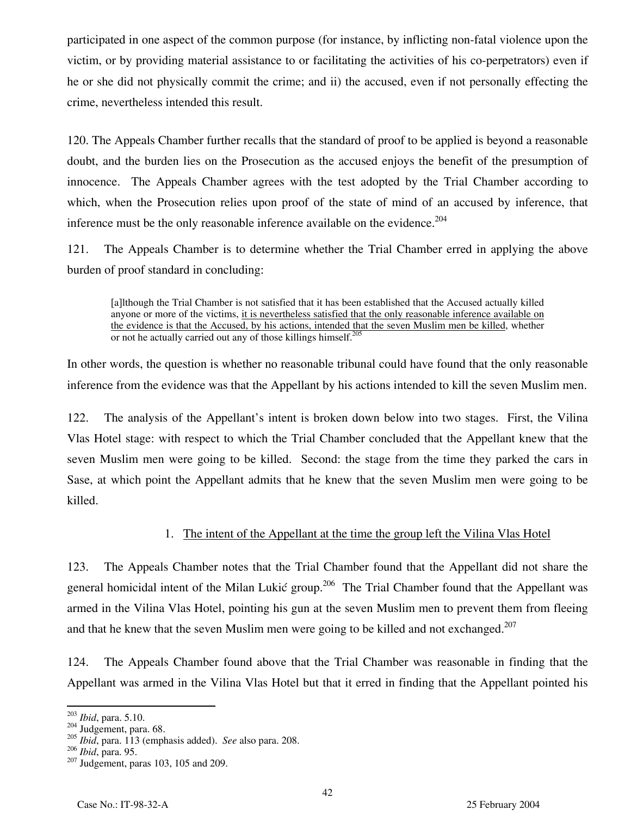participated in one aspect of the common purpose (for instance, by inflicting non-fatal violence upon the victim, or by providing material assistance to or facilitating the activities of his co-perpetrators) even if he or she did not physically commit the crime; and ii) the accused, even if not personally effecting the crime, nevertheless intended this result.

120. The Appeals Chamber further recalls that the standard of proof to be applied is beyond a reasonable doubt, and the burden lies on the Prosecution as the accused enjoys the benefit of the presumption of innocence. The Appeals Chamber agrees with the test adopted by the Trial Chamber according to which, when the Prosecution relies upon proof of the state of mind of an accused by inference, that inference must be the only reasonable inference available on the evidence.<sup>204</sup>

121. The Appeals Chamber is to determine whether the Trial Chamber erred in applying the above burden of proof standard in concluding:

[a]lthough the Trial Chamber is not satisfied that it has been established that the Accused actually killed anyone or more of the victims, it is nevertheless satisfied that the only reasonable inference available on the evidence is that the Accused, by his actions, intended that the seven Muslim men be killed, whether or not he actually carried out any of those killings himself.<sup>205</sup>

In other words, the question is whether no reasonable tribunal could have found that the only reasonable inference from the evidence was that the Appellant by his actions intended to kill the seven Muslim men.

122. The analysis of the Appellant's intent is broken down below into two stages. First, the Vilina Vlas Hotel stage: with respect to which the Trial Chamber concluded that the Appellant knew that the seven Muslim men were going to be killed. Second: the stage from the time they parked the cars in Sase, at which point the Appellant admits that he knew that the seven Muslim men were going to be killed.

## 1. The intent of the Appellant at the time the group left the Vilina Vlas Hotel

123. The Appeals Chamber notes that the Trial Chamber found that the Appellant did not share the general homicidal intent of the Milan Lukić group.<sup>206</sup> The Trial Chamber found that the Appellant was armed in the Vilina Vlas Hotel, pointing his gun at the seven Muslim men to prevent them from fleeing and that he knew that the seven Muslim men were going to be killed and not exchanged.<sup>207</sup>

124. The Appeals Chamber found above that the Trial Chamber was reasonable in finding that the Appellant was armed in the Vilina Vlas Hotel but that it erred in finding that the Appellant pointed his

42

 $203$  *Ibid*, para. 5.10.

<sup>&</sup>lt;sup>204</sup> Judgement, para. 68.

<sup>205</sup> *Ibid*, para. 113 (emphasis added). *See* also para. 208.

<sup>&</sup>lt;sup>207</sup> Judgement, paras 103, 105 and 209.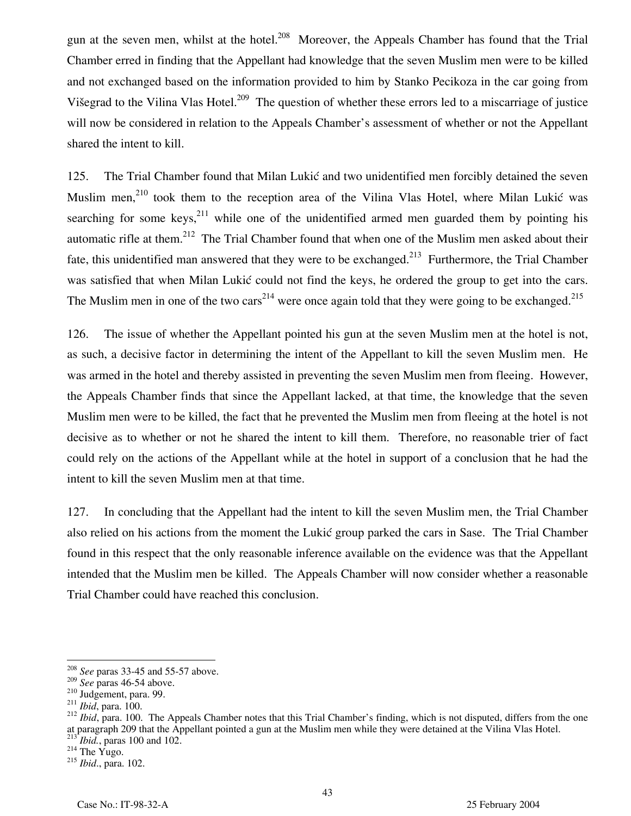gun at the seven men, whilst at the hotel.<sup>208</sup> Moreover, the Appeals Chamber has found that the Trial Chamber erred in finding that the Appellant had knowledge that the seven Muslim men were to be killed and not exchanged based on the information provided to him by Stanko Pecikoza in the car going from Višegrad to the Vilina Vlas Hotel.<sup>209</sup> The question of whether these errors led to a miscarriage of justice will now be considered in relation to the Appeals Chamber's assessment of whether or not the Appellant shared the intent to kill.

125. The Trial Chamber found that Milan Lukić and two unidentified men forcibly detained the seven Muslim men,<sup>210</sup> took them to the reception area of the Vilina Vlas Hotel, where Milan Lukić was searching for some keys,  $2^{11}$  while one of the unidentified armed men guarded them by pointing his automatic rifle at them.<sup>212</sup> The Trial Chamber found that when one of the Muslim men asked about their fate, this unidentified man answered that they were to be exchanged.<sup>213</sup> Furthermore, the Trial Chamber was satisfied that when Milan Lukić could not find the keys, he ordered the group to get into the cars. The Muslim men in one of the two cars<sup>214</sup> were once again told that they were going to be exchanged.<sup>215</sup>

126. The issue of whether the Appellant pointed his gun at the seven Muslim men at the hotel is not, as such, a decisive factor in determining the intent of the Appellant to kill the seven Muslim men. He was armed in the hotel and thereby assisted in preventing the seven Muslim men from fleeing. However, the Appeals Chamber finds that since the Appellant lacked, at that time, the knowledge that the seven Muslim men were to be killed, the fact that he prevented the Muslim men from fleeing at the hotel is not decisive as to whether or not he shared the intent to kill them. Therefore, no reasonable trier of fact could rely on the actions of the Appellant while at the hotel in support of a conclusion that he had the intent to kill the seven Muslim men at that time.

127. In concluding that the Appellant had the intent to kill the seven Muslim men, the Trial Chamber also relied on his actions from the moment the Lukić group parked the cars in Sase. The Trial Chamber found in this respect that the only reasonable inference available on the evidence was that the Appellant intended that the Muslim men be killed. The Appeals Chamber will now consider whether a reasonable Trial Chamber could have reached this conclusion.

-

<sup>208</sup> *See* paras 33-45 and 55-57 above.

<sup>&</sup>lt;sup>209</sup> See paras 46-54 above.<br><sup>210</sup> Judgement, para. 99.<br><sup>211</sup> *Ibid*, para. 100. The Appeals Chamber notes that this Trial Chamber's finding, which is not disputed, differs from the one at paragraph 209 that the Appellant pointed a gun at the Muslim men while they were detained at the Vilina Vlas Hotel.

 $^{213}$  *Ibid.*, paras 100 and 102.<br><sup>214</sup> The Yugo.

<sup>215</sup> *Ibid*., para. 102.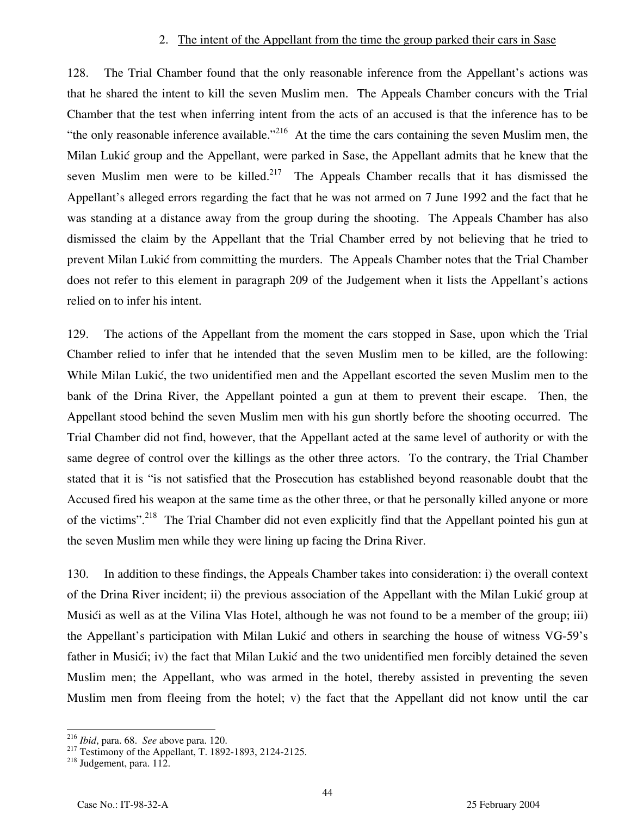#### 2. The intent of the Appellant from the time the group parked their cars in Sase

128. The Trial Chamber found that the only reasonable inference from the Appellant's actions was that he shared the intent to kill the seven Muslim men. The Appeals Chamber concurs with the Trial Chamber that the test when inferring intent from the acts of an accused is that the inference has to be "the only reasonable inference available."<sup>216</sup> At the time the cars containing the seven Muslim men, the Milan Lukić group and the Appellant, were parked in Sase, the Appellant admits that he knew that the seven Muslim men were to be killed.<sup>217</sup> The Appeals Chamber recalls that it has dismissed the Appellant's alleged errors regarding the fact that he was not armed on 7 June 1992 and the fact that he was standing at a distance away from the group during the shooting. The Appeals Chamber has also dismissed the claim by the Appellant that the Trial Chamber erred by not believing that he tried to prevent Milan Lukić from committing the murders. The Appeals Chamber notes that the Trial Chamber does not refer to this element in paragraph 209 of the Judgement when it lists the Appellant's actions relied on to infer his intent.

129. The actions of the Appellant from the moment the cars stopped in Sase, upon which the Trial Chamber relied to infer that he intended that the seven Muslim men to be killed, are the following: While Milan Lukić, the two unidentified men and the Appellant escorted the seven Muslim men to the bank of the Drina River, the Appellant pointed a gun at them to prevent their escape. Then, the Appellant stood behind the seven Muslim men with his gun shortly before the shooting occurred. The Trial Chamber did not find, however, that the Appellant acted at the same level of authority or with the same degree of control over the killings as the other three actors. To the contrary, the Trial Chamber stated that it is "is not satisfied that the Prosecution has established beyond reasonable doubt that the Accused fired his weapon at the same time as the other three, or that he personally killed anyone or more of the victims".218 The Trial Chamber did not even explicitly find that the Appellant pointed his gun at the seven Muslim men while they were lining up facing the Drina River.

130. In addition to these findings, the Appeals Chamber takes into consideration: i) the overall context of the Drina River incident; ii) the previous association of the Appellant with the Milan Lukić group at Musići as well as at the Vilina Vlas Hotel, although he was not found to be a member of the group; iii) the Appellant's participation with Milan Lukić and others in searching the house of witness VG-59's father in Musići; iv) the fact that Milan Lukić and the two unidentified men forcibly detained the seven Muslim men; the Appellant, who was armed in the hotel, thereby assisted in preventing the seven Muslim men from fleeing from the hotel; v) the fact that the Appellant did not know until the car

 $\overline{a}$ 

<sup>&</sup>lt;sup>216</sup> *Ibid*, para. 68. *See* above para. 120.<br><sup>217</sup> Testimony of the Appellant, T. 1892-1893, 2124-2125.<br><sup>218</sup> Judgement, para. 112.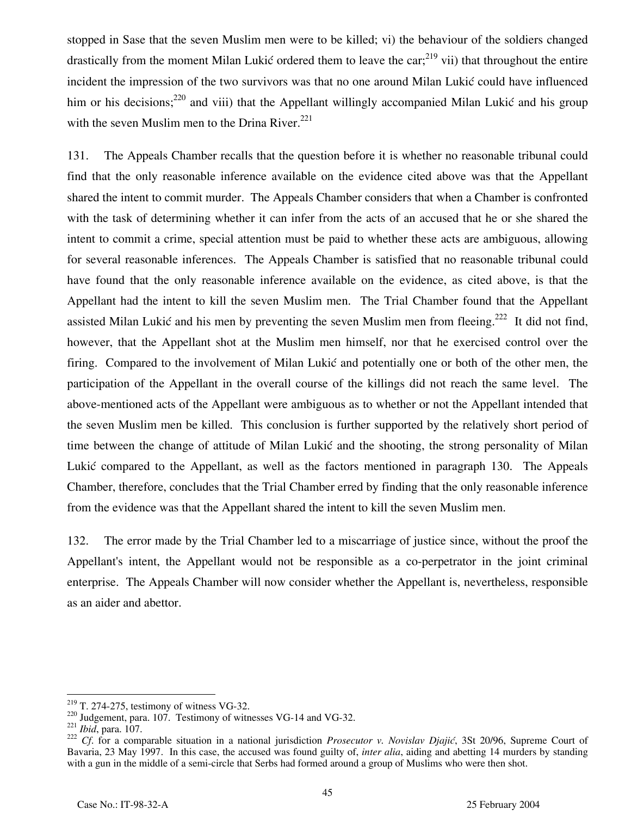stopped in Sase that the seven Muslim men were to be killed; vi) the behaviour of the soldiers changed drastically from the moment Milan Lukić ordered them to leave the car;  $^{219}$  vii) that throughout the entire incident the impression of the two survivors was that no one around Milan Lukić could have influenced him or his decisions;<sup>220</sup> and viii) that the Appellant willingly accompanied Milan Lukić and his group with the seven Muslim men to the Drina River. $^{221}$ 

131. The Appeals Chamber recalls that the question before it is whether no reasonable tribunal could find that the only reasonable inference available on the evidence cited above was that the Appellant shared the intent to commit murder. The Appeals Chamber considers that when a Chamber is confronted with the task of determining whether it can infer from the acts of an accused that he or she shared the intent to commit a crime, special attention must be paid to whether these acts are ambiguous, allowing for several reasonable inferences. The Appeals Chamber is satisfied that no reasonable tribunal could have found that the only reasonable inference available on the evidence, as cited above, is that the Appellant had the intent to kill the seven Muslim men. The Trial Chamber found that the Appellant assisted Milan Lukić and his men by preventing the seven Muslim men from fleeing.<sup>222</sup> It did not find, however, that the Appellant shot at the Muslim men himself, nor that he exercised control over the firing. Compared to the involvement of Milan Lukić and potentially one or both of the other men, the participation of the Appellant in the overall course of the killings did not reach the same level. The above-mentioned acts of the Appellant were ambiguous as to whether or not the Appellant intended that the seven Muslim men be killed. This conclusion is further supported by the relatively short period of time between the change of attitude of Milan Lukić and the shooting, the strong personality of Milan Lukić compared to the Appellant, as well as the factors mentioned in paragraph 130. The Appeals Chamber, therefore, concludes that the Trial Chamber erred by finding that the only reasonable inference from the evidence was that the Appellant shared the intent to kill the seven Muslim men.

132. The error made by the Trial Chamber led to a miscarriage of justice since, without the proof the Appellant's intent, the Appellant would not be responsible as a co-perpetrator in the joint criminal enterprise. The Appeals Chamber will now consider whether the Appellant is, nevertheless, responsible as an aider and abettor.

 $219$  T. 274-275, testimony of witness VG-32.

<sup>&</sup>lt;sup>220</sup> Judgement, para. 107. Testimony of witnesses VG-14 and VG-32.<br><sup>221</sup> *Ibid*, para. 107.<br><sup>222</sup> *Cf*. for a comparable situation in a national jurisdiction *Prosecutor v. Novislav Djajić*, 3St 20/96, Supreme Court of Bavaria, 23 May 1997. In this case, the accused was found guilty of, *inter alia*, aiding and abetting 14 murders by standing with a gun in the middle of a semi-circle that Serbs had formed around a group of Muslims who were then shot.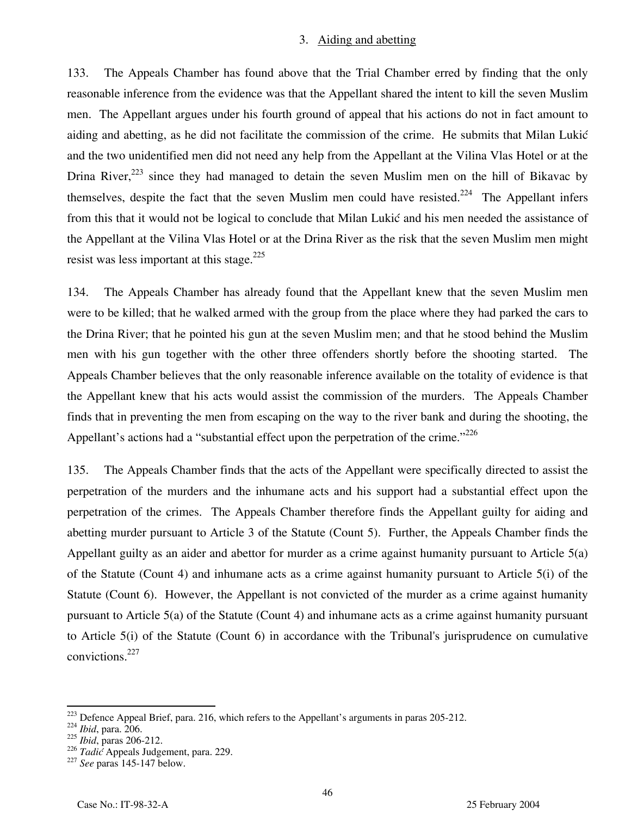#### 3. Aiding and abetting

133. The Appeals Chamber has found above that the Trial Chamber erred by finding that the only reasonable inference from the evidence was that the Appellant shared the intent to kill the seven Muslim men. The Appellant argues under his fourth ground of appeal that his actions do not in fact amount to aiding and abetting, as he did not facilitate the commission of the crime. He submits that Milan Lukić and the two unidentified men did not need any help from the Appellant at the Vilina Vlas Hotel or at the Drina River, $223$  since they had managed to detain the seven Muslim men on the hill of Bikavac by themselves, despite the fact that the seven Muslim men could have resisted.<sup>224</sup> The Appellant infers from this that it would not be logical to conclude that Milan Lukić and his men needed the assistance of the Appellant at the Vilina Vlas Hotel or at the Drina River as the risk that the seven Muslim men might resist was less important at this stage. $^{225}$ 

134. The Appeals Chamber has already found that the Appellant knew that the seven Muslim men were to be killed; that he walked armed with the group from the place where they had parked the cars to the Drina River; that he pointed his gun at the seven Muslim men; and that he stood behind the Muslim men with his gun together with the other three offenders shortly before the shooting started. The Appeals Chamber believes that the only reasonable inference available on the totality of evidence is that the Appellant knew that his acts would assist the commission of the murders. The Appeals Chamber finds that in preventing the men from escaping on the way to the river bank and during the shooting, the Appellant's actions had a "substantial effect upon the perpetration of the crime."<sup>226</sup>

135. The Appeals Chamber finds that the acts of the Appellant were specifically directed to assist the perpetration of the murders and the inhumane acts and his support had a substantial effect upon the perpetration of the crimes. The Appeals Chamber therefore finds the Appellant guilty for aiding and abetting murder pursuant to Article 3 of the Statute (Count 5). Further, the Appeals Chamber finds the Appellant guilty as an aider and abettor for murder as a crime against humanity pursuant to Article 5(a) of the Statute (Count 4) and inhumane acts as a crime against humanity pursuant to Article 5(i) of the Statute (Count 6). However, the Appellant is not convicted of the murder as a crime against humanity pursuant to Article 5(a) of the Statute (Count 4) and inhumane acts as a crime against humanity pursuant to Article 5(i) of the Statute (Count 6) in accordance with the Tribunal's jurisprudence on cumulative convictions.227

<u>.</u>

<sup>&</sup>lt;sup>223</sup> Defence Appeal Brief, para. 216, which refers to the Appellant's arguments in paras 205-212.<br><sup>224</sup> *Ibid*, para. 206.

<sup>&</sup>lt;sup>224</sup> *Ibid*, para. 206.<br><sup>225</sup> *Ibid*, paras 206-212.

<sup>&</sup>lt;sup>226</sup> *Tadić* Appeals Judgement, para. 229.<br><sup>227</sup> *See* paras 145-147 below.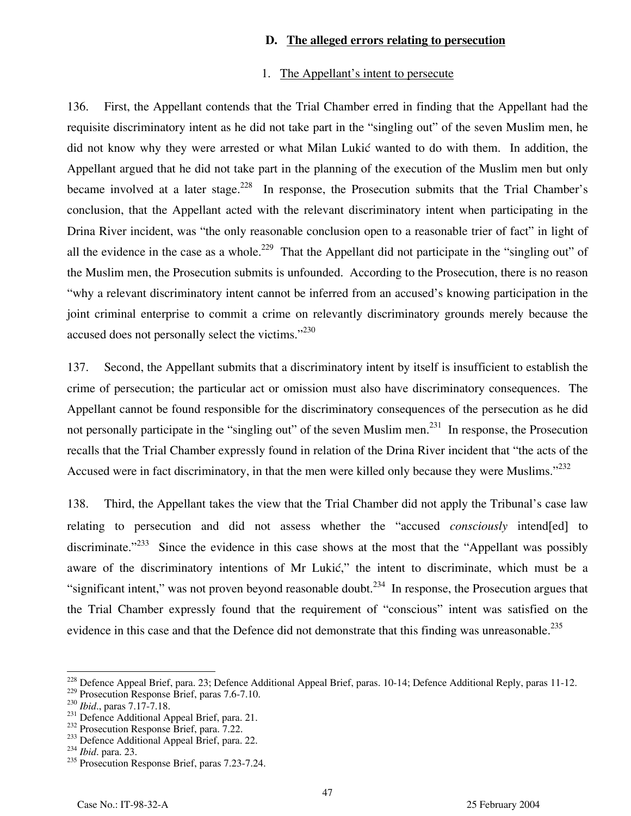#### **D. The alleged errors relating to persecution**

#### 1. The Appellant's intent to persecute

136. First, the Appellant contends that the Trial Chamber erred in finding that the Appellant had the requisite discriminatory intent as he did not take part in the "singling out" of the seven Muslim men, he did not know why they were arrested or what Milan Lukić wanted to do with them. In addition, the Appellant argued that he did not take part in the planning of the execution of the Muslim men but only became involved at a later stage.<sup>228</sup> In response, the Prosecution submits that the Trial Chamber's conclusion, that the Appellant acted with the relevant discriminatory intent when participating in the Drina River incident, was "the only reasonable conclusion open to a reasonable trier of fact" in light of all the evidence in the case as a whole.<sup>229</sup> That the Appellant did not participate in the "singling out" of the Muslim men, the Prosecution submits is unfounded. According to the Prosecution, there is no reason "why a relevant discriminatory intent cannot be inferred from an accused's knowing participation in the joint criminal enterprise to commit a crime on relevantly discriminatory grounds merely because the accused does not personally select the victims."<sup>230</sup>

137. Second, the Appellant submits that a discriminatory intent by itself is insufficient to establish the crime of persecution; the particular act or omission must also have discriminatory consequences. The Appellant cannot be found responsible for the discriminatory consequences of the persecution as he did not personally participate in the "singling out" of the seven Muslim men.<sup>231</sup> In response, the Prosecution recalls that the Trial Chamber expressly found in relation of the Drina River incident that "the acts of the Accused were in fact discriminatory, in that the men were killed only because they were Muslims."<sup>232</sup>

138. Third, the Appellant takes the view that the Trial Chamber did not apply the Tribunal's case law relating to persecution and did not assess whether the "accused *consciously* intend[ed] to discriminate."<sup>233</sup> Since the evidence in this case shows at the most that the "Appellant was possibly aware of the discriminatory intentions of Mr Lukić," the intent to discriminate, which must be a "significant intent," was not proven beyond reasonable doubt. $^{234}$  In response, the Prosecution argues that the Trial Chamber expressly found that the requirement of "conscious" intent was satisfied on the evidence in this case and that the Defence did not demonstrate that this finding was unreasonable.<sup>235</sup>

-

<sup>&</sup>lt;sup>228</sup> Defence Appeal Brief, para. 23; Defence Additional Appeal Brief, paras. 10-14; Defence Additional Reply, paras 11-12.

<sup>&</sup>lt;sup>229</sup> Prosecution Response Brief, paras 7.6-7.10.<br><sup>230</sup> *Ibid.*, paras 7.17-7.18.<br><sup>231</sup> Defence Additional Appeal Brief, para. 21.<br><sup>232</sup> Prosecution Response Brief, para. 7.22.<br><sup>233</sup> Defence Additional Appeal Brief, para.

<sup>&</sup>lt;sup>235</sup> Prosecution Response Brief, paras 7.23-7.24.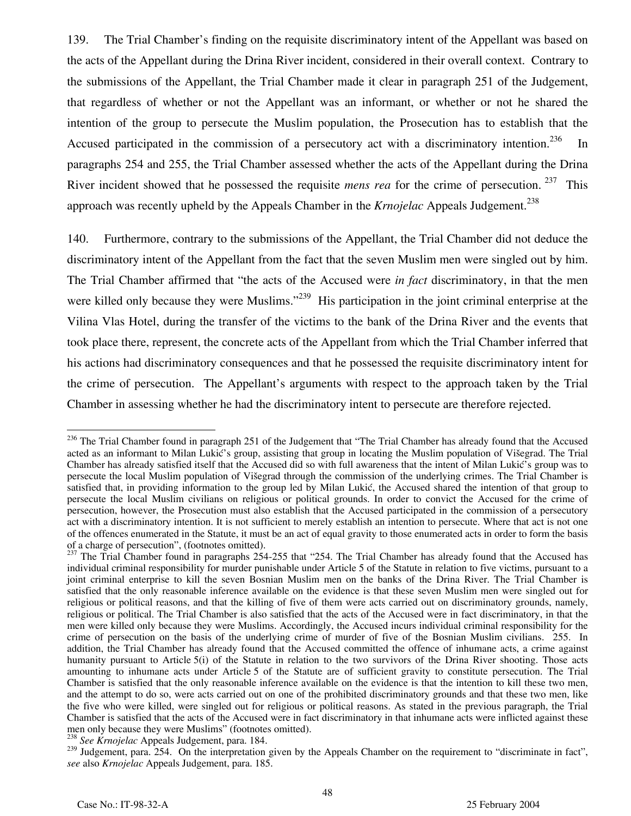139. The Trial Chamber's finding on the requisite discriminatory intent of the Appellant was based on the acts of the Appellant during the Drina River incident, considered in their overall context. Contrary to the submissions of the Appellant, the Trial Chamber made it clear in paragraph 251 of the Judgement, that regardless of whether or not the Appellant was an informant, or whether or not he shared the intention of the group to persecute the Muslim population, the Prosecution has to establish that the Accused participated in the commission of a persecutory act with a discriminatory intention.<sup>236</sup> In paragraphs 254 and 255, the Trial Chamber assessed whether the acts of the Appellant during the Drina River incident showed that he possessed the requisite *mens rea* for the crime of persecution.<sup>237</sup> This approach was recently upheld by the Appeals Chamber in the *Krnojelac* Appeals Judgement.<sup>238</sup>

140. Furthermore, contrary to the submissions of the Appellant, the Trial Chamber did not deduce the discriminatory intent of the Appellant from the fact that the seven Muslim men were singled out by him. The Trial Chamber affirmed that "the acts of the Accused were *in fact* discriminatory, in that the men were killed only because they were Muslims."<sup>239</sup> His participation in the joint criminal enterprise at the Vilina Vlas Hotel, during the transfer of the victims to the bank of the Drina River and the events that took place there, represent, the concrete acts of the Appellant from which the Trial Chamber inferred that his actions had discriminatory consequences and that he possessed the requisite discriminatory intent for the crime of persecution. The Appellant's arguments with respect to the approach taken by the Trial Chamber in assessing whether he had the discriminatory intent to persecute are therefore rejected.

<sup>-</sup><sup>236</sup> The Trial Chamber found in paragraph 251 of the Judgement that "The Trial Chamber has already found that the Accused acted as an informant to Milan Lukić's group, assisting that group in locating the Muslim population of Višegrad. The Trial Chamber has already satisfied itself that the Accused did so with full awareness that the intent of Milan Lukić's group was to persecute the local Muslim population of Višegrad through the commission of the underlying crimes. The Trial Chamber is satisfied that, in providing information to the group led by Milan Lukić, the Accused shared the intention of that group to persecute the local Muslim civilians on religious or political grounds. In order to convict the Accused for the crime of persecution, however, the Prosecution must also establish that the Accused participated in the commission of a persecutory act with a discriminatory intention. It is not sufficient to merely establish an intention to persecute. Where that act is not one of the offences enumerated in the Statute, it must be an act of equal gravity to those enumerated acts in order to form the basis of a charge of persecution", (footnotes omitted).

 $237$  The Trial Chamber found in paragraphs  $254-255$  that "254. The Trial Chamber has already found that the Accused has individual criminal responsibility for murder punishable under Article 5 of the Statute in relation to five victims, pursuant to a joint criminal enterprise to kill the seven Bosnian Muslim men on the banks of the Drina River. The Trial Chamber is satisfied that the only reasonable inference available on the evidence is that these seven Muslim men were singled out for religious or political reasons, and that the killing of five of them were acts carried out on discriminatory grounds, namely, religious or political. The Trial Chamber is also satisfied that the acts of the Accused were in fact discriminatory, in that the men were killed only because they were Muslims. Accordingly, the Accused incurs individual criminal responsibility for the crime of persecution on the basis of the underlying crime of murder of five of the Bosnian Muslim civilians. 255. In addition, the Trial Chamber has already found that the Accused committed the offence of inhumane acts, a crime against humanity pursuant to Article 5(i) of the Statute in relation to the two survivors of the Drina River shooting. Those acts amounting to inhumane acts under Article 5 of the Statute are of sufficient gravity to constitute persecution. The Trial Chamber is satisfied that the only reasonable inference available on the evidence is that the intention to kill these two men, and the attempt to do so, were acts carried out on one of the prohibited discriminatory grounds and that these two men, like the five who were killed, were singled out for religious or political reasons. As stated in the previous paragraph, the Trial Chamber is satisfied that the acts of the Accused were in fact discriminatory in that inhumane acts were inflicted against these men only because they were Muslims" (footnotes omitted). <sup>238</sup> *See Krnojelac* Appeals Judgement, para. 184.

<sup>&</sup>lt;sup>239</sup> Judgement, para. 254. On the interpretation given by the Appeals Chamber on the requirement to "discriminate in fact", *see* also *Krnojelac* Appeals Judgement, para. 185.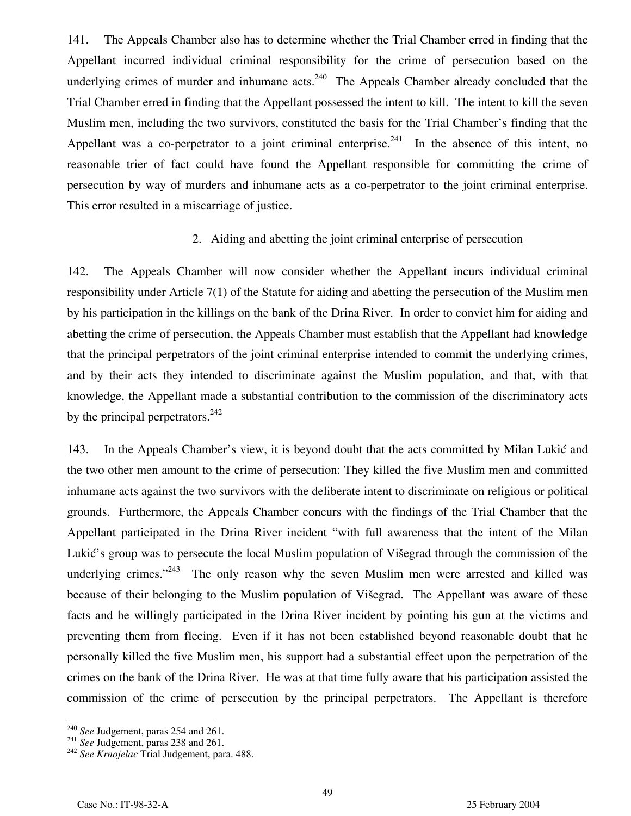141. The Appeals Chamber also has to determine whether the Trial Chamber erred in finding that the Appellant incurred individual criminal responsibility for the crime of persecution based on the underlying crimes of murder and inhumane acts.<sup>240</sup> The Appeals Chamber already concluded that the Trial Chamber erred in finding that the Appellant possessed the intent to kill. The intent to kill the seven Muslim men, including the two survivors, constituted the basis for the Trial Chamber's finding that the Appellant was a co-perpetrator to a joint criminal enterprise.<sup>241</sup> In the absence of this intent, no reasonable trier of fact could have found the Appellant responsible for committing the crime of persecution by way of murders and inhumane acts as a co-perpetrator to the joint criminal enterprise. This error resulted in a miscarriage of justice.

## 2. Aiding and abetting the joint criminal enterprise of persecution

142. The Appeals Chamber will now consider whether the Appellant incurs individual criminal responsibility under Article 7(1) of the Statute for aiding and abetting the persecution of the Muslim men by his participation in the killings on the bank of the Drina River. In order to convict him for aiding and abetting the crime of persecution, the Appeals Chamber must establish that the Appellant had knowledge that the principal perpetrators of the joint criminal enterprise intended to commit the underlying crimes, and by their acts they intended to discriminate against the Muslim population, and that, with that knowledge, the Appellant made a substantial contribution to the commission of the discriminatory acts by the principal perpetrators.  $242$ 

143. In the Appeals Chamber's view, it is beyond doubt that the acts committed by Milan Lukić and the two other men amount to the crime of persecution: They killed the five Muslim men and committed inhumane acts against the two survivors with the deliberate intent to discriminate on religious or political grounds. Furthermore, the Appeals Chamber concurs with the findings of the Trial Chamber that the Appellant participated in the Drina River incident "with full awareness that the intent of the Milan Lukić's group was to persecute the local Muslim population of Visegrad through the commission of the underlying crimes."<sup>243</sup> The only reason why the seven Muslim men were arrested and killed was because of their belonging to the Muslim population of Visegrad. The Appellant was aware of these facts and he willingly participated in the Drina River incident by pointing his gun at the victims and preventing them from fleeing. Even if it has not been established beyond reasonable doubt that he personally killed the five Muslim men, his support had a substantial effect upon the perpetration of the crimes on the bank of the Drina River. He was at that time fully aware that his participation assisted the commission of the crime of persecution by the principal perpetrators. The Appellant is therefore

<sup>-</sup>

<sup>&</sup>lt;sup>240</sup> *See* Judgement, paras 254 and 261.<br><sup>241</sup> *See* Judgement, paras 238 and 261.<br><sup>242</sup> *See Krnojelac* Trial Judgement, para. 488.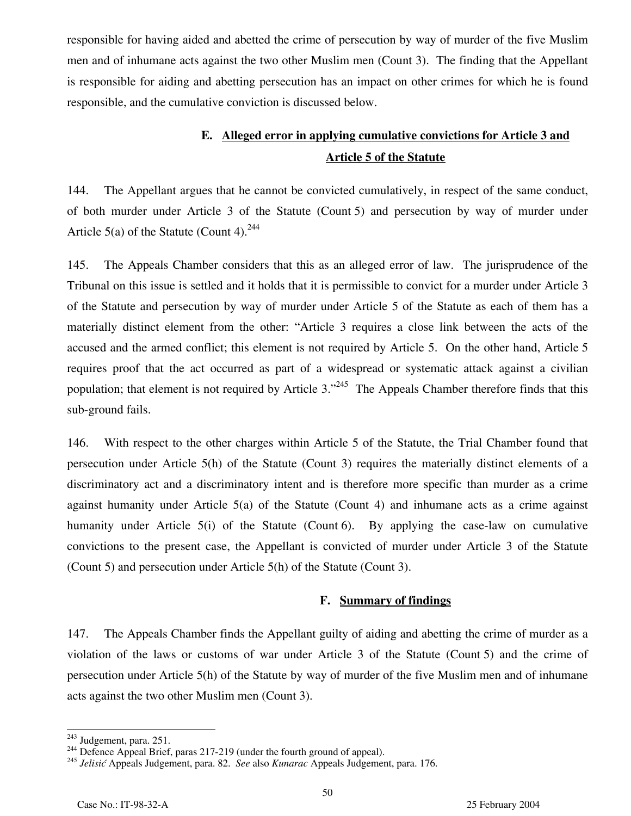responsible for having aided and abetted the crime of persecution by way of murder of the five Muslim men and of inhumane acts against the two other Muslim men (Count 3). The finding that the Appellant is responsible for aiding and abetting persecution has an impact on other crimes for which he is found responsible, and the cumulative conviction is discussed below.

## **E. Alleged error in applying cumulative convictions for Article 3 and Article 5 of the Statute**

144. The Appellant argues that he cannot be convicted cumulatively, in respect of the same conduct, of both murder under Article 3 of the Statute (Count 5) and persecution by way of murder under Article 5(a) of the Statute (Count 4).<sup>244</sup>

145. The Appeals Chamber considers that this as an alleged error of law. The jurisprudence of the Tribunal on this issue is settled and it holds that it is permissible to convict for a murder under Article 3 of the Statute and persecution by way of murder under Article 5 of the Statute as each of them has a materially distinct element from the other: "Article 3 requires a close link between the acts of the accused and the armed conflict; this element is not required by Article 5. On the other hand, Article 5 requires proof that the act occurred as part of a widespread or systematic attack against a civilian population; that element is not required by Article  $3.^{3245}$ . The Appeals Chamber therefore finds that this sub-ground fails.

146. With respect to the other charges within Article 5 of the Statute, the Trial Chamber found that persecution under Article 5(h) of the Statute (Count 3) requires the materially distinct elements of a discriminatory act and a discriminatory intent and is therefore more specific than murder as a crime against humanity under Article 5(a) of the Statute (Count 4) and inhumane acts as a crime against humanity under Article 5(i) of the Statute (Count 6). By applying the case-law on cumulative convictions to the present case, the Appellant is convicted of murder under Article 3 of the Statute (Count 5) and persecution under Article 5(h) of the Statute (Count 3).

## **F. Summary of findings**

147. The Appeals Chamber finds the Appellant guilty of aiding and abetting the crime of murder as a violation of the laws or customs of war under Article 3 of the Statute (Count 5) and the crime of persecution under Article 5(h) of the Statute by way of murder of the five Muslim men and of inhumane acts against the two other Muslim men (Count 3).

 $\overline{a}$ 

<sup>&</sup>lt;sup>243</sup> Judgement, para. 251.<br><sup>244</sup> Defence Appeal Brief, paras 217-219 (under the fourth ground of appeal).

<sup>&</sup>lt;sup>245</sup> Jelisić Appeals Judgement, para. 82. *See* also *Kunarac* Appeals Judgement, para. 176.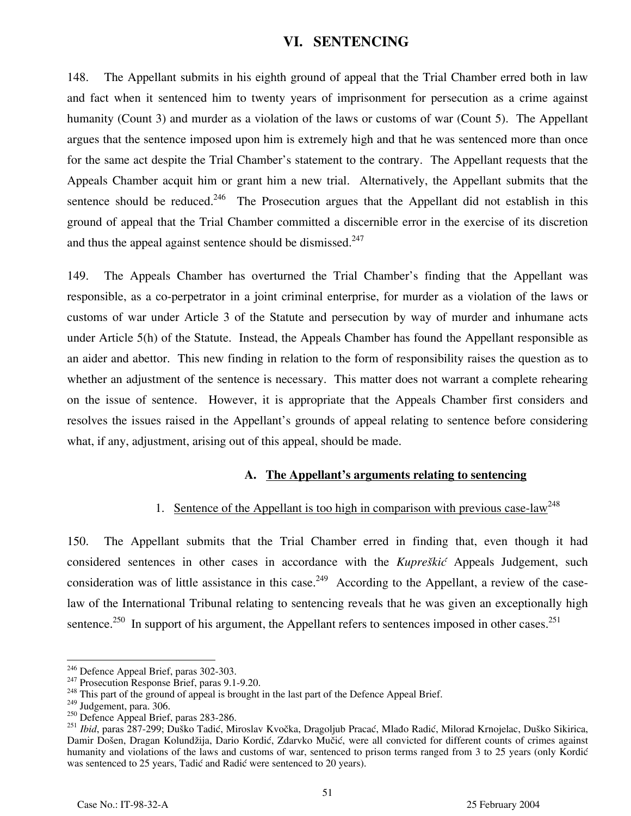## **VI. SENTENCING**

148. The Appellant submits in his eighth ground of appeal that the Trial Chamber erred both in law and fact when it sentenced him to twenty years of imprisonment for persecution as a crime against humanity (Count 3) and murder as a violation of the laws or customs of war (Count 5). The Appellant argues that the sentence imposed upon him is extremely high and that he was sentenced more than once for the same act despite the Trial Chamber's statement to the contrary. The Appellant requests that the Appeals Chamber acquit him or grant him a new trial. Alternatively, the Appellant submits that the sentence should be reduced.<sup>246</sup> The Prosecution argues that the Appellant did not establish in this ground of appeal that the Trial Chamber committed a discernible error in the exercise of its discretion and thus the appeal against sentence should be dismissed. $247$ 

149. The Appeals Chamber has overturned the Trial Chamber's finding that the Appellant was responsible, as a co-perpetrator in a joint criminal enterprise, for murder as a violation of the laws or customs of war under Article 3 of the Statute and persecution by way of murder and inhumane acts under Article 5(h) of the Statute. Instead, the Appeals Chamber has found the Appellant responsible as an aider and abettor. This new finding in relation to the form of responsibility raises the question as to whether an adjustment of the sentence is necessary. This matter does not warrant a complete rehearing on the issue of sentence. However, it is appropriate that the Appeals Chamber first considers and resolves the issues raised in the Appellant's grounds of appeal relating to sentence before considering what, if any, adjustment, arising out of this appeal, should be made.

## **A. The Appellant's arguments relating to sentencing**

## 1. Sentence of the Appellant is too high in comparison with previous case-law<sup>248</sup>

150. The Appellant submits that the Trial Chamber erred in finding that, even though it had considered sentences in other cases in accordance with the *Kupreškić* Appeals Judgement, such consideration was of little assistance in this case.<sup>249</sup> According to the Appellant, a review of the caselaw of the International Tribunal relating to sentencing reveals that he was given an exceptionally high sentence.<sup>250</sup> In support of his argument, the Appellant refers to sentences imposed in other cases.<sup>251</sup>

<sup>&</sup>lt;sup>246</sup> Defence Appeal Brief, paras 302-303.

<sup>&</sup>lt;sup>247</sup> Prosecution Response Brief, paras 9.1-9.20.<br><sup>248</sup> This part of the ground of appeal is brought in the last part of the Defence Appeal Brief.

<sup>&</sup>lt;sup>249</sup> Judgement, para. 306.

<sup>&</sup>lt;sup>250</sup> Defence Appeal Brief, paras 283-286.

<sup>&</sup>lt;sup>251</sup> Ibid, paras 287-299; Duško Tadić, Miroslav Kvočka, Dragoljub Pracać, Mlađo Radić, Milorad Krnojelac, Duško Sikirica, Damir Došen, Dragan Kolundžija, Dario Kordić, Zdarvko Mučić, were all convicted for different counts of crimes against humanity and violations of the laws and customs of war, sentenced to prison terms ranged from 3 to 25 years (only Kordić was sentenced to 25 years, Tadić and Radić were sentenced to 20 years).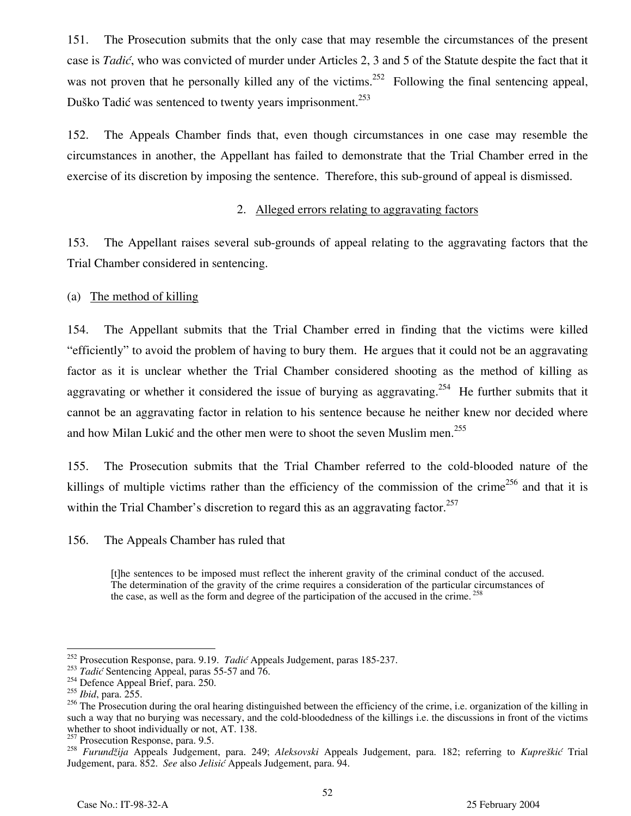151. The Prosecution submits that the only case that may resemble the circumstances of the present case is *Tadić*, who was convicted of murder under Articles 2, 3 and 5 of the Statute despite the fact that it was not proven that he personally killed any of the victims.<sup>252</sup> Following the final sentencing appeal, Duško Tadić was sentenced to twenty years imprisonment.<sup>253</sup>

152. The Appeals Chamber finds that, even though circumstances in one case may resemble the circumstances in another, the Appellant has failed to demonstrate that the Trial Chamber erred in the exercise of its discretion by imposing the sentence. Therefore, this sub-ground of appeal is dismissed.

## 2. Alleged errors relating to aggravating factors

153. The Appellant raises several sub-grounds of appeal relating to the aggravating factors that the Trial Chamber considered in sentencing.

## (a) The method of killing

154. The Appellant submits that the Trial Chamber erred in finding that the victims were killed "efficiently" to avoid the problem of having to bury them. He argues that it could not be an aggravating factor as it is unclear whether the Trial Chamber considered shooting as the method of killing as aggravating or whether it considered the issue of burying as aggravating.<sup>254</sup> He further submits that it cannot be an aggravating factor in relation to his sentence because he neither knew nor decided where and how Milan Lukić and the other men were to shoot the seven Muslim men.<sup>255</sup>

155. The Prosecution submits that the Trial Chamber referred to the cold-blooded nature of the killings of multiple victims rather than the efficiency of the commission of the crime<sup>256</sup> and that it is within the Trial Chamber's discretion to regard this as an aggravating factor.<sup>257</sup>

156. The Appeals Chamber has ruled that

[t]he sentences to be imposed must reflect the inherent gravity of the criminal conduct of the accused. The determination of the gravity of the crime requires a consideration of the particular circumstances of the case, as well as the form and degree of the participation of the accused in the crime.<sup>258</sup>

 $\overline{a}$ <sup>252</sup> Prosecution Response, para. 9.19. *Tadić* Appeals Judgement, paras 185-237.

<sup>&</sup>lt;sup>253</sup> *Tadić* Sentencing Appeal, paras 55-57 and 76.

 $254$  Defence Appeal Brief, para. 250.

<sup>255</sup> *Ibid*, para. 255.

<sup>&</sup>lt;sup>256</sup> The Prosecution during the oral hearing distinguished between the efficiency of the crime, i.e. organization of the killing in such a way that no burying was necessary, and the cold-bloodedness of the killings i.e. the discussions in front of the victims whether to shoot individually or not, AT. 138.

 $\frac{257}{252}$  Prosecution Response, para. 9.5.

<sup>&</sup>lt;sup>258</sup> *Furundžija* Appeals Judgement, para. 249; *Aleksovski* Appeals Judgement, para. 182; referring to *Kupreškić* Trial Judgement, para. 852. *See* also *Jelisić* Appeals Judgement, para. 94.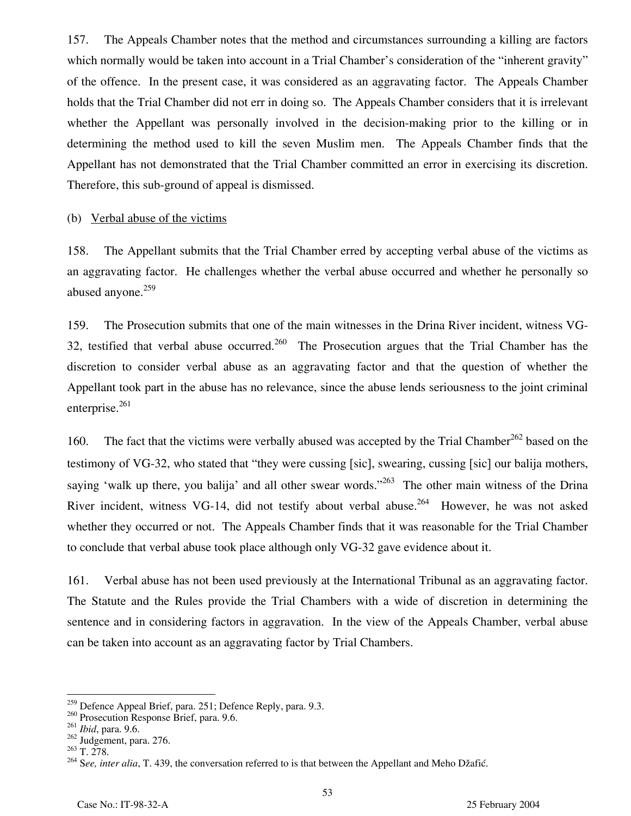157. The Appeals Chamber notes that the method and circumstances surrounding a killing are factors which normally would be taken into account in a Trial Chamber's consideration of the "inherent gravity" of the offence. In the present case, it was considered as an aggravating factor. The Appeals Chamber holds that the Trial Chamber did not err in doing so. The Appeals Chamber considers that it is irrelevant whether the Appellant was personally involved in the decision-making prior to the killing or in determining the method used to kill the seven Muslim men. The Appeals Chamber finds that the Appellant has not demonstrated that the Trial Chamber committed an error in exercising its discretion. Therefore, this sub-ground of appeal is dismissed.

## (b) Verbal abuse of the victims

158. The Appellant submits that the Trial Chamber erred by accepting verbal abuse of the victims as an aggravating factor. He challenges whether the verbal abuse occurred and whether he personally so abused anyone. $259$ 

159. The Prosecution submits that one of the main witnesses in the Drina River incident, witness VG-32, testified that verbal abuse occurred.<sup>260</sup> The Prosecution argues that the Trial Chamber has the discretion to consider verbal abuse as an aggravating factor and that the question of whether the Appellant took part in the abuse has no relevance, since the abuse lends seriousness to the joint criminal enterprise.<sup>261</sup>

160. The fact that the victims were verbally abused was accepted by the Trial Chamber<sup>262</sup> based on the testimony of VG-32, who stated that "they were cussing [sic], swearing, cussing [sic] our balija mothers, saying 'walk up there, you balija' and all other swear words."<sup>263</sup> The other main witness of the Drina River incident, witness VG-14, did not testify about verbal abuse.<sup>264</sup> However, he was not asked whether they occurred or not. The Appeals Chamber finds that it was reasonable for the Trial Chamber to conclude that verbal abuse took place although only VG-32 gave evidence about it.

161. Verbal abuse has not been used previously at the International Tribunal as an aggravating factor. The Statute and the Rules provide the Trial Chambers with a wide of discretion in determining the sentence and in considering factors in aggravation. In the view of the Appeals Chamber, verbal abuse can be taken into account as an aggravating factor by Trial Chambers.

 $\overline{a}$ 

<sup>&</sup>lt;sup>259</sup> Defence Appeal Brief, para. 251; Defence Reply, para. 9.3.

<sup>&</sup>lt;sup>260</sup> Prosecution Response Brief, para. 9.6.

<sup>261</sup> *Ibid*, para. 9.6.

 $262$  Judgement, para. 276.

 $263$  T. 278.

<sup>&</sup>lt;sup>264</sup> See, inter alia, T. 439, the conversation referred to is that between the Appellant and Meho Džafić.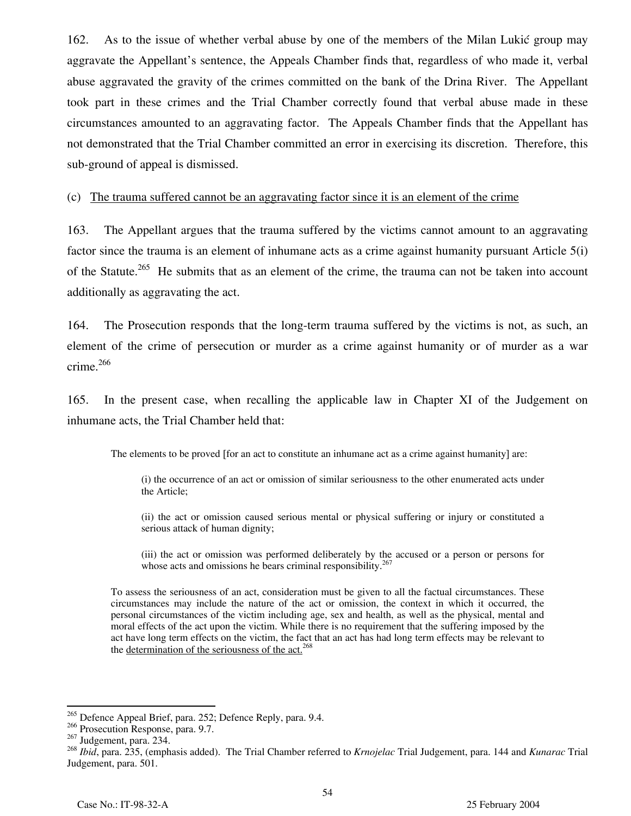162. As to the issue of whether verbal abuse by one of the members of the Milan Lukić group may aggravate the Appellant's sentence, the Appeals Chamber finds that, regardless of who made it, verbal abuse aggravated the gravity of the crimes committed on the bank of the Drina River. The Appellant took part in these crimes and the Trial Chamber correctly found that verbal abuse made in these circumstances amounted to an aggravating factor. The Appeals Chamber finds that the Appellant has not demonstrated that the Trial Chamber committed an error in exercising its discretion. Therefore, this sub-ground of appeal is dismissed.

### (c) The trauma suffered cannot be an aggravating factor since it is an element of the crime

163. The Appellant argues that the trauma suffered by the victims cannot amount to an aggravating factor since the trauma is an element of inhumane acts as a crime against humanity pursuant Article 5(i) of the Statute.<sup>265</sup> He submits that as an element of the crime, the trauma can not be taken into account additionally as aggravating the act.

164. The Prosecution responds that the long-term trauma suffered by the victims is not, as such, an element of the crime of persecution or murder as a crime against humanity or of murder as a war crime. $266$ 

165. In the present case, when recalling the applicable law in Chapter XI of the Judgement on inhumane acts, the Trial Chamber held that:

The elements to be proved [for an act to constitute an inhumane act as a crime against humanity] are:

(i) the occurrence of an act or omission of similar seriousness to the other enumerated acts under the Article;

(ii) the act or omission caused serious mental or physical suffering or injury or constituted a serious attack of human dignity;

(iii) the act or omission was performed deliberately by the accused or a person or persons for whose acts and omissions he bears criminal responsibility.<sup>267</sup>

To assess the seriousness of an act, consideration must be given to all the factual circumstances. These circumstances may include the nature of the act or omission, the context in which it occurred, the personal circumstances of the victim including age, sex and health, as well as the physical, mental and moral effects of the act upon the victim. While there is no requirement that the suffering imposed by the act have long term effects on the victim, the fact that an act has had long term effects may be relevant to the determination of the seriousness of the act. $268$ 

<u>.</u>

<sup>&</sup>lt;sup>265</sup> Defence Appeal Brief, para. 252; Defence Reply, para. 9.4.

<sup>&</sup>lt;sup>266</sup> Prosecution Response, para. 9.7.

<sup>267</sup> Judgement, para. 234.

<sup>268</sup> *Ibid*, para. 235, (emphasis added). The Trial Chamber referred to *Krnojelac* Trial Judgement, para. 144 and *Kunarac* Trial Judgement, para. 501.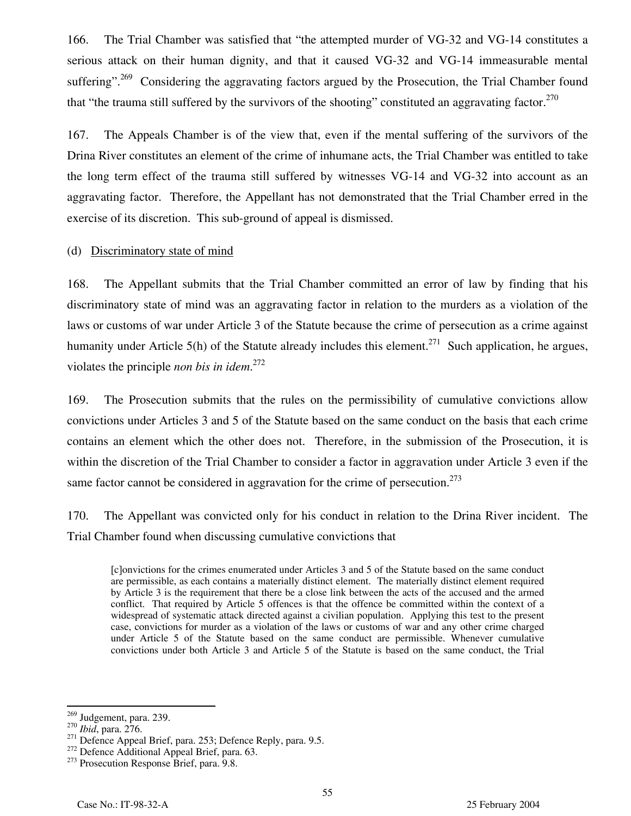166. The Trial Chamber was satisfied that "the attempted murder of VG-32 and VG-14 constitutes a serious attack on their human dignity, and that it caused VG-32 and VG-14 immeasurable mental suffering".<sup>269</sup> Considering the aggravating factors argued by the Prosecution, the Trial Chamber found that "the trauma still suffered by the survivors of the shooting" constituted an aggravating factor.  $270$ 

167. The Appeals Chamber is of the view that, even if the mental suffering of the survivors of the Drina River constitutes an element of the crime of inhumane acts, the Trial Chamber was entitled to take the long term effect of the trauma still suffered by witnesses VG-14 and VG-32 into account as an aggravating factor. Therefore, the Appellant has not demonstrated that the Trial Chamber erred in the exercise of its discretion. This sub-ground of appeal is dismissed.

#### (d) Discriminatory state of mind

168. The Appellant submits that the Trial Chamber committed an error of law by finding that his discriminatory state of mind was an aggravating factor in relation to the murders as a violation of the laws or customs of war under Article 3 of the Statute because the crime of persecution as a crime against humanity under Article 5(h) of the Statute already includes this element.<sup>271</sup> Such application, he argues, violates the principle *non bis in idem*. 272

169. The Prosecution submits that the rules on the permissibility of cumulative convictions allow convictions under Articles 3 and 5 of the Statute based on the same conduct on the basis that each crime contains an element which the other does not. Therefore, in the submission of the Prosecution, it is within the discretion of the Trial Chamber to consider a factor in aggravation under Article 3 even if the same factor cannot be considered in aggravation for the crime of persecution.<sup>273</sup>

170. The Appellant was convicted only for his conduct in relation to the Drina River incident. The Trial Chamber found when discussing cumulative convictions that

[c]onvictions for the crimes enumerated under Articles 3 and 5 of the Statute based on the same conduct are permissible, as each contains a materially distinct element. The materially distinct element required by Article 3 is the requirement that there be a close link between the acts of the accused and the armed conflict. That required by Article 5 offences is that the offence be committed within the context of a widespread of systematic attack directed against a civilian population. Applying this test to the present case, convictions for murder as a violation of the laws or customs of war and any other crime charged under Article 5 of the Statute based on the same conduct are permissible. Whenever cumulative convictions under both Article 3 and Article 5 of the Statute is based on the same conduct, the Trial

<sup>&</sup>lt;sup>269</sup> Judgement, para. 239.

<sup>&</sup>lt;sup>270</sup> *Ibid*, para. 276.<br><sup>271</sup> Defence Appeal Brief, para. 253; Defence Reply, para. 9.5.<br><sup>272</sup> Defence Additional Appeal Brief, para. 63.<br><sup>273</sup> Prosecution Response Brief, para. 9.8.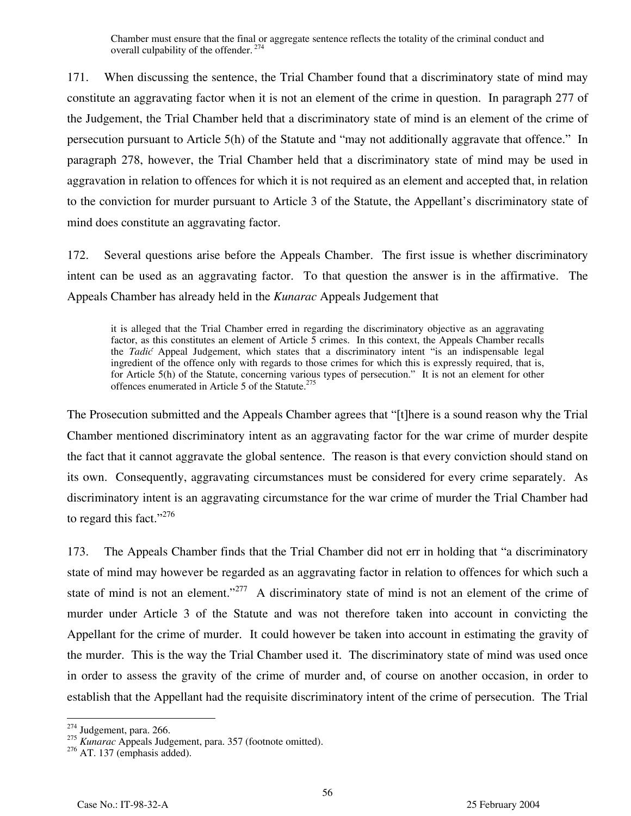Chamber must ensure that the final or aggregate sentence reflects the totality of the criminal conduct and overall culpability of the offender.<sup>274</sup>

171. When discussing the sentence, the Trial Chamber found that a discriminatory state of mind may constitute an aggravating factor when it is not an element of the crime in question. In paragraph 277 of the Judgement, the Trial Chamber held that a discriminatory state of mind is an element of the crime of persecution pursuant to Article 5(h) of the Statute and "may not additionally aggravate that offence." In paragraph 278, however, the Trial Chamber held that a discriminatory state of mind may be used in aggravation in relation to offences for which it is not required as an element and accepted that, in relation to the conviction for murder pursuant to Article 3 of the Statute, the Appellant's discriminatory state of mind does constitute an aggravating factor.

172. Several questions arise before the Appeals Chamber. The first issue is whether discriminatory intent can be used as an aggravating factor. To that question the answer is in the affirmative. The Appeals Chamber has already held in the *Kunarac* Appeals Judgement that

it is alleged that the Trial Chamber erred in regarding the discriminatory objective as an aggravating factor, as this constitutes an element of Article 5 crimes. In this context, the Appeals Chamber recalls the *Tadić* Appeal Judgement, which states that a discriminatory intent "is an indispensable legal ingredient of the offence only with regards to those crimes for which this is expressly required, that is, for Article 5(h) of the Statute, concerning various types of persecution." It is not an element for other offences enumerated in Article 5 of the Statute.275

The Prosecution submitted and the Appeals Chamber agrees that "[t]here is a sound reason why the Trial Chamber mentioned discriminatory intent as an aggravating factor for the war crime of murder despite the fact that it cannot aggravate the global sentence. The reason is that every conviction should stand on its own. Consequently, aggravating circumstances must be considered for every crime separately. As discriminatory intent is an aggravating circumstance for the war crime of murder the Trial Chamber had to regard this fact."<sup>276</sup>

173. The Appeals Chamber finds that the Trial Chamber did not err in holding that "a discriminatory state of mind may however be regarded as an aggravating factor in relation to offences for which such a state of mind is not an element."<sup>277</sup> A discriminatory state of mind is not an element of the crime of murder under Article 3 of the Statute and was not therefore taken into account in convicting the Appellant for the crime of murder. It could however be taken into account in estimating the gravity of the murder. This is the way the Trial Chamber used it. The discriminatory state of mind was used once in order to assess the gravity of the crime of murder and, of course on another occasion, in order to establish that the Appellant had the requisite discriminatory intent of the crime of persecution. The Trial

 $\overline{a}$ 

<sup>&</sup>lt;sup>274</sup> Judgement, para. 266.

<sup>275</sup> *Kunarac* Appeals Judgement, para. 357 (footnote omitted).

<sup>276</sup> AT. 137 (emphasis added).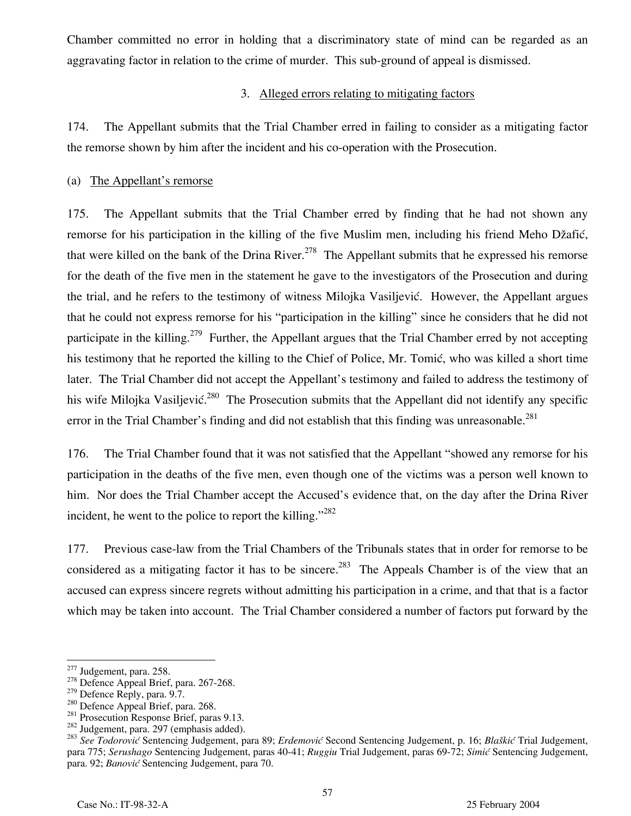Chamber committed no error in holding that a discriminatory state of mind can be regarded as an aggravating factor in relation to the crime of murder. This sub-ground of appeal is dismissed.

## 3. Alleged errors relating to mitigating factors

174. The Appellant submits that the Trial Chamber erred in failing to consider as a mitigating factor the remorse shown by him after the incident and his co-operation with the Prosecution.

## (a) The Appellant's remorse

175. The Appellant submits that the Trial Chamber erred by finding that he had not shown any remorse for his participation in the killing of the five Muslim men, including his friend Meho Džafić, that were killed on the bank of the Drina River.<sup>278</sup> The Appellant submits that he expressed his remorse for the death of the five men in the statement he gave to the investigators of the Prosecution and during the trial, and he refers to the testimony of witness Milojka Vasiljević. However, the Appellant argues that he could not express remorse for his "participation in the killing" since he considers that he did not participate in the killing.<sup>279</sup> Further, the Appellant argues that the Trial Chamber erred by not accepting his testimony that he reported the killing to the Chief of Police, Mr. Tomić, who was killed a short time later. The Trial Chamber did not accept the Appellant's testimony and failed to address the testimony of his wife Milojka Vasiljević.<sup>280</sup> The Prosecution submits that the Appellant did not identify any specific error in the Trial Chamber's finding and did not establish that this finding was unreasonable.<sup>281</sup>

176. The Trial Chamber found that it was not satisfied that the Appellant "showed any remorse for his participation in the deaths of the five men, even though one of the victims was a person well known to him. Nor does the Trial Chamber accept the Accused's evidence that, on the day after the Drina River incident, he went to the police to report the killing."<sup>282</sup>

177. Previous case-law from the Trial Chambers of the Tribunals states that in order for remorse to be considered as a mitigating factor it has to be sincere.<sup>283</sup> The Appeals Chamber is of the view that an accused can express sincere regrets without admitting his participation in a crime, and that that is a factor which may be taken into account. The Trial Chamber considered a number of factors put forward by the

<sup>&</sup>lt;sup>277</sup> Judgement, para. 258.

<sup>&</sup>lt;sup>278</sup> Defence Appeal Brief, para. 267-268.<br><sup>279</sup> Defence Reply, para. 9.7.

<sup>&</sup>lt;sup>280</sup> Defence Appeal Brief, para. 268.<br><sup>281</sup> Prosecution Response Brief, paras 9.13.<br><sup>282</sup> Judgement, para. 297 (emphasis added).<br><sup>282</sup> See Todorović Sentencing Judgement, para 89; *Erdemović* Second Sentencing Judgement, para 775; Serushago Sentencing Judgement, paras 40-41; Ruggiu Trial Judgement, paras 69-72; Simić Sentencing Judgement, para. 92; *Banović* Sentencing Judgement, para 70.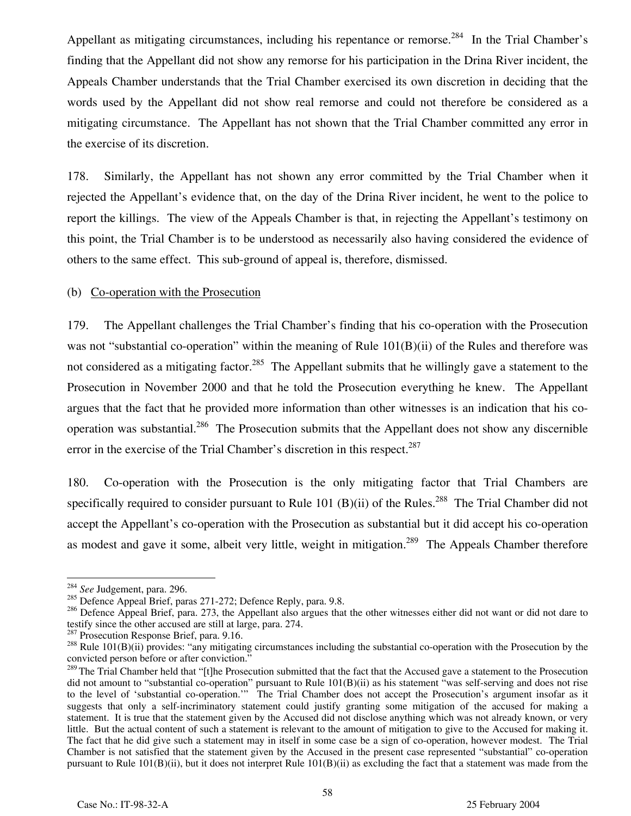Appellant as mitigating circumstances, including his repentance or remorse.<sup>284</sup> In the Trial Chamber's finding that the Appellant did not show any remorse for his participation in the Drina River incident, the Appeals Chamber understands that the Trial Chamber exercised its own discretion in deciding that the words used by the Appellant did not show real remorse and could not therefore be considered as a mitigating circumstance. The Appellant has not shown that the Trial Chamber committed any error in the exercise of its discretion.

178. Similarly, the Appellant has not shown any error committed by the Trial Chamber when it rejected the Appellant's evidence that, on the day of the Drina River incident, he went to the police to report the killings. The view of the Appeals Chamber is that, in rejecting the Appellant's testimony on this point, the Trial Chamber is to be understood as necessarily also having considered the evidence of others to the same effect. This sub-ground of appeal is, therefore, dismissed.

#### (b) Co-operation with the Prosecution

179. The Appellant challenges the Trial Chamber's finding that his co-operation with the Prosecution was not "substantial co-operation" within the meaning of Rule 101(B)(ii) of the Rules and therefore was not considered as a mitigating factor.<sup>285</sup> The Appellant submits that he willingly gave a statement to the Prosecution in November 2000 and that he told the Prosecution everything he knew. The Appellant argues that the fact that he provided more information than other witnesses is an indication that his cooperation was substantial.<sup>286</sup> The Prosecution submits that the Appellant does not show any discernible error in the exercise of the Trial Chamber's discretion in this respect. $287$ 

180. Co-operation with the Prosecution is the only mitigating factor that Trial Chambers are specifically required to consider pursuant to Rule 101 (B)(ii) of the Rules.<sup>288</sup> The Trial Chamber did not accept the Appellant's co-operation with the Prosecution as substantial but it did accept his co-operation as modest and gave it some, albeit very little, weight in mitigation.<sup>289</sup> The Appeals Chamber therefore

<sup>-</sup><sup>284</sup> *See* Judgement, para. 296.

<sup>&</sup>lt;sup>285</sup> Defence Appeal Brief, paras 271-272; Defence Reply, para. 9.8.

<sup>&</sup>lt;sup>286</sup> Defence Appeal Brief, para. 273, the Appellant also argues that the other witnesses either did not want or did not dare to testify since the other accused are still at large, para. 274.<br><sup>287</sup> Prosecution Response Brief, para. 9.16.

 $^{288}$  Rule 101(B)(ii) provides: "any mitigating circumstances including the substantial co-operation with the Prosecution by the convicted person before or after conviction."

<sup>&</sup>lt;sup>289</sup> The Trial Chamber held that "[t]he Prosecution submitted that the fact that the Accused gave a statement to the Prosecution did not amount to "substantial co-operation" pursuant to Rule  $101(B)(ii)$  as his statement "was self-serving and does not rise to the level of 'substantial co-operation.'" The Trial Chamber does not accept the Prosecution's argument insofar as it suggests that only a self-incriminatory statement could justify granting some mitigation of the accused for making a statement. It is true that the statement given by the Accused did not disclose anything which was not already known, or very little. But the actual content of such a statement is relevant to the amount of mitigation to give to the Accused for making it. The fact that he did give such a statement may in itself in some case be a sign of co-operation, however modest. The Trial Chamber is not satisfied that the statement given by the Accused in the present case represented "substantial" co-operation pursuant to Rule  $101(B)(ii)$ , but it does not interpret Rule  $101(B)(ii)$  as excluding the fact that a statement was made from the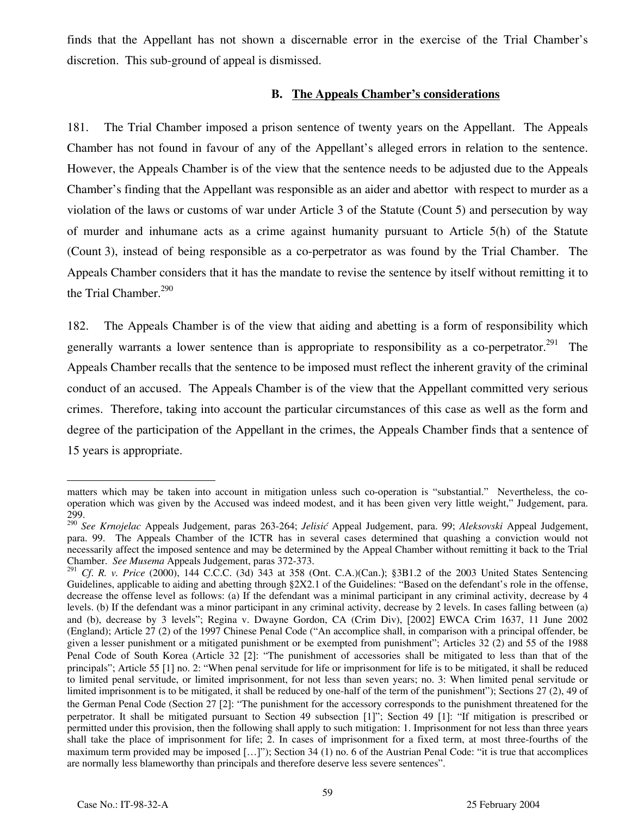finds that the Appellant has not shown a discernable error in the exercise of the Trial Chamber's discretion. This sub-ground of appeal is dismissed.

## **B. The Appeals Chamber's considerations**

181. The Trial Chamber imposed a prison sentence of twenty years on the Appellant. The Appeals Chamber has not found in favour of any of the Appellant's alleged errors in relation to the sentence. However, the Appeals Chamber is of the view that the sentence needs to be adjusted due to the Appeals Chamber's finding that the Appellant was responsible as an aider and abettor with respect to murder as a violation of the laws or customs of war under Article 3 of the Statute (Count 5) and persecution by way of murder and inhumane acts as a crime against humanity pursuant to Article 5(h) of the Statute (Count 3), instead of being responsible as a co-perpetrator as was found by the Trial Chamber. The Appeals Chamber considers that it has the mandate to revise the sentence by itself without remitting it to the Trial Chamber. $290$ 

182. The Appeals Chamber is of the view that aiding and abetting is a form of responsibility which generally warrants a lower sentence than is appropriate to responsibility as a co-perpetrator.<sup>291</sup> The Appeals Chamber recalls that the sentence to be imposed must reflect the inherent gravity of the criminal conduct of an accused. The Appeals Chamber is of the view that the Appellant committed very serious crimes. Therefore, taking into account the particular circumstances of this case as well as the form and degree of the participation of the Appellant in the crimes, the Appeals Chamber finds that a sentence of 15 years is appropriate.

<u>.</u>

matters which may be taken into account in mitigation unless such co-operation is "substantial." Nevertheless, the cooperation which was given by the Accused was indeed modest, and it has been given very little weight," Judgement, para. 299.

<sup>290</sup> *See Krnojelac* Appeals Judgement, paras 263-264; *Jelisi}* Appeal Judgement, para. 99; *Aleksovski* Appeal Judgement, para. 99. The Appeals Chamber of the ICTR has in several cases determined that quashing a conviction would not necessarily affect the imposed sentence and may be determined by the Appeal Chamber without remitting it back to the Trial Chamber. *See Musema* Appeals Judgement, paras 372-373.

<sup>291</sup> *Cf*. *R. v. Price* (2000), 144 C.C.C. (3d) 343 at 358 (Ont. C.A.)(Can.); §3B1.2 of the 2003 United States Sentencing Guidelines, applicable to aiding and abetting through §2X2.1 of the Guidelines: "Based on the defendant's role in the offense, decrease the offense level as follows: (a) If the defendant was a minimal participant in any criminal activity, decrease by 4 levels. (b) If the defendant was a minor participant in any criminal activity, decrease by 2 levels. In cases falling between (a) and (b), decrease by 3 levels"; Regina v. Dwayne Gordon, CA (Crim Div), [2002] EWCA Crim 1637, 11 June 2002 (England); Article 27 (2) of the 1997 Chinese Penal Code ("An accomplice shall, in comparison with a principal offender, be given a lesser punishment or a mitigated punishment or be exempted from punishment"; Articles 32 (2) and 55 of the 1988 Penal Code of South Korea (Article 32 [2]: "The punishment of accessories shall be mitigated to less than that of the principals"; Article 55 [1] no. 2: "When penal servitude for life or imprisonment for life is to be mitigated, it shall be reduced to limited penal servitude, or limited imprisonment, for not less than seven years; no. 3: When limited penal servitude or limited imprisonment is to be mitigated, it shall be reduced by one-half of the term of the punishment"); Sections 27 (2), 49 of the German Penal Code (Section 27 [2]: "The punishment for the accessory corresponds to the punishment threatened for the perpetrator. It shall be mitigated pursuant to Section 49 subsection [1]"; Section 49 [1]: "If mitigation is prescribed or permitted under this provision, then the following shall apply to such mitigation: 1. Imprisonment for not less than three years shall take the place of imprisonment for life; 2. In cases of imprisonment for a fixed term, at most three-fourths of the maximum term provided may be imposed […]"); Section 34 (1) no. 6 of the Austrian Penal Code: "it is true that accomplices are normally less blameworthy than principals and therefore deserve less severe sentences".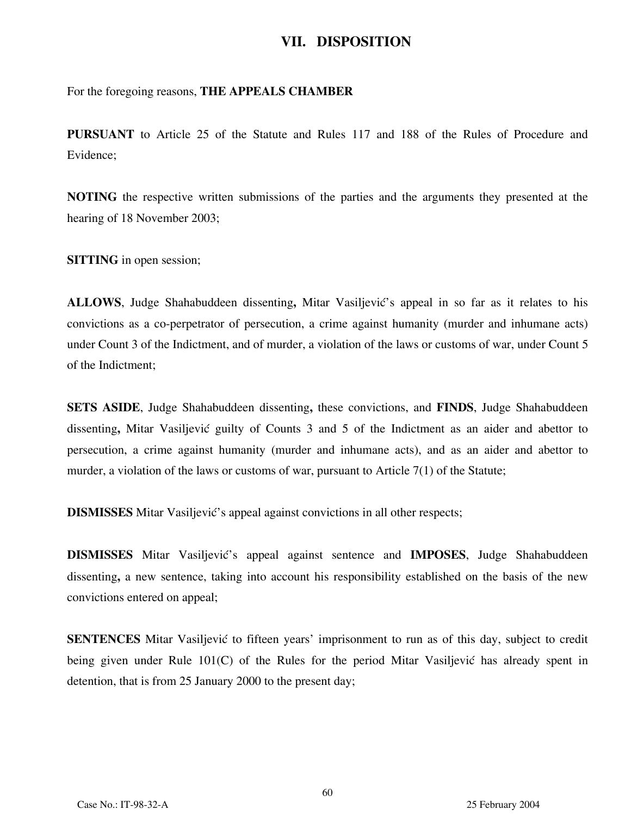## **VII. DISPOSITION**

For the foregoing reasons, **THE APPEALS CHAMBER**

**PURSUANT** to Article 25 of the Statute and Rules 117 and 188 of the Rules of Procedure and Evidence;

**NOTING** the respective written submissions of the parties and the arguments they presented at the hearing of 18 November 2003;

**SITTING** in open session;

**ALLOWS**, Judge Shahabuddeen dissenting**,** Mitar Vasiljević's appeal in so far as it relates to his convictions as a co-perpetrator of persecution, a crime against humanity (murder and inhumane acts) under Count 3 of the Indictment, and of murder, a violation of the laws or customs of war, under Count 5 of the Indictment;

**SETS ASIDE**, Judge Shahabuddeen dissenting**,** these convictions, and **FINDS**, Judge Shahabuddeen dissenting**,** Mitar Vasiljević guilty of Counts 3 and 5 of the Indictment as an aider and abettor to persecution, a crime against humanity (murder and inhumane acts), and as an aider and abettor to murder, a violation of the laws or customs of war, pursuant to Article 7(1) of the Statute;

**DISMISSES** Mitar Vasiljević's appeal against convictions in all other respects;

**DISMISSES** Mitar Vasiljević's appeal against sentence and **IMPOSES**, Judge Shahabuddeen dissenting**,** a new sentence, taking into account his responsibility established on the basis of the new convictions entered on appeal;

**SENTENCES** Mitar Vasiljević to fifteen years' imprisonment to run as of this day, subject to credit being given under Rule 101(C) of the Rules for the period Mitar Vasiljević has already spent in detention, that is from 25 January 2000 to the present day;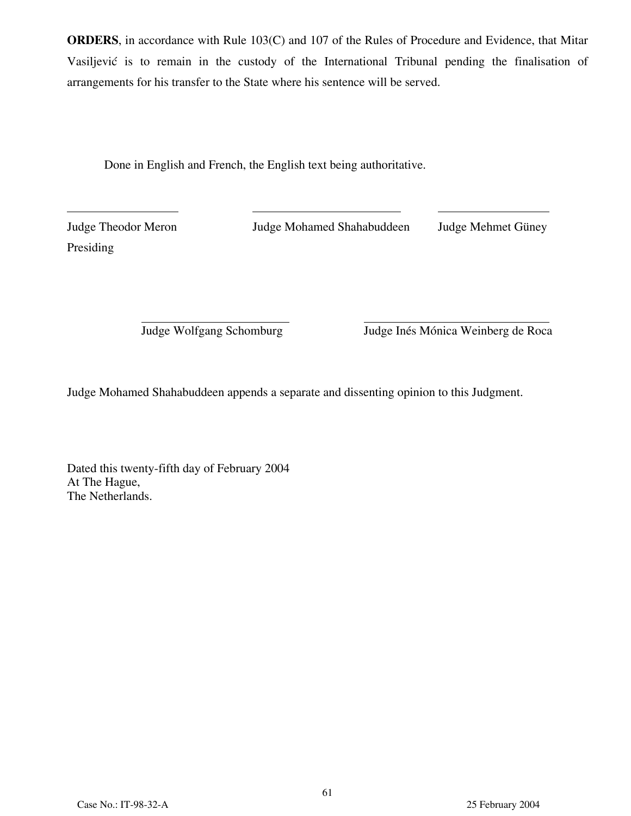**ORDERS**, in accordance with Rule 103(C) and 107 of the Rules of Procedure and Evidence, that Mitar Vasiljević is to remain in the custody of the International Tribunal pending the finalisation of arrangements for his transfer to the State where his sentence will be served.

Done in English and French, the English text being authoritative.

Presiding

 $\overline{a}$ 

Judge Theodor Meron Judge Mohamed Shahabuddeen Judge Mehmet Güney

Judge Wolfgang Schomburg

Judge Inés Mónica Weinberg de Roca

Judge Mohamed Shahabuddeen appends a separate and dissenting opinion to this Judgment.

Dated this twenty-fifth day of February 2004 At The Hague, The Netherlands.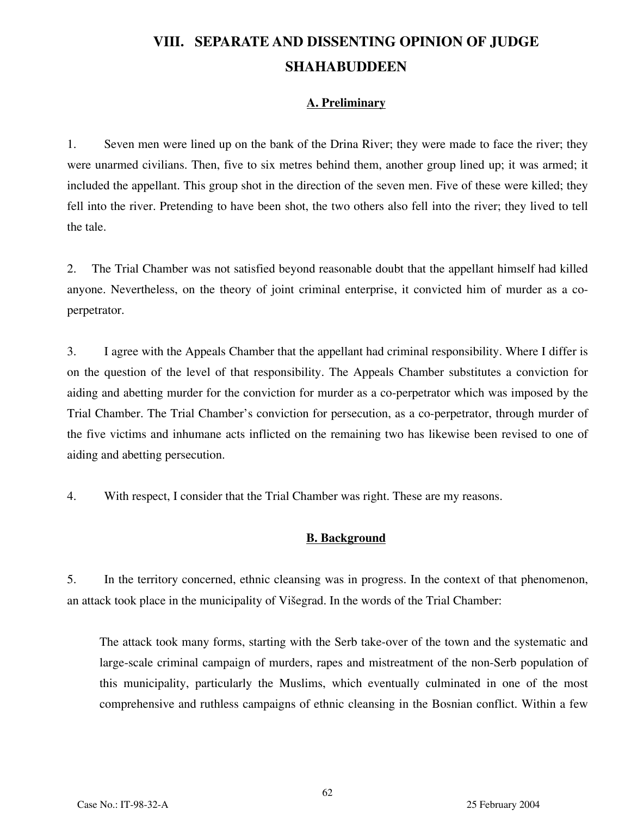# **VIII. SEPARATE AND DISSENTING OPINION OF JUDGE SHAHABUDDEEN**

## **A. Preliminary**

1. Seven men were lined up on the bank of the Drina River; they were made to face the river; they were unarmed civilians. Then, five to six metres behind them, another group lined up; it was armed; it included the appellant. This group shot in the direction of the seven men. Five of these were killed; they fell into the river. Pretending to have been shot, the two others also fell into the river; they lived to tell the tale.

2. The Trial Chamber was not satisfied beyond reasonable doubt that the appellant himself had killed anyone. Nevertheless, on the theory of joint criminal enterprise, it convicted him of murder as a coperpetrator.

3. I agree with the Appeals Chamber that the appellant had criminal responsibility. Where I differ is on the question of the level of that responsibility. The Appeals Chamber substitutes a conviction for aiding and abetting murder for the conviction for murder as a co-perpetrator which was imposed by the Trial Chamber. The Trial Chamber's conviction for persecution, as a co-perpetrator, through murder of the five victims and inhumane acts inflicted on the remaining two has likewise been revised to one of aiding and abetting persecution.

4. With respect, I consider that the Trial Chamber was right. These are my reasons.

## **B. Background**

5. In the territory concerned, ethnic cleansing was in progress. In the context of that phenomenon, an attack took place in the municipality of Višegrad. In the words of the Trial Chamber:

The attack took many forms, starting with the Serb take-over of the town and the systematic and large-scale criminal campaign of murders, rapes and mistreatment of the non-Serb population of this municipality, particularly the Muslims, which eventually culminated in one of the most comprehensive and ruthless campaigns of ethnic cleansing in the Bosnian conflict. Within a few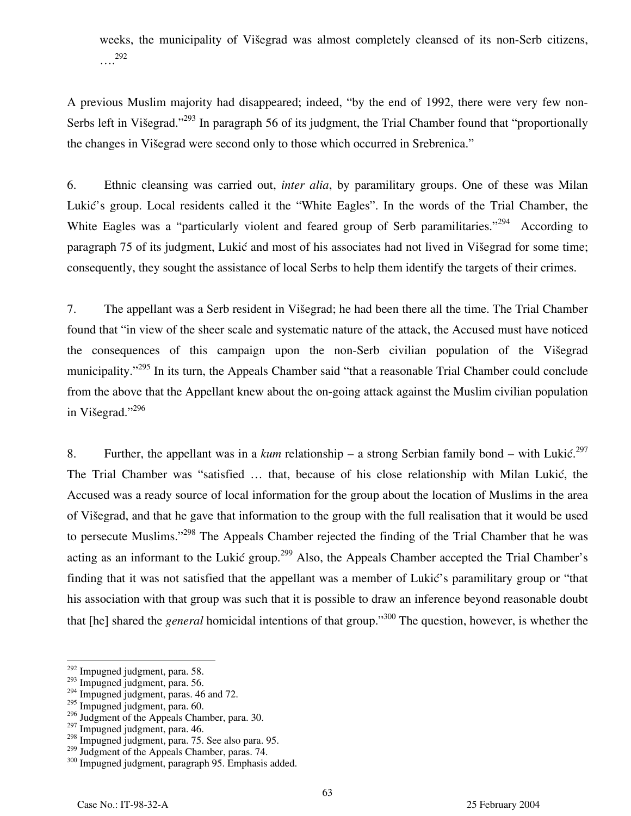weeks, the municipality of Višegrad was almost completely cleansed of its non-Serb citizens, ….292

A previous Muslim majority had disappeared; indeed, "by the end of 1992, there were very few non-Serbs left in Višegrad."<sup>293</sup> In paragraph 56 of its judgment, the Trial Chamber found that "proportionally" the changes in Višegrad were second only to those which occurred in Srebrenica."

6. Ethnic cleansing was carried out, *inter alia*, by paramilitary groups. One of these was Milan Lukić's group. Local residents called it the "White Eagles". In the words of the Trial Chamber, the White Eagles was a "particularly violent and feared group of Serb paramilitaries."<sup>294</sup> According to paragraph 75 of its judgment, Lukić and most of his associates had not lived in Višegrad for some time; consequently, they sought the assistance of local Serbs to help them identify the targets of their crimes.

7. The appellant was a Serb resident in Višegrad; he had been there all the time. The Trial Chamber found that "in view of the sheer scale and systematic nature of the attack, the Accused must have noticed the consequences of this campaign upon the non-Serb civilian population of the Višegrad municipality."<sup>295</sup> In its turn, the Appeals Chamber said "that a reasonable Trial Chamber could conclude from the above that the Appellant knew about the on-going attack against the Muslim civilian population in Višegrad."<sup>296</sup>

8. Further, the appellant was in a *kum* relationship – a strong Serbian family bond – with Lukić. 297 The Trial Chamber was "satisfied … that, because of his close relationship with Milan Lukić, the Accused was a ready source of local information for the group about the location of Muslims in the area of Višegrad, and that he gave that information to the group with the full realisation that it would be used to persecute Muslims."<sup>298</sup> The Appeals Chamber rejected the finding of the Trial Chamber that he was acting as an informant to the Lukić group.<sup>299</sup> Also, the Appeals Chamber accepted the Trial Chamber's finding that it was not satisfied that the appellant was a member of Lukić's paramilitary group or "that his association with that group was such that it is possible to draw an inference beyond reasonable doubt that [he] shared the *general* homicidal intentions of that group."300 The question, however, is whether the

-

<sup>&</sup>lt;sup>292</sup> Impugned judgment, para. 58.

 $293$  Impugned judgment, para. 56.

 $^{294}$  Impugned judgment, paras. 46 and 72.

<sup>295</sup> Impugned judgment, para. 60.

<sup>296</sup> Judgment of the Appeals Chamber, para. 30.

 $297$  Impugned judgment, para. 46.

 $^{298}$  Impugned judgment, para. 75. See also para. 95.<br> $^{299}$  Judgment of the Appeals Chamber, paras. 74.

<sup>&</sup>lt;sup>300</sup> Impugned judgment, paragraph 95. Emphasis added.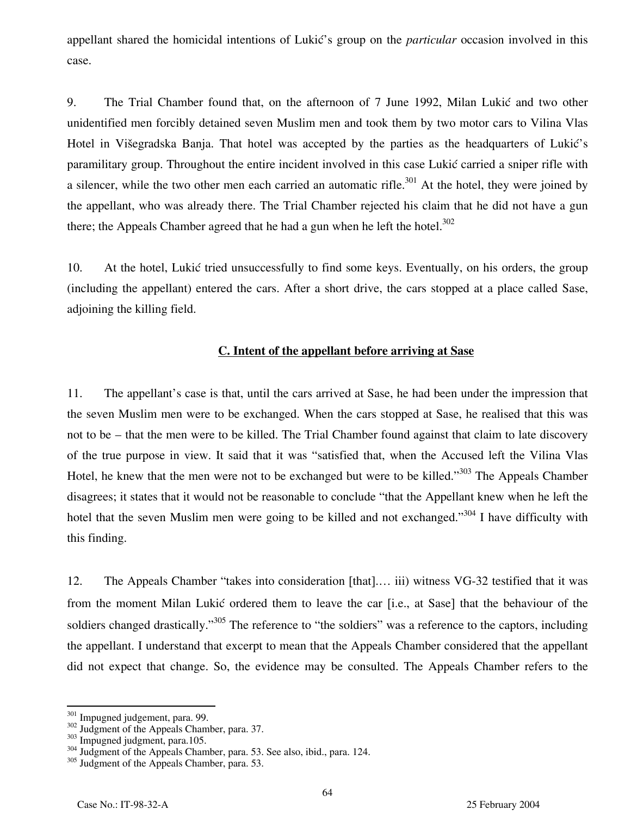appellant shared the homicidal intentions of Lukić's group on the *particular* occasion involved in this case.

9. The Trial Chamber found that, on the afternoon of 7 June 1992, Milan Lukić and two other unidentified men forcibly detained seven Muslim men and took them by two motor cars to Vilina Vlas Hotel in Višegradska Banja. That hotel was accepted by the parties as the headquarters of Lukić's paramilitary group. Throughout the entire incident involved in this case Lukić carried a sniper rifle with a silencer, while the two other men each carried an automatic rifle.<sup>301</sup> At the hotel, they were joined by the appellant, who was already there. The Trial Chamber rejected his claim that he did not have a gun there; the Appeals Chamber agreed that he had a gun when he left the hotel.<sup>302</sup>

10. At the hotel, Lukić tried unsuccessfully to find some keys. Eventually, on his orders, the group (including the appellant) entered the cars. After a short drive, the cars stopped at a place called Sase, adjoining the killing field.

## **C. Intent of the appellant before arriving at Sase**

11. The appellant's case is that, until the cars arrived at Sase, he had been under the impression that the seven Muslim men were to be exchanged. When the cars stopped at Sase, he realised that this was not to be – that the men were to be killed. The Trial Chamber found against that claim to late discovery of the true purpose in view. It said that it was "satisfied that, when the Accused left the Vilina Vlas Hotel, he knew that the men were not to be exchanged but were to be killed."<sup>303</sup> The Appeals Chamber disagrees; it states that it would not be reasonable to conclude "that the Appellant knew when he left the hotel that the seven Muslim men were going to be killed and not exchanged."<sup>304</sup> I have difficulty with this finding.

12. The Appeals Chamber "takes into consideration [that].… iii) witness VG-32 testified that it was from the moment Milan Lukić ordered them to leave the car [i.e., at Sase] that the behaviour of the soldiers changed drastically."<sup>305</sup> The reference to "the soldiers" was a reference to the captors, including the appellant. I understand that excerpt to mean that the Appeals Chamber considered that the appellant did not expect that change. So, the evidence may be consulted. The Appeals Chamber refers to the

<sup>&</sup>lt;sup>301</sup> Impugned judgement, para. 99.

<sup>302</sup> Judgment of the Appeals Chamber, para. 37.<br><sup>303</sup> Impugned judgment, para.105.<br><sup>304</sup> Judgment of the Appeals Chamber, para. 53. See also, ibid., para. 124.

<sup>&</sup>lt;sup>305</sup> Judgment of the Appeals Chamber, para. 53.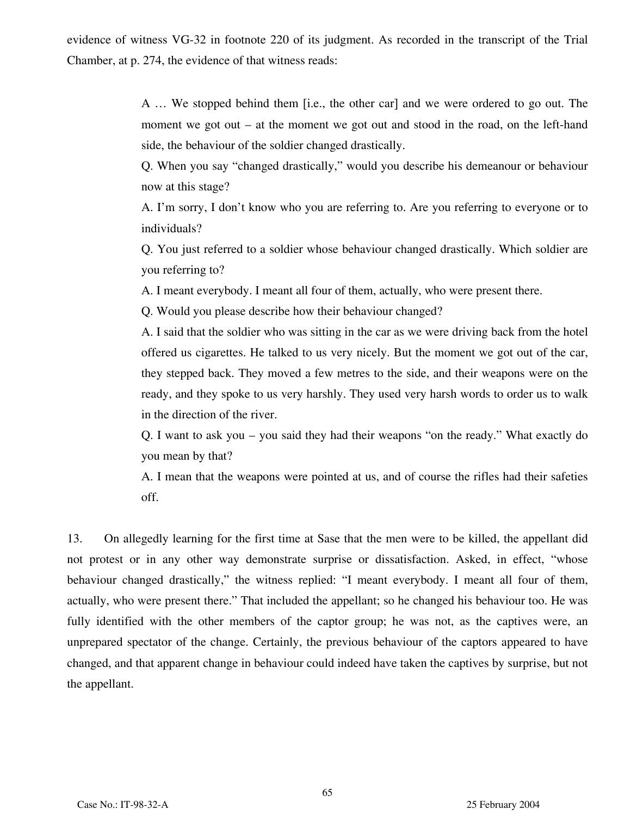evidence of witness VG-32 in footnote 220 of its judgment. As recorded in the transcript of the Trial Chamber, at p. 274, the evidence of that witness reads:

> A … We stopped behind them [i.e., the other car] and we were ordered to go out. The moment we got out – at the moment we got out and stood in the road, on the left-hand side, the behaviour of the soldier changed drastically.

> Q. When you say "changed drastically," would you describe his demeanour or behaviour now at this stage?

> A. I'm sorry, I don't know who you are referring to. Are you referring to everyone or to individuals?

> Q. You just referred to a soldier whose behaviour changed drastically. Which soldier are you referring to?

A. I meant everybody. I meant all four of them, actually, who were present there.

Q. Would you please describe how their behaviour changed?

A. I said that the soldier who was sitting in the car as we were driving back from the hotel offered us cigarettes. He talked to us very nicely. But the moment we got out of the car, they stepped back. They moved a few metres to the side, and their weapons were on the ready, and they spoke to us very harshly. They used very harsh words to order us to walk in the direction of the river.

Q. I want to ask you – you said they had their weapons "on the ready." What exactly do you mean by that?

A. I mean that the weapons were pointed at us, and of course the rifles had their safeties off.

13. On allegedly learning for the first time at Sase that the men were to be killed, the appellant did not protest or in any other way demonstrate surprise or dissatisfaction. Asked, in effect, "whose behaviour changed drastically," the witness replied: "I meant everybody. I meant all four of them, actually, who were present there." That included the appellant; so he changed his behaviour too. He was fully identified with the other members of the captor group; he was not, as the captives were, an unprepared spectator of the change. Certainly, the previous behaviour of the captors appeared to have changed, and that apparent change in behaviour could indeed have taken the captives by surprise, but not the appellant.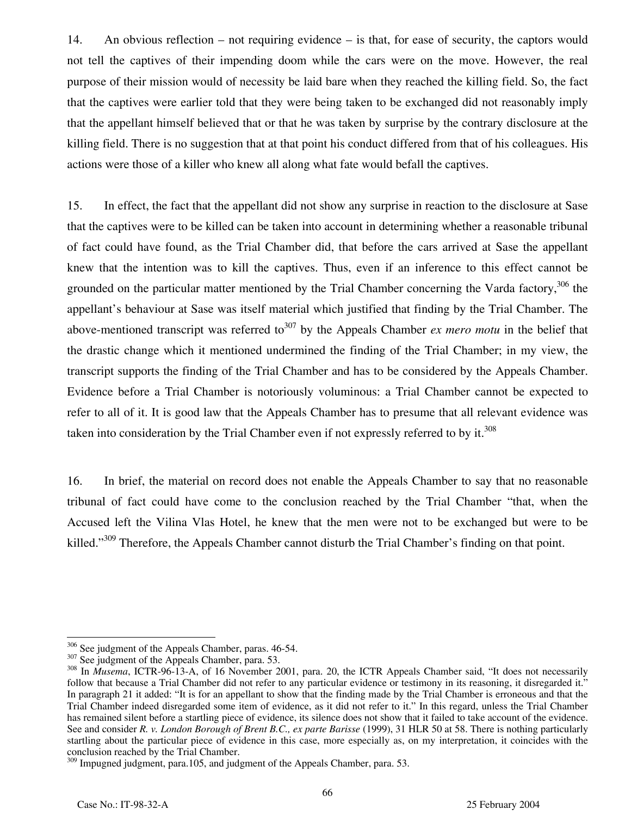14. An obvious reflection – not requiring evidence – is that, for ease of security, the captors would not tell the captives of their impending doom while the cars were on the move. However, the real purpose of their mission would of necessity be laid bare when they reached the killing field. So, the fact that the captives were earlier told that they were being taken to be exchanged did not reasonably imply that the appellant himself believed that or that he was taken by surprise by the contrary disclosure at the killing field. There is no suggestion that at that point his conduct differed from that of his colleagues. His actions were those of a killer who knew all along what fate would befall the captives.

15. In effect, the fact that the appellant did not show any surprise in reaction to the disclosure at Sase that the captives were to be killed can be taken into account in determining whether a reasonable tribunal of fact could have found, as the Trial Chamber did, that before the cars arrived at Sase the appellant knew that the intention was to kill the captives. Thus, even if an inference to this effect cannot be grounded on the particular matter mentioned by the Trial Chamber concerning the Varda factory,  $306$  the appellant's behaviour at Sase was itself material which justified that finding by the Trial Chamber. The above-mentioned transcript was referred to<sup>307</sup> by the Appeals Chamber *ex mero motu* in the belief that the drastic change which it mentioned undermined the finding of the Trial Chamber; in my view, the transcript supports the finding of the Trial Chamber and has to be considered by the Appeals Chamber. Evidence before a Trial Chamber is notoriously voluminous: a Trial Chamber cannot be expected to refer to all of it. It is good law that the Appeals Chamber has to presume that all relevant evidence was taken into consideration by the Trial Chamber even if not expressly referred to by it. $308$ 

16. In brief, the material on record does not enable the Appeals Chamber to say that no reasonable tribunal of fact could have come to the conclusion reached by the Trial Chamber "that, when the Accused left the Vilina Vlas Hotel, he knew that the men were not to be exchanged but were to be killed."<sup>309</sup> Therefore, the Appeals Chamber cannot disturb the Trial Chamber's finding on that point.

<sup>&</sup>lt;sup>306</sup> See judgment of the Appeals Chamber, paras. 46-54.

<sup>&</sup>lt;sup>307</sup> See judgment of the Appeals Chamber, para. 53.<br><sup>308</sup> In *Musema*, ICTR-96-13-A, of 16 November 2001, para. 20, the ICTR Appeals Chamber said, "It does not necessarily follow that because a Trial Chamber did not refer to any particular evidence or testimony in its reasoning, it disregarded it." In paragraph 21 it added: "It is for an appellant to show that the finding made by the Trial Chamber is erroneous and that the Trial Chamber indeed disregarded some item of evidence, as it did not refer to it." In this regard, unless the Trial Chamber has remained silent before a startling piece of evidence, its silence does not show that it failed to take account of the evidence. See and consider *R. v. London Borough of Brent B.C., ex parte Barisse* (1999), 31 HLR 50 at 58. There is nothing particularly startling about the particular piece of evidence in this case, more especially as, on my interpretation, it coincides with the conclusion reached by the Trial Chamber.

<sup>&</sup>lt;sup>309</sup> Impugned judgment, para.105, and judgment of the Appeals Chamber, para. 53.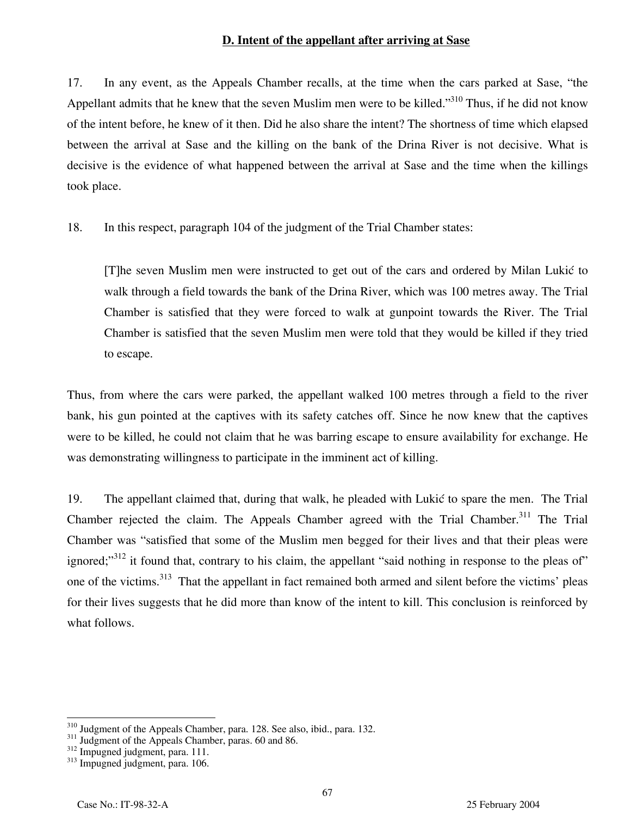## **D. Intent of the appellant after arriving at Sase**

17. In any event, as the Appeals Chamber recalls, at the time when the cars parked at Sase, "the Appellant admits that he knew that the seven Muslim men were to be killed."<sup>310</sup> Thus, if he did not know of the intent before, he knew of it then. Did he also share the intent? The shortness of time which elapsed between the arrival at Sase and the killing on the bank of the Drina River is not decisive. What is decisive is the evidence of what happened between the arrival at Sase and the time when the killings took place.

18. In this respect, paragraph 104 of the judgment of the Trial Chamber states:

[T]he seven Muslim men were instructed to get out of the cars and ordered by Milan Lukić to walk through a field towards the bank of the Drina River, which was 100 metres away. The Trial Chamber is satisfied that they were forced to walk at gunpoint towards the River. The Trial Chamber is satisfied that the seven Muslim men were told that they would be killed if they tried to escape.

Thus, from where the cars were parked, the appellant walked 100 metres through a field to the river bank, his gun pointed at the captives with its safety catches off. Since he now knew that the captives were to be killed, he could not claim that he was barring escape to ensure availability for exchange. He was demonstrating willingness to participate in the imminent act of killing.

19. The appellant claimed that, during that walk, he pleaded with Lukić to spare the men. The Trial Chamber rejected the claim. The Appeals Chamber agreed with the Trial Chamber.<sup>311</sup> The Trial Chamber was "satisfied that some of the Muslim men begged for their lives and that their pleas were ignored;"<sup>312</sup> it found that, contrary to his claim, the appellant "said nothing in response to the pleas of" one of the victims.<sup>313</sup> That the appellant in fact remained both armed and silent before the victims' pleas for their lives suggests that he did more than know of the intent to kill. This conclusion is reinforced by what follows.

<sup>&</sup>lt;sup>310</sup> Judgment of the Appeals Chamber, para. 128. See also, ibid., para. 132.

<sup>311</sup> Judgment of the Appeals Chamber, paras. 60 and 86.<br><sup>312</sup> Impugned judgment, para. 111.<br><sup>313</sup> Impugned judgment, para. 106.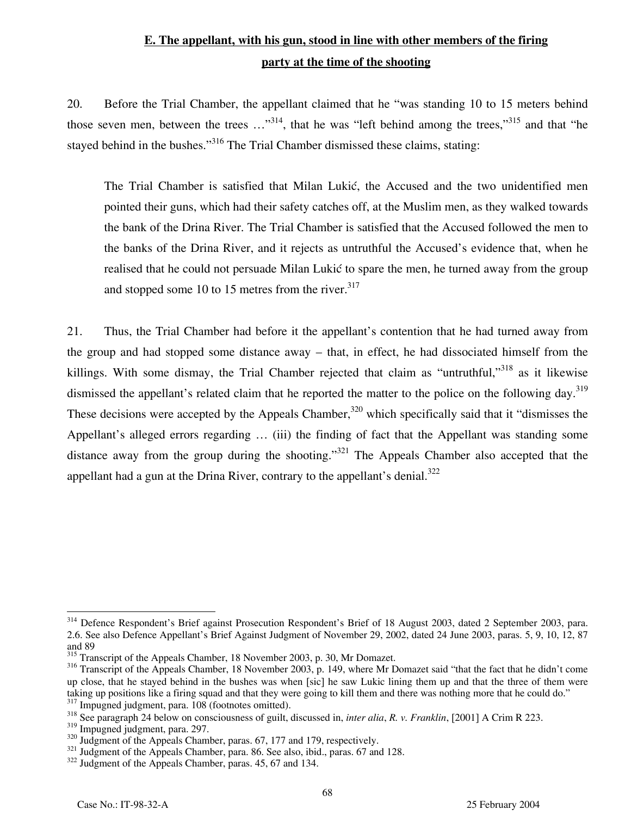# **E. The appellant, with his gun, stood in line with other members of the firing party at the time of the shooting**

20. Before the Trial Chamber, the appellant claimed that he "was standing 10 to 15 meters behind those seven men, between the trees  $\ldots$ <sup>314</sup>, that he was "left behind among the trees,"<sup>315</sup> and that "he stayed behind in the bushes."<sup>316</sup> The Trial Chamber dismissed these claims, stating:

The Trial Chamber is satisfied that Milan Lukić, the Accused and the two unidentified men pointed their guns, which had their safety catches off, at the Muslim men, as they walked towards the bank of the Drina River. The Trial Chamber is satisfied that the Accused followed the men to the banks of the Drina River, and it rejects as untruthful the Accused's evidence that, when he realised that he could not persuade Milan Lukić to spare the men, he turned away from the group and stopped some 10 to 15 metres from the river. $317$ 

21. Thus, the Trial Chamber had before it the appellant's contention that he had turned away from the group and had stopped some distance away – that, in effect, he had dissociated himself from the killings. With some dismay, the Trial Chamber rejected that claim as "untruthful,"<sup>318</sup> as it likewise dismissed the appellant's related claim that he reported the matter to the police on the following day.<sup>319</sup> These decisions were accepted by the Appeals Chamber, $320$  which specifically said that it "dismisses the Appellant's alleged errors regarding … (iii) the finding of fact that the Appellant was standing some distance away from the group during the shooting."<sup>321</sup> The Appeals Chamber also accepted that the appellant had a gun at the Drina River, contrary to the appellant's denial.<sup>322</sup>

<u>.</u>

<sup>&</sup>lt;sup>314</sup> Defence Respondent's Brief against Prosecution Respondent's Brief of 18 August 2003, dated 2 September 2003, para. 2.6. See also Defence Appellant's Brief Against Judgment of November 29, 2002, dated 24 June 2003, paras. 5, 9, 10, 12, 87 and 89

<sup>&</sup>lt;sup>315</sup> Transcript of the Appeals Chamber, 18 November 2003, p. 30, Mr Domazet.

<sup>&</sup>lt;sup>316</sup> Transcript of the Appeals Chamber, 18 November 2003, p. 149, where Mr Domazet said "that the fact that he didn't come up close, that he stayed behind in the bushes was when [sic] he saw Lukic lining them up and that the three of them were taking up positions like a firing squad and that they were going to kill them and there was nothing more that he could do." <sup>317</sup> Impugned judgment, para. 108 (footnotes omitted).

<sup>318</sup> See paragraph 24 below on consciousness of guilt, discussed in, *inter alia*, *R. v. Franklin*, [2001] A Crim R 223.

 $^{320}$  Judgment of the Appeals Chamber, paras. 67, 177 and 179, respectively.<br> $^{321}$  Judgment of the Appeals Chamber, para. 86. See also, ibid., paras. 67 and 128.<br> $^{322}$  Judgment of the Appeals Chamber, paras. 45, 67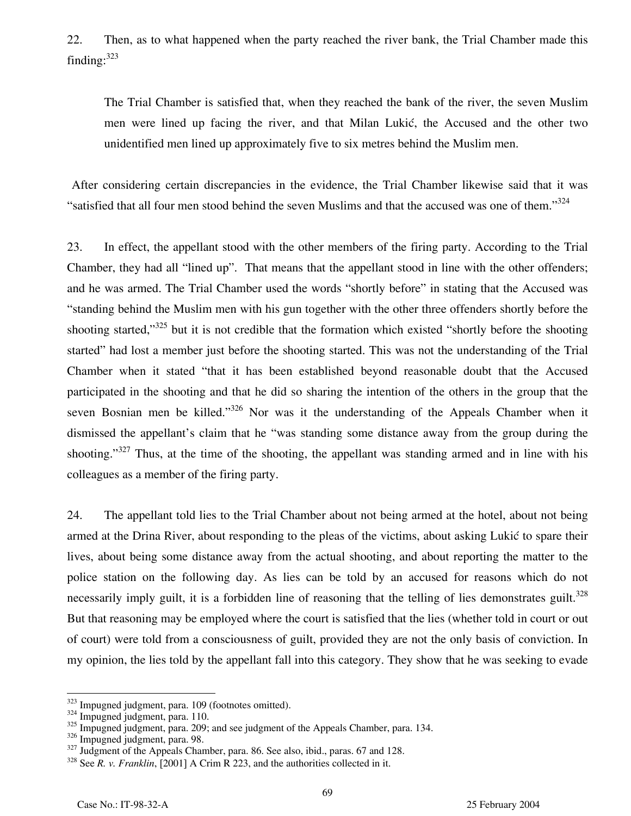22. Then, as to what happened when the party reached the river bank, the Trial Chamber made this finding: 323

The Trial Chamber is satisfied that, when they reached the bank of the river, the seven Muslim men were lined up facing the river, and that Milan Lukić, the Accused and the other two unidentified men lined up approximately five to six metres behind the Muslim men.

After considering certain discrepancies in the evidence, the Trial Chamber likewise said that it was "satisfied that all four men stood behind the seven Muslims and that the accused was one of them."324

23. In effect, the appellant stood with the other members of the firing party. According to the Trial Chamber, they had all "lined up". That means that the appellant stood in line with the other offenders; and he was armed. The Trial Chamber used the words "shortly before" in stating that the Accused was "standing behind the Muslim men with his gun together with the other three offenders shortly before the shooting started," $325$  but it is not credible that the formation which existed "shortly before the shooting started" had lost a member just before the shooting started. This was not the understanding of the Trial Chamber when it stated "that it has been established beyond reasonable doubt that the Accused participated in the shooting and that he did so sharing the intention of the others in the group that the seven Bosnian men be killed."<sup>326</sup> Nor was it the understanding of the Appeals Chamber when it dismissed the appellant's claim that he "was standing some distance away from the group during the shooting."327 Thus, at the time of the shooting, the appellant was standing armed and in line with his colleagues as a member of the firing party.

24. The appellant told lies to the Trial Chamber about not being armed at the hotel, about not being armed at the Drina River, about responding to the pleas of the victims, about asking Lukić to spare their lives, about being some distance away from the actual shooting, and about reporting the matter to the police station on the following day. As lies can be told by an accused for reasons which do not necessarily imply guilt, it is a forbidden line of reasoning that the telling of lies demonstrates guilt.<sup>328</sup> But that reasoning may be employed where the court is satisfied that the lies (whether told in court or out of court) were told from a consciousness of guilt, provided they are not the only basis of conviction. In my opinion, the lies told by the appellant fall into this category. They show that he was seeking to evade

 $\overline{a}$ 

 $323$  Impugned judgment, para. 109 (footnotes omitted).<br> $324$  Impugned judgment, para. 110.

 $\frac{324}{25}$  Impugned judgment, para. 110.<br> $\frac{325}{25}$  Impugned judgment, para. 209; and see judgment of the Appeals Chamber, para. 134.<br> $\frac{326}{25}$  Impugned judgment, para. 98.

<sup>&</sup>lt;sup>327</sup> Judgment of the Appeals Chamber, para. 86. See also, ibid., paras. 67 and 128.

<sup>328</sup> See *R. v. Franklin*, [2001] A Crim R 223, and the authorities collected in it.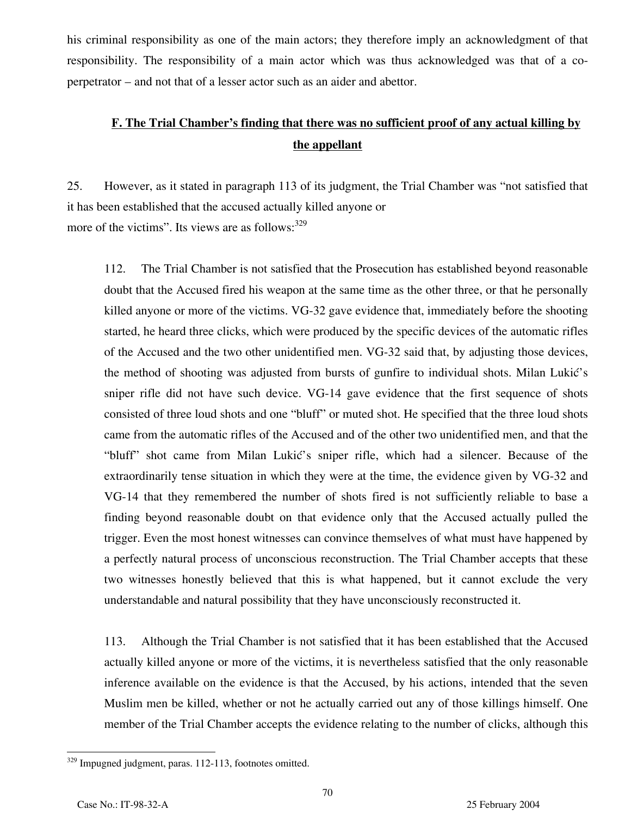his criminal responsibility as one of the main actors; they therefore imply an acknowledgment of that responsibility. The responsibility of a main actor which was thus acknowledged was that of a coperpetrator – and not that of a lesser actor such as an aider and abettor.

# **F. The Trial Chamber's finding that there was no sufficient proof of any actual killing by the appellant**

25. However, as it stated in paragraph 113 of its judgment, the Trial Chamber was "not satisfied that it has been established that the accused actually killed anyone or more of the victims". Its views are as follows:  $329$ 

112. The Trial Chamber is not satisfied that the Prosecution has established beyond reasonable doubt that the Accused fired his weapon at the same time as the other three, or that he personally killed anyone or more of the victims. VG-32 gave evidence that, immediately before the shooting started, he heard three clicks, which were produced by the specific devices of the automatic rifles of the Accused and the two other unidentified men. VG-32 said that, by adjusting those devices, the method of shooting was adjusted from bursts of gunfire to individual shots. Milan Lukić's sniper rifle did not have such device. VG-14 gave evidence that the first sequence of shots consisted of three loud shots and one "bluff" or muted shot. He specified that the three loud shots came from the automatic rifles of the Accused and of the other two unidentified men, and that the "bluff" shot came from Milan Lukić's sniper rifle, which had a silencer. Because of the extraordinarily tense situation in which they were at the time, the evidence given by VG-32 and VG-14 that they remembered the number of shots fired is not sufficiently reliable to base a finding beyond reasonable doubt on that evidence only that the Accused actually pulled the trigger. Even the most honest witnesses can convince themselves of what must have happened by a perfectly natural process of unconscious reconstruction. The Trial Chamber accepts that these two witnesses honestly believed that this is what happened, but it cannot exclude the very understandable and natural possibility that they have unconsciously reconstructed it.

113. Although the Trial Chamber is not satisfied that it has been established that the Accused actually killed anyone or more of the victims, it is nevertheless satisfied that the only reasonable inference available on the evidence is that the Accused, by his actions, intended that the seven Muslim men be killed, whether or not he actually carried out any of those killings himself. One member of the Trial Chamber accepts the evidence relating to the number of clicks, although this

<sup>&</sup>lt;u>.</u> <sup>329</sup> Impugned judgment, paras. 112-113, footnotes omitted.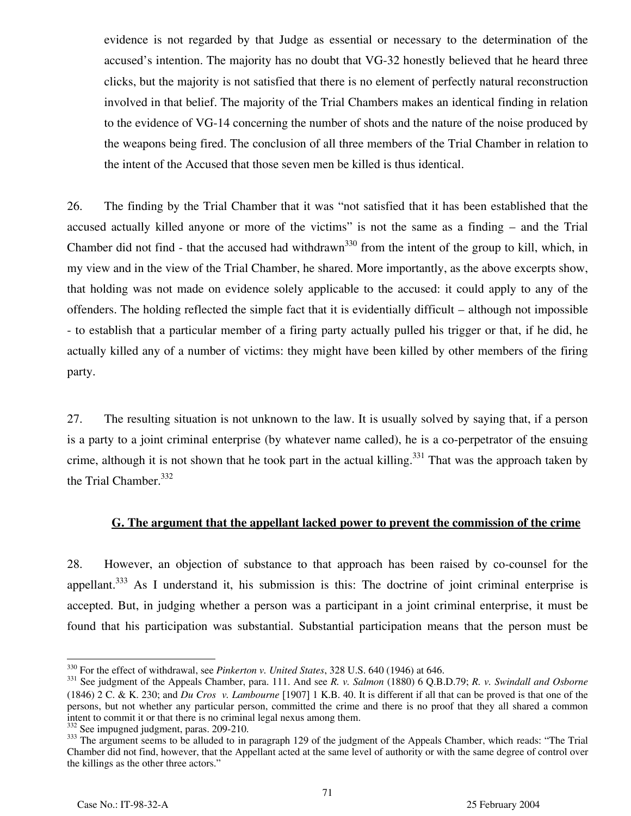evidence is not regarded by that Judge as essential or necessary to the determination of the accused's intention. The majority has no doubt that VG-32 honestly believed that he heard three clicks, but the majority is not satisfied that there is no element of perfectly natural reconstruction involved in that belief. The majority of the Trial Chambers makes an identical finding in relation to the evidence of VG-14 concerning the number of shots and the nature of the noise produced by the weapons being fired. The conclusion of all three members of the Trial Chamber in relation to the intent of the Accused that those seven men be killed is thus identical.

26. The finding by the Trial Chamber that it was "not satisfied that it has been established that the accused actually killed anyone or more of the victims" is not the same as a finding – and the Trial Chamber did not find - that the accused had withdrawn<sup>330</sup> from the intent of the group to kill, which, in my view and in the view of the Trial Chamber, he shared. More importantly, as the above excerpts show, that holding was not made on evidence solely applicable to the accused: it could apply to any of the offenders. The holding reflected the simple fact that it is evidentially difficult – although not impossible - to establish that a particular member of a firing party actually pulled his trigger or that, if he did, he actually killed any of a number of victims: they might have been killed by other members of the firing party.

27. The resulting situation is not unknown to the law. It is usually solved by saying that, if a person is a party to a joint criminal enterprise (by whatever name called), he is a co-perpetrator of the ensuing crime, although it is not shown that he took part in the actual killing.<sup>331</sup> That was the approach taken by the Trial Chamber.<sup>332</sup>

### **G. The argument that the appellant lacked power to prevent the commission of the crime**

28. However, an objection of substance to that approach has been raised by co-counsel for the appellant.<sup>333</sup> As I understand it, his submission is this: The doctrine of joint criminal enterprise is accepted. But, in judging whether a person was a participant in a joint criminal enterprise, it must be found that his participation was substantial. Substantial participation means that the person must be

<sup>&</sup>lt;sup>330</sup> For the effect of withdrawal, see *Pinkerton v. United States*, 328 U.S. 640 (1946) at 646.

 $^{331}$  See judgment of the Appeals Chamber, para. 111. And see R. v. Salmon (1880) 6 Q.B.D.79; R. v. Swindall and Osborne (1846) 2 C. & K. 230; and *Du Cros v. Lambourne* [1907] 1 K.B. 40. It is different if all that can be proved is that one of the persons, but not whether any particular person, committed the crime and there is no proof that they all shared a common intent to commit it or that there is no criminal legal nexus among them.<br><sup>332</sup> See impugned judgment, paras. 209-210.<br><sup>333</sup> The argument seems to be alluded to in paragraph 129 of the judgment of the Appeals Chamber, which

Chamber did not find, however, that the Appellant acted at the same level of authority or with the same degree of control over the killings as the other three actors."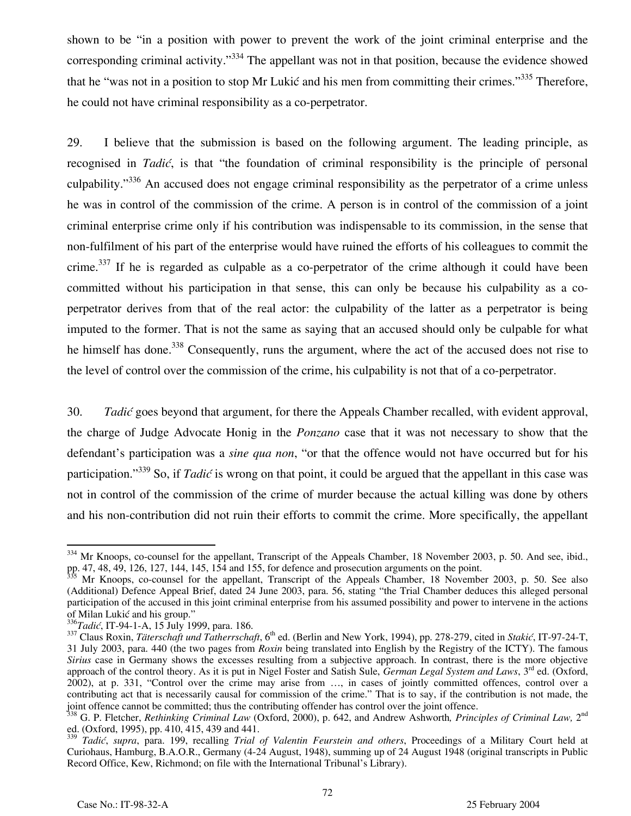shown to be "in a position with power to prevent the work of the joint criminal enterprise and the corresponding criminal activity."334 The appellant was not in that position, because the evidence showed that he "was not in a position to stop Mr Lukić and his men from committing their crimes."<sup>335</sup> Therefore, he could not have criminal responsibility as a co-perpetrator.

29. I believe that the submission is based on the following argument. The leading principle, as recognised in *Tadić*, is that "the foundation of criminal responsibility is the principle of personal culpability."<sup>336</sup> An accused does not engage criminal responsibility as the perpetrator of a crime unless he was in control of the commission of the crime. A person is in control of the commission of a joint criminal enterprise crime only if his contribution was indispensable to its commission, in the sense that non-fulfilment of his part of the enterprise would have ruined the efforts of his colleagues to commit the crime.<sup>337</sup> If he is regarded as culpable as a co-perpetrator of the crime although it could have been committed without his participation in that sense, this can only be because his culpability as a coperpetrator derives from that of the real actor: the culpability of the latter as a perpetrator is being imputed to the former. That is not the same as saying that an accused should only be culpable for what he himself has done.<sup>338</sup> Consequently, runs the argument, where the act of the accused does not rise to the level of control over the commission of the crime, his culpability is not that of a co-perpetrator.

30. *Tadić* goes beyond that argument, for there the Appeals Chamber recalled, with evident approval, the charge of Judge Advocate Honig in the *Ponzano* case that it was not necessary to show that the defendant's participation was a *sine qua non*, "or that the offence would not have occurred but for his participation."339 So, if *Tadić* is wrong on that point, it could be argued that the appellant in this case was not in control of the commission of the crime of murder because the actual killing was done by others and his non-contribution did not ruin their efforts to commit the crime. More specifically, the appellant

 $\overline{a}$ <sup>334</sup> Mr Knoops, co-counsel for the appellant, Transcript of the Appeals Chamber, 18 November 2003, p. 50. And see, ibid., pp. 47, 48, 49, 126, 127, 144, 145, 154 and 155, for defence and prosecution arguments on the point.

<sup>335</sup> Mr Knoops, co-counsel for the appellant, Transcript of the Appeals Chamber, 18 November 2003, p. 50. See also (Additional) Defence Appeal Brief, dated 24 June 2003, para. 56, stating "the Trial Chamber deduces this alleged personal participation of the accused in this joint criminal enterprise from his assumed possibility and power to intervene in the actions of Milan Lukić and his group."<br> $336$ Tadić, IT-94-1-A, 15 July 1999, para. 186.

<sup>336</sup>*Tadić*, IT-94-1-A, 15 July 1999, para. 186. 337 Claus Roxin, *Täterschaft und Tatherrschaft*, 6th ed. (Berlin and New York, 1994), pp. 278-279, cited in *Stakić*, IT-97-24-T, 31 July 2003, para. 440 (the two pages from *Roxin* being translated into English by the Registry of the ICTY). The famous *Sirius* case in Germany shows the excesses resulting from a subjective approach. In contrast, there is the more objective approach of the control theory. As it is put in Nigel Foster and Satish Sule, *German Legal System and Laws*, 3<sup>rd</sup> ed. (Oxford, 2002), at p. 331, "Control over the crime may arise from …, in cases of jointly committed offences, control over a contributing act that is necessarily causal for commission of the crime." That is to say, if the contribution is not made, the joint offence cannot be committed; thus the contributing offender has control over the joint offence.

<sup>338</sup> G. P. Fletcher, *Rethinking Criminal Law* (Oxford, 2000), p. 642, and Andrew Ashworth*, Principles of Criminal Law,* 2nd ed. (Oxford, 1995), pp. 410, 415, 439 and 441.

<sup>339</sup> *Tadić*, *supra*, para. 199, recalling *Trial of Valentin Feurstein and others*, Proceedings of a Military Court held at Curiohaus, Hamburg, B.A.O.R., Germany (4-24 August, 1948), summing up of 24 August 1948 (original transcripts in Public Record Office, Kew, Richmond; on file with the International Tribunal's Library).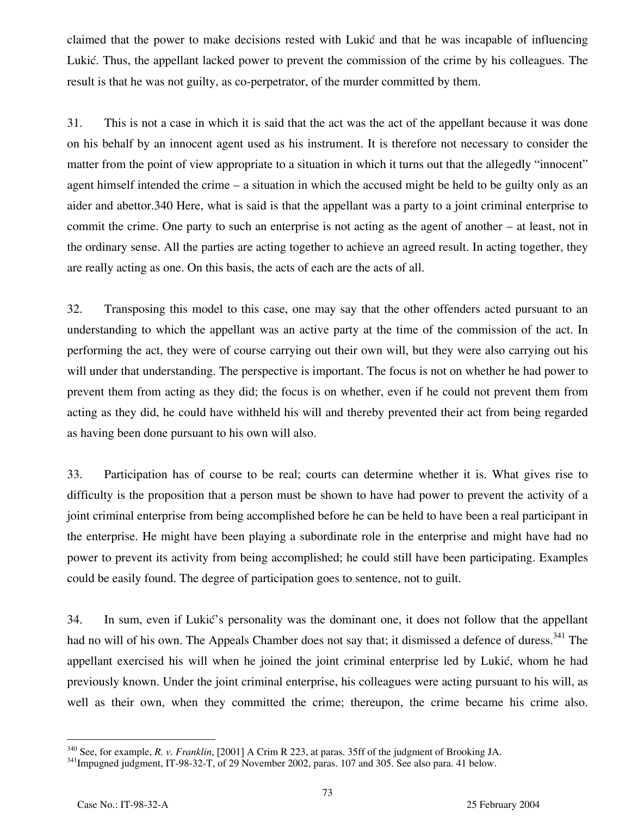claimed that the power to make decisions rested with Lukić and that he was incapable of influencing Lukić. Thus, the appellant lacked power to prevent the commission of the crime by his colleagues. The result is that he was not guilty, as co-perpetrator, of the murder committed by them.

31. This is not a case in which it is said that the act was the act of the appellant because it was done on his behalf by an innocent agent used as his instrument. It is therefore not necessary to consider the matter from the point of view appropriate to a situation in which it turns out that the allegedly "innocent" agent himself intended the crime – a situation in which the accused might be held to be guilty only as an aider and abettor.340 Here, what is said is that the appellant was a party to a joint criminal enterprise to commit the crime. One party to such an enterprise is not acting as the agent of another – at least, not in the ordinary sense. All the parties are acting together to achieve an agreed result. In acting together, they are really acting as one. On this basis, the acts of each are the acts of all.

32. Transposing this model to this case, one may say that the other offenders acted pursuant to an understanding to which the appellant was an active party at the time of the commission of the act. In performing the act, they were of course carrying out their own will, but they were also carrying out his will under that understanding. The perspective is important. The focus is not on whether he had power to prevent them from acting as they did; the focus is on whether, even if he could not prevent them from acting as they did, he could have withheld his will and thereby prevented their act from being regarded as having been done pursuant to his own will also.

33. Participation has of course to be real; courts can determine whether it is. What gives rise to difficulty is the proposition that a person must be shown to have had power to prevent the activity of a joint criminal enterprise from being accomplished before he can be held to have been a real participant in the enterprise. He might have been playing a subordinate role in the enterprise and might have had no power to prevent its activity from being accomplished; he could still have been participating. Examples could be easily found. The degree of participation goes to sentence, not to guilt.

34. In sum, even if Lukić's personality was the dominant one, it does not follow that the appellant had no will of his own. The Appeals Chamber does not say that; it dismissed a defence of duress.<sup>341</sup> The appellant exercised his will when he joined the joint criminal enterprise led by Lukić, whom he had previously known. Under the joint criminal enterprise, his colleagues were acting pursuant to his will, as well as their own, when they committed the crime; thereupon, the crime became his crime also.

<sup>&</sup>lt;sup>340</sup> See, for example, *R. v. Franklin*, [2001] A Crim R 223, at paras. 35ff of the judgment of Brooking JA. <sup>341</sup>Impugned judgment, IT-98-32-T, of 29 November 2002, paras. 107 and 305. See also para. 41 below.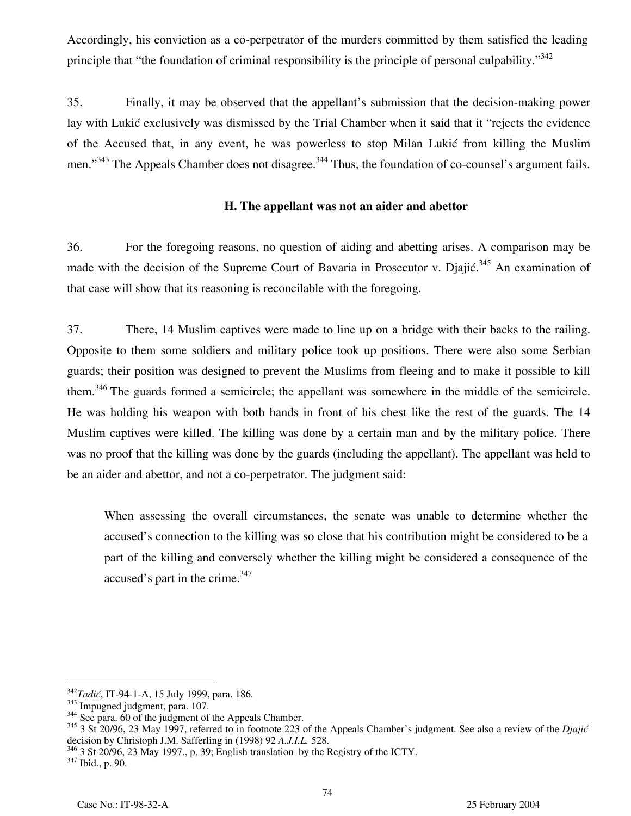Accordingly, his conviction as a co-perpetrator of the murders committed by them satisfied the leading principle that "the foundation of criminal responsibility is the principle of personal culpability."<sup>342</sup>

35. Finally, it may be observed that the appellant's submission that the decision-making power lay with Lukić exclusively was dismissed by the Trial Chamber when it said that it "rejects the evidence of the Accused that, in any event, he was powerless to stop Milan Lukić from killing the Muslim men."<sup>343</sup> The Appeals Chamber does not disagree.<sup>344</sup> Thus, the foundation of co-counsel's argument fails.

#### **H. The appellant was not an aider and abettor**

36. For the foregoing reasons, no question of aiding and abetting arises. A comparison may be made with the decision of the Supreme Court of Bavaria in Prosecutor v. Djajić.<sup>345</sup> An examination of that case will show that its reasoning is reconcilable with the foregoing.

37. There, 14 Muslim captives were made to line up on a bridge with their backs to the railing. Opposite to them some soldiers and military police took up positions. There were also some Serbian guards; their position was designed to prevent the Muslims from fleeing and to make it possible to kill them.346 The guards formed a semicircle; the appellant was somewhere in the middle of the semicircle. He was holding his weapon with both hands in front of his chest like the rest of the guards. The 14 Muslim captives were killed. The killing was done by a certain man and by the military police. There was no proof that the killing was done by the guards (including the appellant). The appellant was held to be an aider and abettor, and not a co-perpetrator. The judgment said:

When assessing the overall circumstances, the senate was unable to determine whether the accused's connection to the killing was so close that his contribution might be considered to be a part of the killing and conversely whether the killing might be considered a consequence of the accused's part in the crime.<sup>347</sup>

<sup>342</sup>Tadić, IT-94-1-A, 15 July 1999, para. 186.

<sup>&</sup>lt;sup>343</sup> Impugned judgment, para. 107.<br><sup>344</sup> See para. 60 of the judgment of the Appeals Chamber.

<sup>345 3</sup> St 20/96, 23 May 1997, referred to in footnote 223 of the Appeals Chamber's judgment. See also a review of the *Djajić* decision by Christoph J.M. Safferling in (1998) 92 *A.J.I.L.* 528.

 $346$  3 St 20/96, 23 May 1997., p. 39; English translation by the Registry of the ICTY.  $347$  Ibid., p. 90.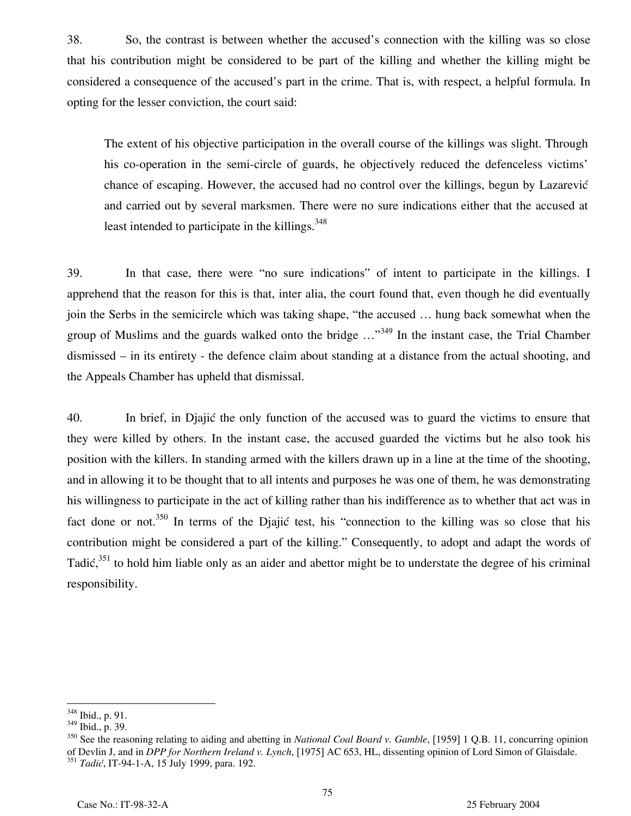38. So, the contrast is between whether the accused's connection with the killing was so close that his contribution might be considered to be part of the killing and whether the killing might be considered a consequence of the accused's part in the crime. That is, with respect, a helpful formula. In opting for the lesser conviction, the court said:

The extent of his objective participation in the overall course of the killings was slight. Through his co-operation in the semi-circle of guards, he objectively reduced the defenceless victims' chance of escaping. However, the accused had no control over the killings, begun by Lazarević and carried out by several marksmen. There were no sure indications either that the accused at least intended to participate in the killings. $348$ 

39. In that case, there were "no sure indications" of intent to participate in the killings. I apprehend that the reason for this is that, inter alia, the court found that, even though he did eventually join the Serbs in the semicircle which was taking shape, "the accused … hung back somewhat when the group of Muslims and the guards walked onto the bridge  $\ldots$ <sup>349</sup> In the instant case, the Trial Chamber dismissed – in its entirety - the defence claim about standing at a distance from the actual shooting, and the Appeals Chamber has upheld that dismissal.

40. In brief, in Djajić the only function of the accused was to guard the victims to ensure that they were killed by others. In the instant case, the accused guarded the victims but he also took his position with the killers. In standing armed with the killers drawn up in a line at the time of the shooting, and in allowing it to be thought that to all intents and purposes he was one of them, he was demonstrating his willingness to participate in the act of killing rather than his indifference as to whether that act was in fact done or not.<sup>350</sup> In terms of the Djajić test, his "connection to the killing was so close that his contribution might be considered a part of the killing." Consequently, to adopt and adapt the words of Tadić,<sup>351</sup> to hold him liable only as an aider and abettor might be to understate the degree of his criminal responsibility.

 $\overline{a}$ 

<sup>&</sup>lt;sup>348</sup> Ibid., p. 91.

<sup>349</sup> Ibid., p. 39.

<sup>350</sup> See the reasoning relating to aiding and abetting in *National Coal Board v. Gamble*, [1959] 1 Q.B. 11, concurring opinion of Devlin J, and in *DPP for Northern Ireland v. Lynch*, [1975] AC 653, HL, dissenting opinion of Lord Simon of Glaisdale. <sup>351</sup> *Tadić*, IT-94-1-A, 15 July 1999, para. 192.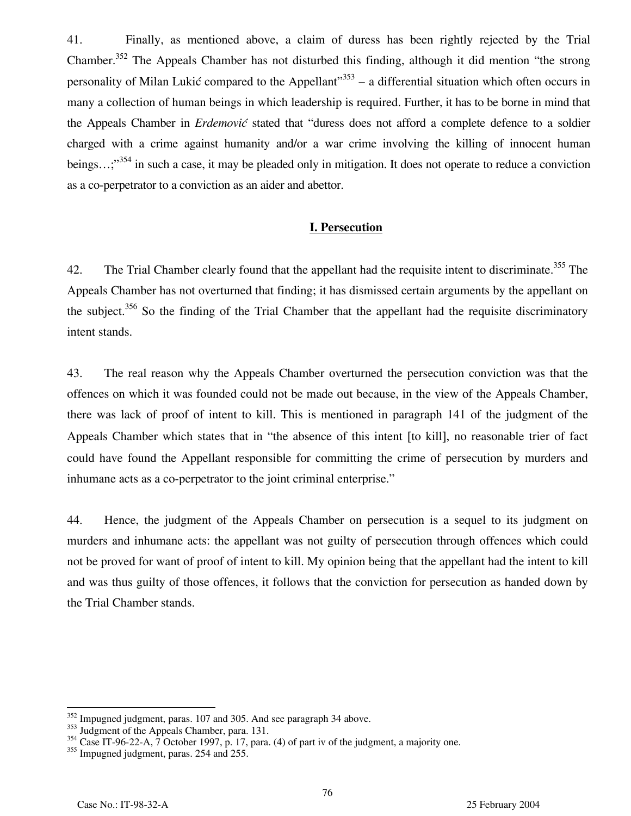41. Finally, as mentioned above, a claim of duress has been rightly rejected by the Trial Chamber.352 The Appeals Chamber has not disturbed this finding, although it did mention "the strong personality of Milan Lukić compared to the Appellant"<sup>353</sup> – a differential situation which often occurs in many a collection of human beings in which leadership is required. Further, it has to be borne in mind that the Appeals Chamber in *Erdemović* stated that "duress does not afford a complete defence to a soldier charged with a crime against humanity and/or a war crime involving the killing of innocent human beings...;"<sup>354</sup> in such a case, it may be pleaded only in mitigation. It does not operate to reduce a conviction as a co-perpetrator to a conviction as an aider and abettor.

## **I. Persecution**

42. The Trial Chamber clearly found that the appellant had the requisite intent to discriminate.<sup>355</sup> The Appeals Chamber has not overturned that finding; it has dismissed certain arguments by the appellant on the subject.<sup>356</sup> So the finding of the Trial Chamber that the appellant had the requisite discriminatory intent stands.

43. The real reason why the Appeals Chamber overturned the persecution conviction was that the offences on which it was founded could not be made out because, in the view of the Appeals Chamber, there was lack of proof of intent to kill. This is mentioned in paragraph 141 of the judgment of the Appeals Chamber which states that in "the absence of this intent [to kill], no reasonable trier of fact could have found the Appellant responsible for committing the crime of persecution by murders and inhumane acts as a co-perpetrator to the joint criminal enterprise."

44. Hence, the judgment of the Appeals Chamber on persecution is a sequel to its judgment on murders and inhumane acts: the appellant was not guilty of persecution through offences which could not be proved for want of proof of intent to kill. My opinion being that the appellant had the intent to kill and was thus guilty of those offences, it follows that the conviction for persecution as handed down by the Trial Chamber stands.

 $352$  Impugned judgment, paras. 107 and 305. And see paragraph 34 above.

<sup>&</sup>lt;sup>353</sup> Judgment of the Appeals Chamber, para. 131.

<sup>&</sup>lt;sup>354</sup> Case IT-96-22-A, 7 October 1997, p. 17, para. (4) of part iv of the judgment, a majority one.

<sup>&</sup>lt;sup>355</sup> Impugned judgment, paras. 254 and 255.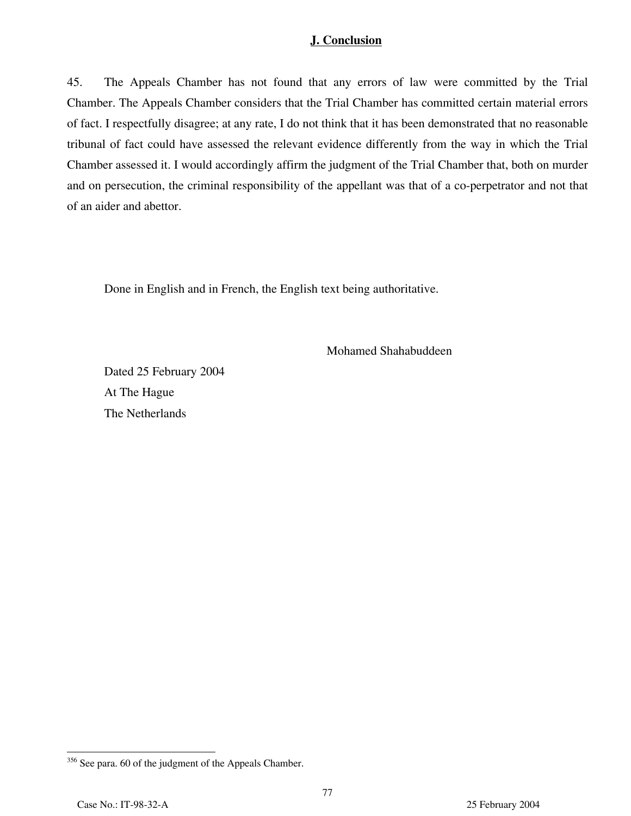# **J. Conclusion**

45. The Appeals Chamber has not found that any errors of law were committed by the Trial Chamber. The Appeals Chamber considers that the Trial Chamber has committed certain material errors of fact. I respectfully disagree; at any rate, I do not think that it has been demonstrated that no reasonable tribunal of fact could have assessed the relevant evidence differently from the way in which the Trial Chamber assessed it. I would accordingly affirm the judgment of the Trial Chamber that, both on murder and on persecution, the criminal responsibility of the appellant was that of a co-perpetrator and not that of an aider and abettor.

Done in English and in French, the English text being authoritative.

Mohamed Shahabuddeen

Dated 25 February 2004 At The Hague The Netherlands

<sup>&</sup>lt;u>.</u> <sup>356</sup> See para. 60 of the judgment of the Appeals Chamber.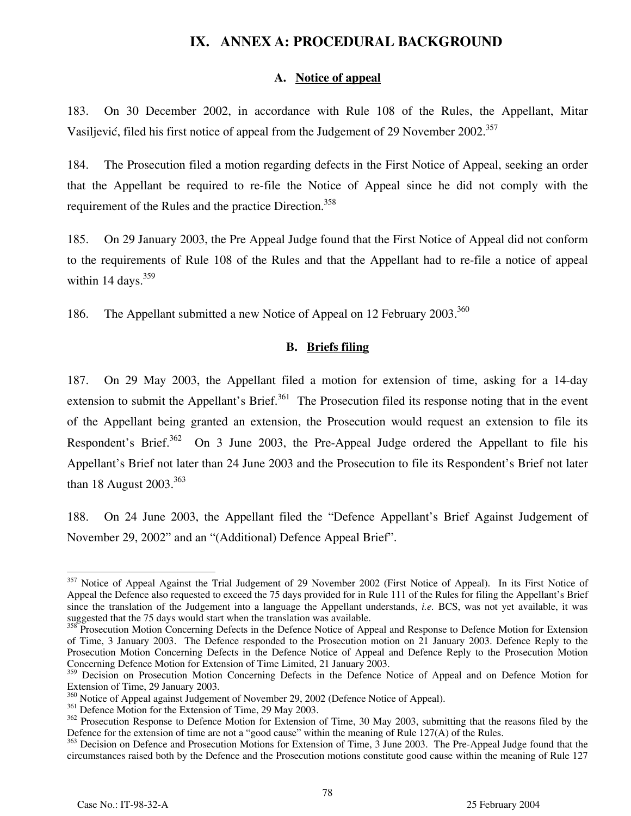# **IX. ANNEX A: PROCEDURAL BACKGROUND**

#### **A. Notice of appeal**

183. On 30 December 2002, in accordance with Rule 108 of the Rules, the Appellant, Mitar Vasiljević, filed his first notice of appeal from the Judgement of 29 November 2002.<sup>357</sup>

184. The Prosecution filed a motion regarding defects in the First Notice of Appeal, seeking an order that the Appellant be required to re-file the Notice of Appeal since he did not comply with the requirement of the Rules and the practice Direction.<sup>358</sup>

185. On 29 January 2003, the Pre Appeal Judge found that the First Notice of Appeal did not conform to the requirements of Rule 108 of the Rules and that the Appellant had to re-file a notice of appeal within 14 days.  $359$ 

186. The Appellant submitted a new Notice of Appeal on 12 February 2003.<sup>360</sup>

#### **B. Briefs filing**

187. On 29 May 2003, the Appellant filed a motion for extension of time, asking for a 14-day extension to submit the Appellant's Brief.<sup>361</sup> The Prosecution filed its response noting that in the event of the Appellant being granted an extension, the Prosecution would request an extension to file its Respondent's Brief.<sup>362</sup> On 3 June 2003, the Pre-Appeal Judge ordered the Appellant to file his Appellant's Brief not later than 24 June 2003 and the Prosecution to file its Respondent's Brief not later than 18 August  $2003.<sup>363</sup>$ 

188. On 24 June 2003, the Appellant filed the "Defence Appellant's Brief Against Judgement of November 29, 2002" and an "(Additional) Defence Appeal Brief".

<sup>&</sup>lt;sup>357</sup> Notice of Appeal Against the Trial Judgement of 29 November 2002 (First Notice of Appeal). In its First Notice of Appeal the Defence also requested to exceed the 75 days provided for in Rule 111 of the Rules for filing the Appellant's Brief since the translation of the Judgement into a language the Appellant understands, *i.e.* BCS, was not yet available, it was suggested that the 75 days would start when the translation was available.

<sup>&</sup>lt;sup>358</sup> Prosecution Motion Concerning Defects in the Defence Notice of Appeal and Response to Defence Motion for Extension of Time, 3 January 2003. The Defence responded to the Prosecution motion on 21 January 2003. Defence Reply to the Prosecution Motion Concerning Defects in the Defence Notice of Appeal and Defence Reply to the Prosecution Motion Concerning Defence Motion for Extension of Time Limited, 21 January 2003.

<sup>&</sup>lt;sup>3</sup> Decision on Prosecution Motion Concerning Defects in the Defence Notice of Appeal and on Defence Motion for Extension of Time, 29 January 2003.

<sup>&</sup>lt;sup>360</sup> Notice of Appeal against Judgement of November 29, 2002 (Defence Notice of Appeal).

<sup>&</sup>lt;sup>361</sup> Defence Motion for the Extension of Time, 29 May 2003.

<sup>&</sup>lt;sup>362</sup> Prosecution Response to Defence Motion for Extension of Time, 30 May 2003, submitting that the reasons filed by the Defence for the extension of time are not a "good cause" within the meaning of Rule 127(A) of the Rules.

<sup>&</sup>lt;sup>363</sup> Decision on Defence and Prosecution Motions for Extension of Time, 3 June 2003. The Pre-Appeal Judge found that the circumstances raised both by the Defence and the Prosecution motions constitute good cause within the meaning of Rule 127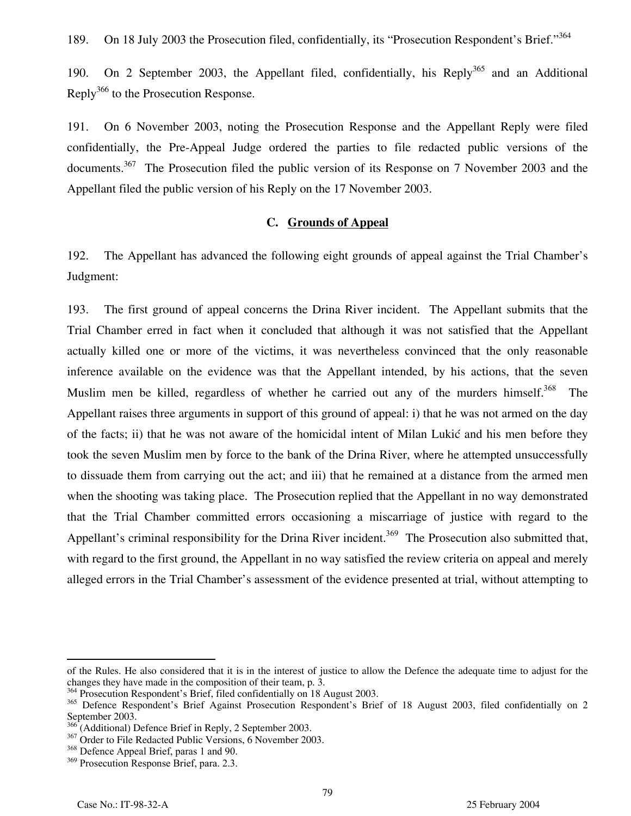189. On 18 July 2003 the Prosecution filed, confidentially, its "Prosecution Respondent's Brief."<sup>364</sup>

190. On 2 September 2003, the Appellant filed, confidentially, his Reply<sup>365</sup> and an Additional Reply<sup>366</sup> to the Prosecution Response.

191. On 6 November 2003, noting the Prosecution Response and the Appellant Reply were filed confidentially, the Pre-Appeal Judge ordered the parties to file redacted public versions of the documents.<sup>367</sup> The Prosecution filed the public version of its Response on 7 November 2003 and the Appellant filed the public version of his Reply on the 17 November 2003.

# **C. Grounds of Appeal**

192. The Appellant has advanced the following eight grounds of appeal against the Trial Chamber's Judgment:

193. The first ground of appeal concerns the Drina River incident. The Appellant submits that the Trial Chamber erred in fact when it concluded that although it was not satisfied that the Appellant actually killed one or more of the victims, it was nevertheless convinced that the only reasonable inference available on the evidence was that the Appellant intended, by his actions, that the seven Muslim men be killed, regardless of whether he carried out any of the murders himself.<sup>368</sup> The Appellant raises three arguments in support of this ground of appeal: i) that he was not armed on the day of the facts; ii) that he was not aware of the homicidal intent of Milan Lukić and his men before they took the seven Muslim men by force to the bank of the Drina River, where he attempted unsuccessfully to dissuade them from carrying out the act; and iii) that he remained at a distance from the armed men when the shooting was taking place. The Prosecution replied that the Appellant in no way demonstrated that the Trial Chamber committed errors occasioning a miscarriage of justice with regard to the Appellant's criminal responsibility for the Drina River incident.<sup>369</sup> The Prosecution also submitted that, with regard to the first ground, the Appellant in no way satisfied the review criteria on appeal and merely alleged errors in the Trial Chamber's assessment of the evidence presented at trial, without attempting to

<u>.</u>

of the Rules. He also considered that it is in the interest of justice to allow the Defence the adequate time to adjust for the changes they have made in the composition of their team, p. 3.

<sup>&</sup>lt;sup>364</sup> Prosecution Respondent's Brief, filed confidentially on 18 August 2003.

<sup>&</sup>lt;sup>365</sup> Defence Respondent's Brief Against Prosecution Respondent's Brief of 18 August 2003, filed confidentially on 2 September 2003.

<sup>366 (</sup>Additional) Defence Brief in Reply, 2 September 2003.

<sup>367</sup> Order to File Redacted Public Versions, 6 November 2003. 368 Defence Appeal Brief, paras 1 and 90.

<sup>369</sup> Prosecution Response Brief, para. 2.3.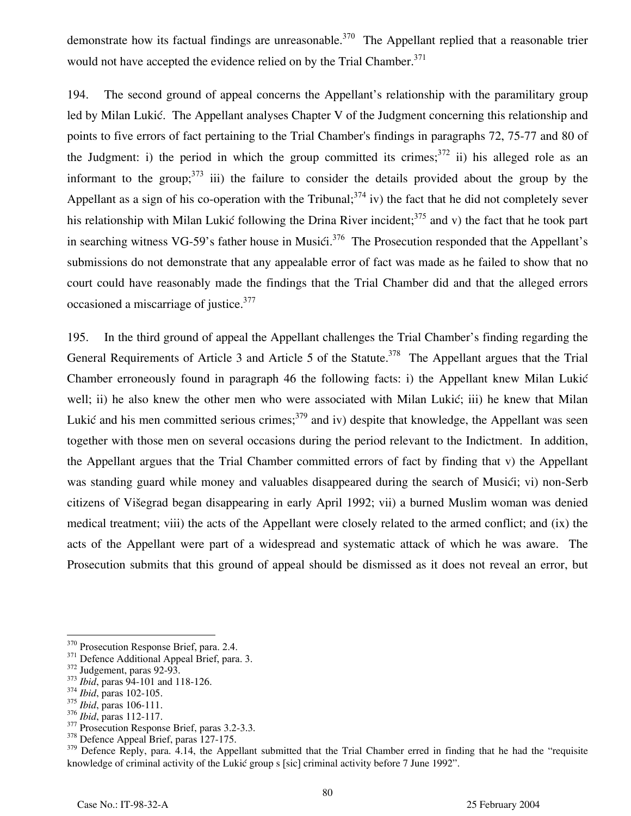demonstrate how its factual findings are unreasonable.<sup>370</sup> The Appellant replied that a reasonable trier would not have accepted the evidence relied on by the Trial Chamber.<sup>371</sup>

194. The second ground of appeal concerns the Appellant's relationship with the paramilitary group led by Milan Lukić. The Appellant analyses Chapter V of the Judgment concerning this relationship and points to five errors of fact pertaining to the Trial Chamber's findings in paragraphs 72, 75-77 and 80 of the Judgment: i) the period in which the group committed its crimes;  $372$  ii) his alleged role as an informant to the group;  $373$  iii) the failure to consider the details provided about the group by the Appellant as a sign of his co-operation with the Tribunal;<sup>374</sup> iv) the fact that he did not completely sever his relationship with Milan Lukić following the Drina River incident;<sup>375</sup> and v) the fact that he took part in searching witness VG-59's father house in Musici.<sup>376</sup> The Prosecution responded that the Appellant's submissions do not demonstrate that any appealable error of fact was made as he failed to show that no court could have reasonably made the findings that the Trial Chamber did and that the alleged errors occasioned a miscarriage of justice.<sup>377</sup>

195. In the third ground of appeal the Appellant challenges the Trial Chamber's finding regarding the General Requirements of Article 3 and Article 5 of the Statute.<sup>378</sup> The Appellant argues that the Trial Chamber erroneously found in paragraph 46 the following facts: i) the Appellant knew Milan Lukić well; ii) he also knew the other men who were associated with Milan Lukić; iii) he knew that Milan Lukić and his men committed serious crimes;<sup>379</sup> and iv) despite that knowledge, the Appellant was seen together with those men on several occasions during the period relevant to the Indictment. In addition, the Appellant argues that the Trial Chamber committed errors of fact by finding that v) the Appellant was standing guard while money and valuables disappeared during the search of Musići; vi) non-Serb citizens of Vi $\zeta$ egrad began disappearing in early April 1992; vii) a burned Muslim woman was denied medical treatment; viii) the acts of the Appellant were closely related to the armed conflict; and (ix) the acts of the Appellant were part of a widespread and systematic attack of which he was aware. The Prosecution submits that this ground of appeal should be dismissed as it does not reveal an error, but

<sup>&</sup>lt;sup>370</sup> Prosecution Response Brief, para. 2.4.

<sup>&</sup>lt;sup>371</sup> Defence Additional Appeal Brief, para. 3.<br><sup>372</sup> Judgement, paras 92-93.<br><sup>373</sup> *Ibid*, paras 94-101 and 118-126.<br>*374 Ibid*, paras 102-105.

<sup>&</sup>lt;sup>375</sup> *Ibid*, paras 106-111.<br><sup>376</sup> *Ibid*, paras 112-117.

<sup>&</sup>lt;sup>377</sup> Prosecution Response Brief, paras 3.2-3.3.<br><sup>378</sup> Defence Appeal Brief, paras 127-175.

<sup>&</sup>lt;sup>379</sup> Defence Reply, para. 4.14, the Appellant submitted that the Trial Chamber erred in finding that he had the "requisite knowledge of criminal activity of the Lukić group s [sic] criminal activity before 7 June 1992".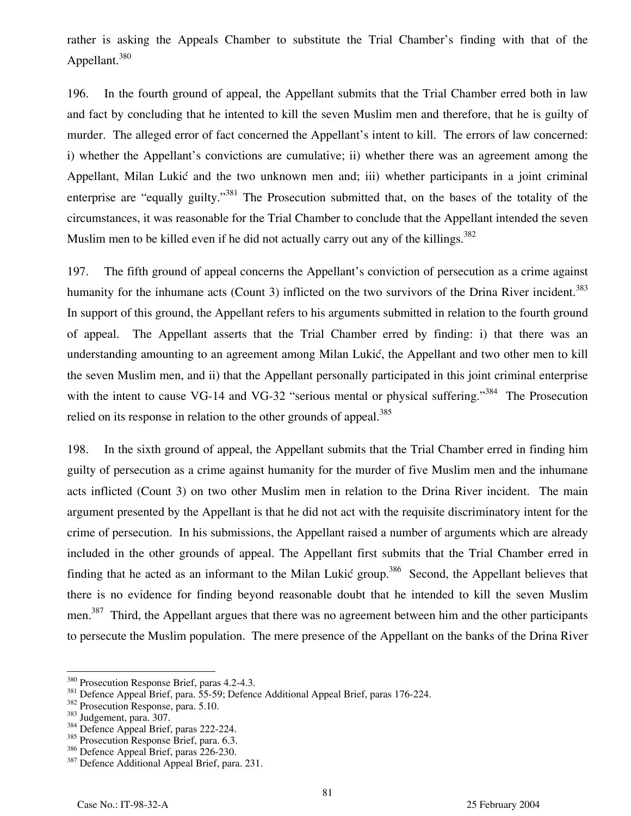rather is asking the Appeals Chamber to substitute the Trial Chamber's finding with that of the Appellant.<sup>380</sup>

196. In the fourth ground of appeal, the Appellant submits that the Trial Chamber erred both in law and fact by concluding that he intented to kill the seven Muslim men and therefore, that he is guilty of murder. The alleged error of fact concerned the Appellant's intent to kill. The errors of law concerned: i) whether the Appellant's convictions are cumulative; ii) whether there was an agreement among the Appellant, Milan Lukić and the two unknown men and; iii) whether participants in a joint criminal enterprise are "equally guilty."<sup>381</sup> The Prosecution submitted that, on the bases of the totality of the circumstances, it was reasonable for the Trial Chamber to conclude that the Appellant intended the seven Muslim men to be killed even if he did not actually carry out any of the killings.<sup>382</sup>

197. The fifth ground of appeal concerns the Appellant's conviction of persecution as a crime against humanity for the inhumane acts (Count 3) inflicted on the two survivors of the Drina River incident.<sup>383</sup> In support of this ground, the Appellant refers to his arguments submitted in relation to the fourth ground of appeal. The Appellant asserts that the Trial Chamber erred by finding: i) that there was an understanding amounting to an agreement among Milan Lukić, the Appellant and two other men to kill the seven Muslim men, and ii) that the Appellant personally participated in this joint criminal enterprise with the intent to cause VG-14 and VG-32 "serious mental or physical suffering."<sup>384</sup> The Prosecution relied on its response in relation to the other grounds of appeal.<sup>385</sup>

198. In the sixth ground of appeal, the Appellant submits that the Trial Chamber erred in finding him guilty of persecution as a crime against humanity for the murder of five Muslim men and the inhumane acts inflicted (Count 3) on two other Muslim men in relation to the Drina River incident. The main argument presented by the Appellant is that he did not act with the requisite discriminatory intent for the crime of persecution. In his submissions, the Appellant raised a number of arguments which are already included in the other grounds of appeal. The Appellant first submits that the Trial Chamber erred in finding that he acted as an informant to the Milan Lukić group.<sup>386</sup> Second, the Appellant believes that there is no evidence for finding beyond reasonable doubt that he intended to kill the seven Muslim men.<sup>387</sup> Third, the Appellant argues that there was no agreement between him and the other participants to persecute the Muslim population. The mere presence of the Appellant on the banks of the Drina River

<sup>&</sup>lt;sup>380</sup> Prosecution Response Brief, paras 4.2-4.3.

<sup>&</sup>lt;sup>381</sup> Defence Appeal Brief, para. 55-59; Defence Additional Appeal Brief, paras 176-224.<br><sup>382</sup> Prosecution Response, para. 5.10.<br><sup>383</sup> Judgement, para. 307.<br><sup>384</sup> Defence Appeal Brief, paras 222-224.

<sup>&</sup>lt;sup>385</sup> Prosecution Response Brief, para. 6.3.<br><sup>386</sup> Defence Appeal Brief, paras 226-230.

 $387$  Defence Additional Appeal Brief, para. 231.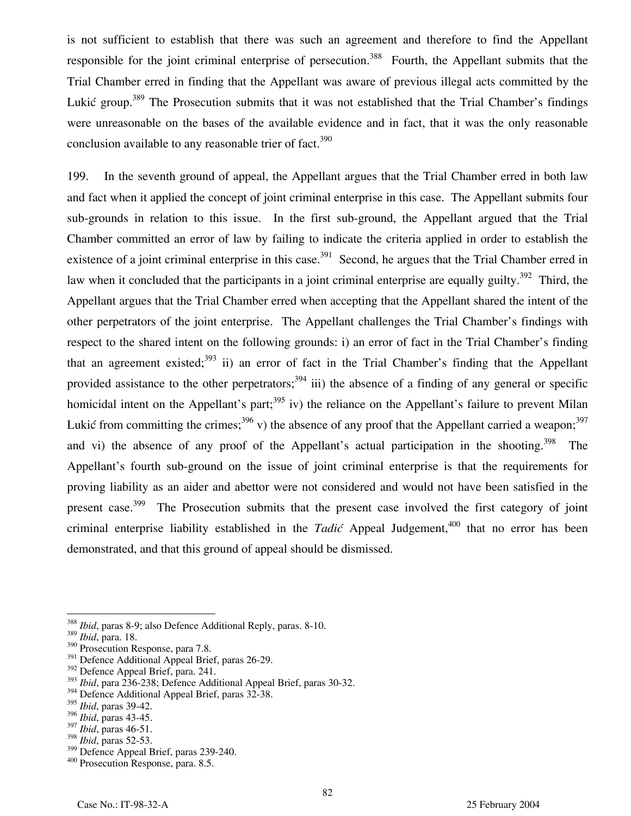is not sufficient to establish that there was such an agreement and therefore to find the Appellant responsible for the joint criminal enterprise of persecution.<sup>388</sup> Fourth, the Appellant submits that the Trial Chamber erred in finding that the Appellant was aware of previous illegal acts committed by the Lukić group.<sup>389</sup> The Prosecution submits that it was not established that the Trial Chamber's findings were unreasonable on the bases of the available evidence and in fact, that it was the only reasonable conclusion available to any reasonable trier of fact.<sup>390</sup>

199. In the seventh ground of appeal, the Appellant argues that the Trial Chamber erred in both law and fact when it applied the concept of joint criminal enterprise in this case. The Appellant submits four sub-grounds in relation to this issue. In the first sub-ground, the Appellant argued that the Trial Chamber committed an error of law by failing to indicate the criteria applied in order to establish the existence of a joint criminal enterprise in this case.<sup>391</sup> Second, he argues that the Trial Chamber erred in law when it concluded that the participants in a joint criminal enterprise are equally guilty.<sup>392</sup> Third, the Appellant argues that the Trial Chamber erred when accepting that the Appellant shared the intent of the other perpetrators of the joint enterprise. The Appellant challenges the Trial Chamber's findings with respect to the shared intent on the following grounds: i) an error of fact in the Trial Chamber's finding that an agreement existed; $393$  ii) an error of fact in the Trial Chamber's finding that the Appellant provided assistance to the other perpetrators;<sup>394</sup> iii) the absence of a finding of any general or specific homicidal intent on the Appellant's part;<sup>395</sup> iv) the reliance on the Appellant's failure to prevent Milan Lukić from committing the crimes;<sup>396</sup> v) the absence of any proof that the Appellant carried a weapon;<sup>397</sup> and vi) the absence of any proof of the Appellant's actual participation in the shooting.<sup>398</sup> The Appellant's fourth sub-ground on the issue of joint criminal enterprise is that the requirements for proving liability as an aider and abettor were not considered and would not have been satisfied in the present case.<sup>399</sup> The Prosecution submits that the present case involved the first category of joint criminal enterprise liability established in the *Tadić* Appeal Judgement,<sup>400</sup> that no error has been demonstrated, and that this ground of appeal should be dismissed.

<sup>388</sup> *Ibid*, paras 8-9; also Defence Additional Reply, paras. 8-10.

<sup>389</sup> *Ibid*, para. 18.

<sup>&</sup>lt;sup>390</sup> Prosecution Response, para 7.8.

<sup>&</sup>lt;sup>391</sup> Defence Additional Appeal Brief, paras 26-29.

<sup>392</sup> Defence Appeal Brief, para. 241.

<sup>393</sup> *Ibid*, para 236-238; Defence Additional Appeal Brief, paras 30-32.

<sup>&</sup>lt;sup>394</sup> Defence Additional Appeal Brief, paras 32-38.

<sup>395</sup> *Ibid*, paras 39-42.

<sup>396</sup> *Ibid*, paras 43-45.

<sup>397</sup> *Ibid*, paras 46-51.

<sup>398</sup> *Ibid*, paras 52-53.

<sup>&</sup>lt;sup>399</sup> Defence Appeal Brief, paras 239-240.<br><sup>400</sup> Prosecution Response, para. 8.5.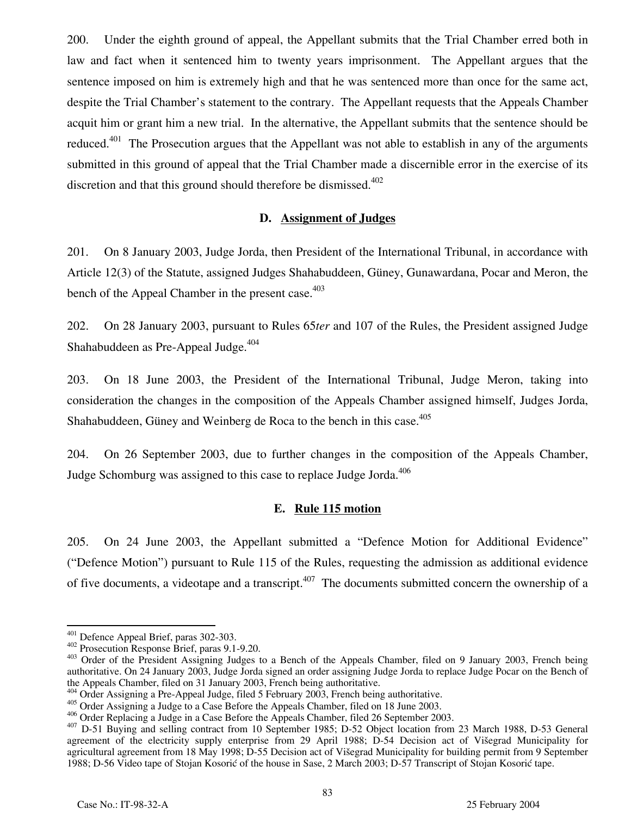200. Under the eighth ground of appeal, the Appellant submits that the Trial Chamber erred both in law and fact when it sentenced him to twenty years imprisonment. The Appellant argues that the sentence imposed on him is extremely high and that he was sentenced more than once for the same act, despite the Trial Chamber's statement to the contrary. The Appellant requests that the Appeals Chamber acquit him or grant him a new trial. In the alternative, the Appellant submits that the sentence should be reduced.<sup>401</sup> The Prosecution argues that the Appellant was not able to establish in any of the arguments submitted in this ground of appeal that the Trial Chamber made a discernible error in the exercise of its discretion and that this ground should therefore be dismissed. $402$ 

#### **D. Assignment of Judges**

201. On 8 January 2003, Judge Jorda, then President of the International Tribunal, in accordance with Article 12(3) of the Statute, assigned Judges Shahabuddeen, Güney, Gunawardana, Pocar and Meron, the bench of the Appeal Chamber in the present case. $403$ 

202. On 28 January 2003, pursuant to Rules 65*ter* and 107 of the Rules, the President assigned Judge Shahabuddeen as Pre-Appeal Judge. $404$ 

203. On 18 June 2003, the President of the International Tribunal, Judge Meron, taking into consideration the changes in the composition of the Appeals Chamber assigned himself, Judges Jorda, Shahabuddeen, Güney and Weinberg de Roca to the bench in this case.<sup>405</sup>

204. On 26 September 2003, due to further changes in the composition of the Appeals Chamber, Judge Schomburg was assigned to this case to replace Judge Jorda.<sup>406</sup>

#### **E. Rule 115 motion**

205. On 24 June 2003, the Appellant submitted a "Defence Motion for Additional Evidence" ("Defence Motion") pursuant to Rule 115 of the Rules, requesting the admission as additional evidence of five documents, a videotape and a transcript.<sup>407</sup> The documents submitted concern the ownership of a

<sup>&</sup>lt;sup>401</sup> Defence Appeal Brief, paras 302-303.

<sup>&</sup>lt;sup>402</sup> Prosecution Response Brief, paras 9.1-9.20.<br><sup>403</sup> Order of the President Assigning Judges to a Bench of the Appeals Chamber, filed on 9 January 2003, French being authoritative. On 24 January 2003, Judge Jorda signed an order assigning Judge Jorda to replace Judge Pocar on the Bench of

 $\frac{404}{404}$  Order Assigning a Pre-Appeal Judge, filed 5 February 2003, French being authoritative.

 $^{405}$  Order Assigning a Judge to a Case Before the Appeals Chamber, filed on 18 June 2003.<br> $^{406}$  Order Replacing a Judge in a Case Before the Appeals Chamber, filed 26 September 2003.

<sup>&</sup>lt;sup>407</sup> D-51 Buying and selling contract from 10 September 1985; D-52 Object location from 23 March 1988, D-53 General agreement of the electricity supply enterprise from 29 April 1988; D-54 Decision act of Višegrad Municipality for agricultural agreement from 18 May 1998; D-55 Decision act of Višegrad Municipality for building permit from 9 September 1988; D-56 Video tape of Stojan Kosorić of the house in Sase, 2 March 2003; D-57 Transcript of Stojan Kosorić tape.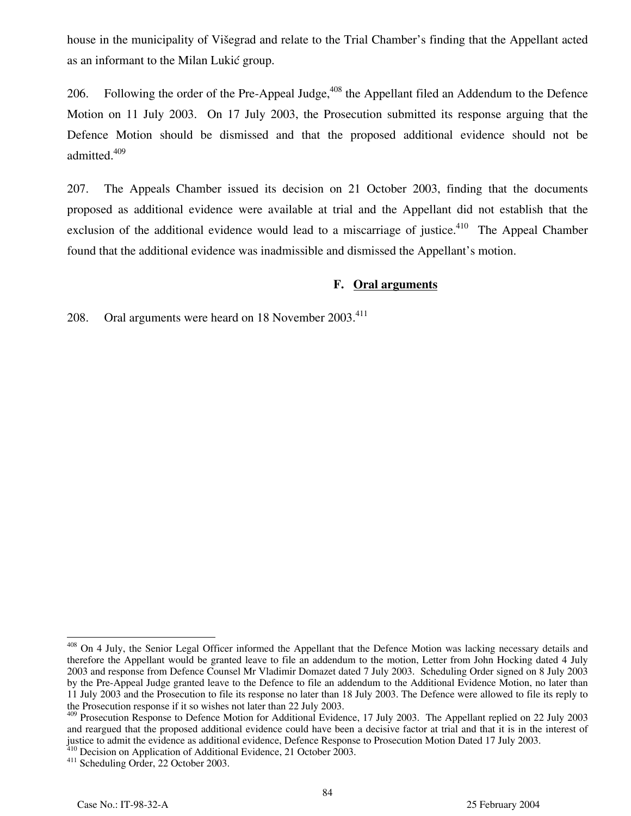house in the municipality of Vi $\{e\}$  and relate to the Trial Chamber's finding that the Appellant acted as an informant to the Milan Lukić group.

206. Following the order of the Pre-Appeal Judge,<sup>408</sup> the Appellant filed an Addendum to the Defence Motion on 11 July 2003. On 17 July 2003, the Prosecution submitted its response arguing that the Defence Motion should be dismissed and that the proposed additional evidence should not be admitted.<sup>409</sup>

207. The Appeals Chamber issued its decision on 21 October 2003, finding that the documents proposed as additional evidence were available at trial and the Appellant did not establish that the exclusion of the additional evidence would lead to a miscarriage of justice.<sup>410</sup> The Appeal Chamber found that the additional evidence was inadmissible and dismissed the Appellant's motion.

# **F. Oral arguments**

208. Oral arguments were heard on 18 November  $2003$ <sup>411</sup>

 $\overline{a}$ 

<sup>&</sup>lt;sup>408</sup> On 4 July, the Senior Legal Officer informed the Appellant that the Defence Motion was lacking necessary details and therefore the Appellant would be granted leave to file an addendum to the motion, Letter from John Hocking dated 4 July 2003 and response from Defence Counsel Mr Vladimir Domazet dated 7 July 2003. Scheduling Order signed on 8 July 2003 by the Pre-Appeal Judge granted leave to the Defence to file an addendum to the Additional Evidence Motion, no later than 11 July 2003 and the Prosecution to file its response no later than 18 July 2003. The Defence were allowed to file its reply to the Prosecution response if it so wishes not later than 22 July 2003.

<sup>409</sup> Prosecution Response to Defence Motion for Additional Evidence, 17 July 2003. The Appellant replied on 22 July 2003 and reargued that the proposed additional evidence could have been a decisive factor at trial and that it is in the interest of justice to admit the evidence as additional evidence, Defence Response to Prosecution Motion Dated 17 July 2003. 410 Decision on Application of Additional Evidence, 21 October 2003. 411 Scheduling Order, 22 October 2003.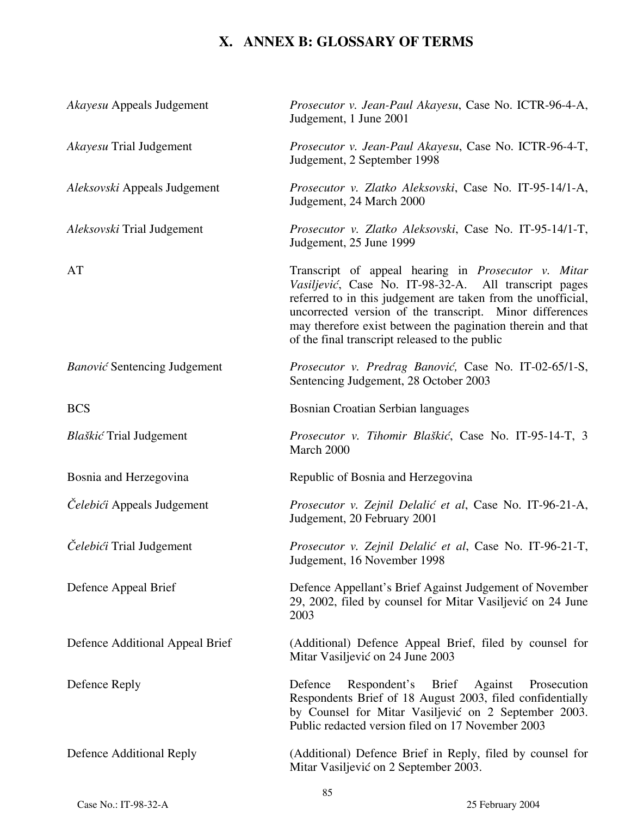# **X. ANNEX B: GLOSSARY OF TERMS**

| Akayesu Appeals Judgement           | Prosecutor v. Jean-Paul Akayesu, Case No. ICTR-96-4-A,<br>Judgement, 1 June 2001                                                                                                                                                                                                                                                                                 |
|-------------------------------------|------------------------------------------------------------------------------------------------------------------------------------------------------------------------------------------------------------------------------------------------------------------------------------------------------------------------------------------------------------------|
| Akayesu Trial Judgement             | Prosecutor v. Jean-Paul Akayesu, Case No. ICTR-96-4-T,<br>Judgement, 2 September 1998                                                                                                                                                                                                                                                                            |
| Aleksovski Appeals Judgement        | Prosecutor v. Zlatko Aleksovski, Case No. IT-95-14/1-A,<br>Judgement, 24 March 2000                                                                                                                                                                                                                                                                              |
| Aleksovski Trial Judgement          | Prosecutor v. Zlatko Aleksovski, Case No. IT-95-14/1-T,<br>Judgement, 25 June 1999                                                                                                                                                                                                                                                                               |
| AT                                  | Transcript of appeal hearing in <i>Prosecutor v. Mitar</i><br>Vasiljević, Case No. IT-98-32-A. All transcript pages<br>referred to in this judgement are taken from the unofficial,<br>uncorrected version of the transcript. Minor differences<br>may therefore exist between the pagination therein and that<br>of the final transcript released to the public |
| <b>Banović Sentencing Judgement</b> | Prosecutor v. Predrag Banović, Case No. IT-02-65/1-S,<br>Sentencing Judgement, 28 October 2003                                                                                                                                                                                                                                                                   |
| <b>BCS</b>                          | Bosnian Croatian Serbian languages                                                                                                                                                                                                                                                                                                                               |
| <b>Blaškić Trial Judgement</b>      | Prosecutor v. Tihomir Blaškić, Case No. IT-95-14-T, 3<br>March 2000                                                                                                                                                                                                                                                                                              |
| Bosnia and Herzegovina              | Republic of Bosnia and Herzegovina                                                                                                                                                                                                                                                                                                                               |
| Čelebići Appeals Judgement          | Prosecutor v. Zejnil Delalić et al, Case No. IT-96-21-A,<br>Judgement, 20 February 2001                                                                                                                                                                                                                                                                          |
| Čelebići Trial Judgement            | Prosecutor v. Zejnil Delalić et al, Case No. IT-96-21-T,<br>Judgement, 16 November 1998                                                                                                                                                                                                                                                                          |
| Defence Appeal Brief                | Defence Appellant's Brief Against Judgement of November<br>29, 2002, filed by counsel for Mitar Vasiljević on 24 June<br>2003                                                                                                                                                                                                                                    |
| Defence Additional Appeal Brief     | (Additional) Defence Appeal Brief, filed by counsel for<br>Mitar Vasiljević on 24 June 2003                                                                                                                                                                                                                                                                      |
| Defence Reply                       | Respondent's<br><b>Brief</b><br>Defence<br>Against<br>Prosecution<br>Respondents Brief of 18 August 2003, filed confidentially<br>by Counsel for Mitar Vasiljević on 2 September 2003.<br>Public redacted version filed on 17 November 2003                                                                                                                      |
| Defence Additional Reply            | (Additional) Defence Brief in Reply, filed by counsel for<br>Mitar Vasiljević on 2 September 2003.                                                                                                                                                                                                                                                               |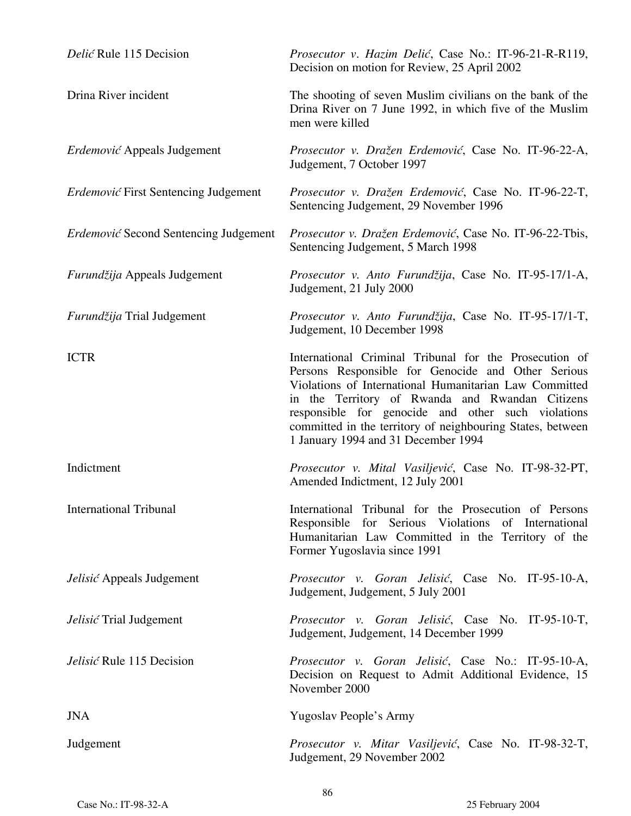| Delić Rule 115 Decision               | Prosecutor v. Hazim Delić, Case No.: IT-96-21-R-R119,<br>Decision on motion for Review, 25 April 2002                                                                                                                                                                                                                                                                                |
|---------------------------------------|--------------------------------------------------------------------------------------------------------------------------------------------------------------------------------------------------------------------------------------------------------------------------------------------------------------------------------------------------------------------------------------|
| Drina River incident                  | The shooting of seven Muslim civilians on the bank of the<br>Drina River on 7 June 1992, in which five of the Muslim<br>men were killed                                                                                                                                                                                                                                              |
| <i>Erdemović</i> Appeals Judgement    | Prosecutor v. Dražen Erdemović, Case No. IT-96-22-A,<br>Judgement, 7 October 1997                                                                                                                                                                                                                                                                                                    |
| Erdemović First Sentencing Judgement  | Prosecutor v. Dražen Erdemović, Case No. IT-96-22-T,<br>Sentencing Judgement, 29 November 1996                                                                                                                                                                                                                                                                                       |
| Erdemović Second Sentencing Judgement | Prosecutor v. Dražen Erdemović, Case No. IT-96-22-Tbis,<br>Sentencing Judgement, 5 March 1998                                                                                                                                                                                                                                                                                        |
| Furundžija Appeals Judgement          | Prosecutor v. Anto Furundžija, Case No. IT-95-17/1-A,<br>Judgement, 21 July 2000                                                                                                                                                                                                                                                                                                     |
| Furundžija Trial Judgement            | Prosecutor v. Anto Furundžija, Case No. IT-95-17/1-T,<br>Judgement, 10 December 1998                                                                                                                                                                                                                                                                                                 |
| <b>ICTR</b>                           | International Criminal Tribunal for the Prosecution of<br>Persons Responsible for Genocide and Other Serious<br>Violations of International Humanitarian Law Committed<br>in the Territory of Rwanda and Rwandan Citizens<br>responsible for genocide and other such violations<br>committed in the territory of neighbouring States, between<br>1 January 1994 and 31 December 1994 |
| Indictment                            | Prosecutor v. Mital Vasiljević, Case No. IT-98-32-PT,<br>Amended Indictment, 12 July 2001                                                                                                                                                                                                                                                                                            |
| <b>International Tribunal</b>         | International Tribunal for the Prosecution of Persons<br>Responsible for Serious Violations<br>of International<br>Humanitarian Law Committed in the Territory of the<br>Former Yugoslavia since 1991                                                                                                                                                                                |
| Jelisić Appeals Judgement             | Prosecutor v. Goran Jelisić, Case No. IT-95-10-A,<br>Judgement, Judgement, 5 July 2001                                                                                                                                                                                                                                                                                               |
| Jelisić Trial Judgement               | Prosecutor v. Goran Jelisić, Case No. IT-95-10-T,<br>Judgement, Judgement, 14 December 1999                                                                                                                                                                                                                                                                                          |
| Jelisić Rule 115 Decision             | Prosecutor v. Goran Jelisić, Case No.: IT-95-10-A,<br>Decision on Request to Admit Additional Evidence, 15<br>November 2000                                                                                                                                                                                                                                                          |
| <b>JNA</b>                            | Yugoslav People's Army                                                                                                                                                                                                                                                                                                                                                               |
| Judgement                             | Prosecutor v. Mitar Vasiljević, Case No. IT-98-32-T,<br>Judgement, 29 November 2002                                                                                                                                                                                                                                                                                                  |

86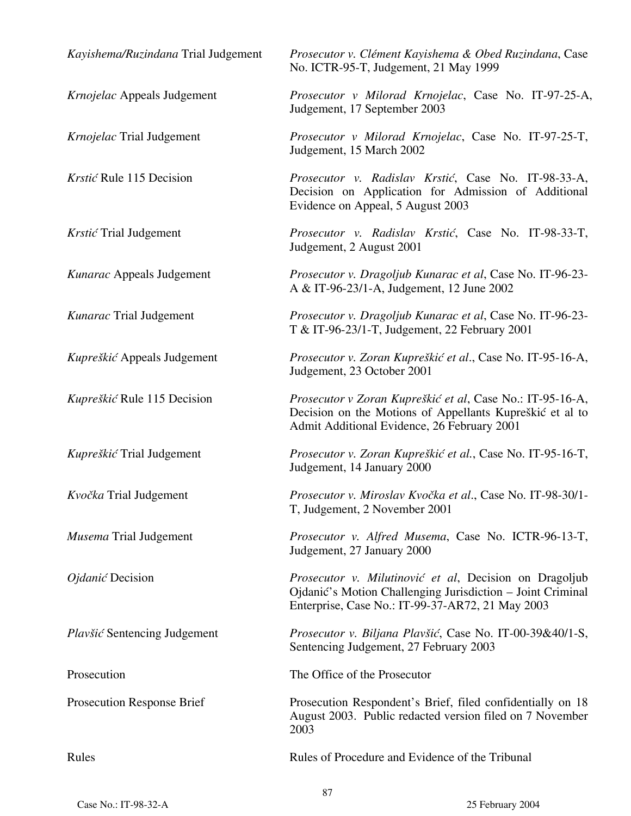| Kayishema/Ruzindana Trial Judgement | Prosecutor v. Clément Kayishema & Obed Ruzindana, Case<br>No. ICTR-95-T, Judgement, 21 May 1999                                                                          |
|-------------------------------------|--------------------------------------------------------------------------------------------------------------------------------------------------------------------------|
| Krnojelac Appeals Judgement         | Prosecutor v Milorad Krnojelac, Case No. IT-97-25-A,<br>Judgement, 17 September 2003                                                                                     |
| <i>Krnojelac</i> Trial Judgement    | Prosecutor v Milorad Krnojelac, Case No. IT-97-25-T,<br>Judgement, 15 March 2002                                                                                         |
| <i>Krstić</i> Rule 115 Decision     | Prosecutor v. Radislav Krstić, Case No. IT-98-33-A,<br>Decision on Application for Admission of Additional<br>Evidence on Appeal, 5 August 2003                          |
| Krstić Trial Judgement              | Prosecutor v. Radislav Krstić, Case No. IT-98-33-T,<br>Judgement, 2 August 2001                                                                                          |
| Kunarac Appeals Judgement           | Prosecutor v. Dragoljub Kunarac et al, Case No. IT-96-23-<br>A & IT-96-23/1-A, Judgement, 12 June 2002                                                                   |
| <b>Kunarac Trial Judgement</b>      | Prosecutor v. Dragoljub Kunarac et al, Case No. IT-96-23-<br>T & IT-96-23/1-T, Judgement, 22 February 2001                                                               |
| Kupreškić Appeals Judgement         | Prosecutor v. Zoran Kupreškić et al., Case No. IT-95-16-A,<br>Judgement, 23 October 2001                                                                                 |
| Kupreškić Rule 115 Decision         | Prosecutor v Zoran Kupreškić et al, Case No.: IT-95-16-A,<br>Decision on the Motions of Appellants Kupreškić et al to<br>Admit Additional Evidence, 26 February 2001     |
| Kupreškić Trial Judgement           | Prosecutor v. Zoran Kupreškić et al., Case No. IT-95-16-T,<br>Judgement, 14 January 2000                                                                                 |
| Kvočka Trial Judgement              | Prosecutor v. Miroslav Kvočka et al., Case No. IT-98-30/1-<br>T, Judgement, 2 November 2001                                                                              |
| Musema Trial Judgement              | Prosecutor v. Alfred Musema, Case No. ICTR-96-13-T,<br>Judgement, 27 January 2000                                                                                        |
| Ojdanić Decision                    | Prosecutor v. Milutinović et al, Decision on Dragoljub<br>Ojdanić's Motion Challenging Jurisdiction - Joint Criminal<br>Enterprise, Case No.: IT-99-37-AR72, 21 May 2003 |
| Plavšić Sentencing Judgement        | Prosecutor v. Biljana Plavšić, Case No. IT-00-39&40/1-S,<br>Sentencing Judgement, 27 February 2003                                                                       |
| Prosecution                         | The Office of the Prosecutor                                                                                                                                             |
| <b>Prosecution Response Brief</b>   | Prosecution Respondent's Brief, filed confidentially on 18<br>August 2003. Public redacted version filed on 7 November<br>2003                                           |
| Rules                               | Rules of Procedure and Evidence of the Tribunal                                                                                                                          |

87